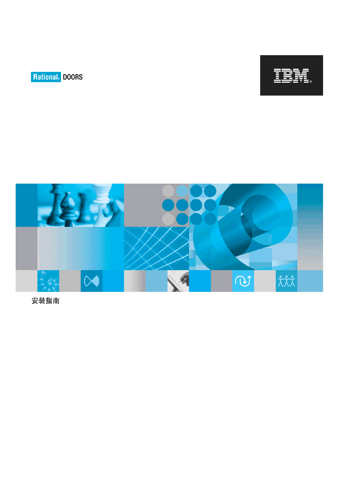





安装指南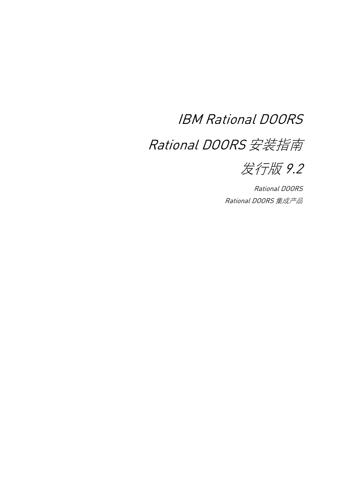# IBM Rational DOORS

# Rational DOORS 安装指南



Rational DOORS Rational DOORS 集成产品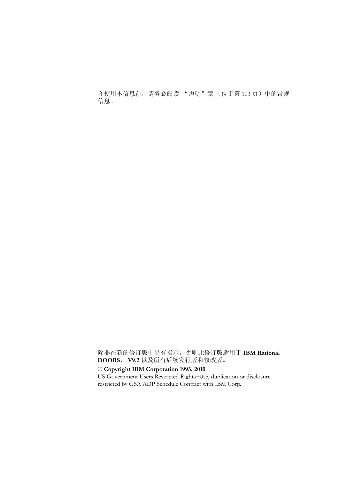在使用本信息前,请务必阅读 ["声明"章 \(位于第](#page-112-0) 103 页)中的常规 信息。

除非在新的修订版中另有指示,否则此修订版适用于 **IBM Rational DOORS**、 **V9.2** 以及所有后续发行版和修改版。

#### © **Copyright IBM Corporation 1993, 2010**

US Government Users Restricted Rights—Use, duplication or disclosure restricted by GSA ADP Schedule Contract with IBM Corp.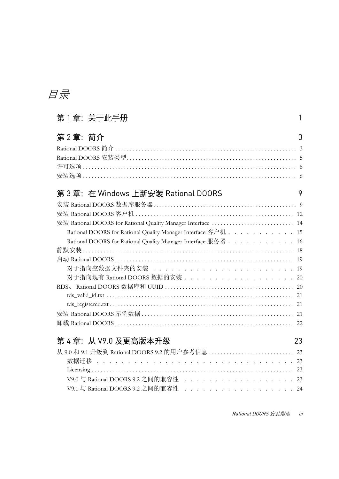# 目录

# 第 1 章:关于此手册 [1](#page-10-0)

| 第2章: 简介                                                        | 3  |
|----------------------------------------------------------------|----|
|                                                                |    |
|                                                                |    |
|                                                                |    |
|                                                                |    |
| 第 3 章:在 Windows 上新安装 Rational DOORS                            | 9  |
|                                                                |    |
|                                                                |    |
| 安装 Rational DOORS for Rational Quality Manager Interface  14   |    |
| Rational DOORS for Rational Quality Manager Interface 客户机 15   |    |
| Rational DOORS for Rational Quality Manager Interface 服务器 16   |    |
|                                                                |    |
|                                                                |    |
| 对于指向空数据文件夹的安装 ...........................                      |    |
| 对于指向现有 Rational DOORS 数据的安装 . . . . . . . . . . . . . . . . 20 |    |
|                                                                |    |
|                                                                |    |
|                                                                |    |
|                                                                |    |
|                                                                |    |
| 第4章: 从 V9.0 及更高版本升级                                            | 23 |
|                                                                |    |
|                                                                |    |

| V9.1 与 Rational DOORS 9.2 之间的兼容性 ....................24 |  |  |  |  |  |  |  |  |  |  |
|---------------------------------------------------------|--|--|--|--|--|--|--|--|--|--|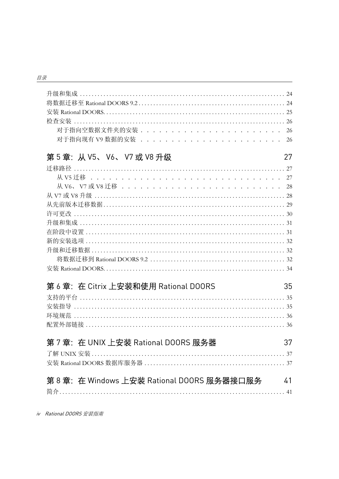| 对于指向空数据文件夹的安装 26                                  |    |
|---------------------------------------------------|----|
| 对于指向现有 V9 数据的安装 ............................      |    |
| 第5章: 从 V5、 V6、 V7 或 V8 升级                         | 27 |
|                                                   |    |
|                                                   |    |
| 从 V6、 V7 或 V8 迁移 ..............................28 |    |
|                                                   |    |
|                                                   |    |
|                                                   |    |
|                                                   |    |
|                                                   |    |
|                                                   |    |
|                                                   |    |
|                                                   |    |
|                                                   |    |
| 第 6 章:在 Citrix 上安装和使用 Rational DOORS              | 35 |
|                                                   |    |
|                                                   |    |
|                                                   |    |
|                                                   |    |
|                                                   |    |
| 第 7 章:在 UNIX 上安装 Rational DOORS 服务器               | 37 |
|                                                   |    |
|                                                   |    |
|                                                   |    |
| 第 8 章: 在 Windows 上安装 Rational DOORS 服务器接口服务       | 41 |
|                                                   |    |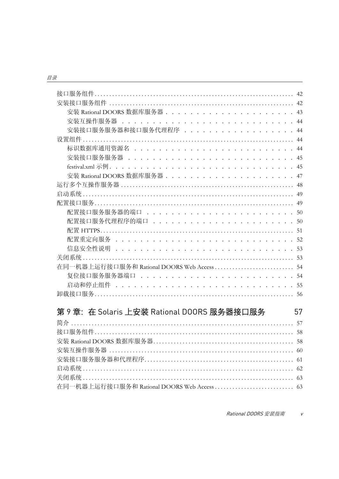| 安装互操作服务器 .................................       | 44 |
|--------------------------------------------------|----|
|                                                  | 44 |
|                                                  | 44 |
| 标识数据库通用资源名 ................................      |    |
| 安装接口服务服务器 ...............................        | 45 |
|                                                  | 45 |
| 安装 Rational DOORS 数据库服务器 ....................... | 47 |
|                                                  | 48 |
|                                                  |    |
|                                                  |    |
| 配置接口服务服务器的端口 ............................50      |    |
| 配置接口服务代理程序的端口 ...........................        |    |
|                                                  |    |
| 配置重定向服务 ..................................52     |    |
| 信息安全性说明 ...................................53    |    |
|                                                  |    |
|                                                  |    |
| 复位接口服务服务器端口 .............................        |    |
| 启动和停止组件 ..................................       | 55 |
|                                                  | 56 |
|                                                  |    |

# 第9章: 在 Solaris 上安装 Rational DOORS 服务器接口服务

| 在同一机器上运行接口服务和 Rational DOORS Web Access  63 |  |
|---------------------------------------------|--|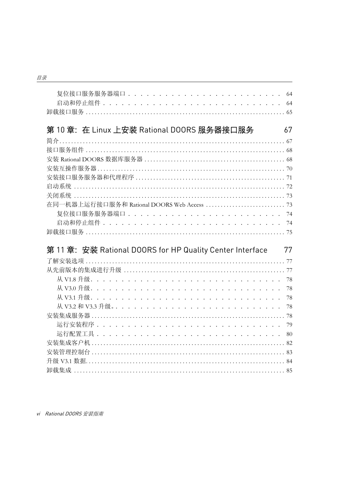| 复位接口服务服务器端口 .............................. 64                   |
|-----------------------------------------------------------------|
| 启动和停止组件 ................................. 64                    |
|                                                                 |
|                                                                 |
| 第10章: 在 Linux 上安装 Rational DOORS 服务器接口服务<br>67                  |
|                                                                 |
|                                                                 |
|                                                                 |
|                                                                 |
|                                                                 |
|                                                                 |
|                                                                 |
|                                                                 |
|                                                                 |
|                                                                 |
|                                                                 |
|                                                                 |
|                                                                 |
| 第 11 章: 安装 Rational DOORS for HP Quality Center Interface<br>77 |
|                                                                 |
|                                                                 |
|                                                                 |
|                                                                 |
|                                                                 |
|                                                                 |
|                                                                 |
|                                                                 |
|                                                                 |
|                                                                 |
|                                                                 |
|                                                                 |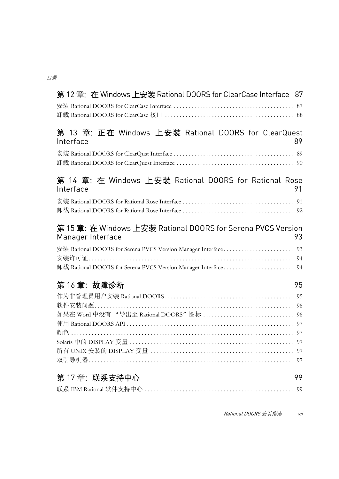| 第 12 章: 在 Windows 上安装 Rational DOORS for ClearCase Interface 87                       |
|---------------------------------------------------------------------------------------|
|                                                                                       |
| 第 13 章: 正在 Windows 上安装 Rational DOORS for ClearQuest<br>Interface<br>89               |
|                                                                                       |
| 第 14 章: 在 Windows 上安装 Rational DOORS for Rational Rose<br>Interface<br>91             |
|                                                                                       |
| 第15章: 在 Windows 上安装 Rational DOORS for Serena PVCS Version<br>Manager Interface<br>93 |
|                                                                                       |
|                                                                                       |
| 第16章: 故障诊断<br>95                                                                      |
|                                                                                       |
|                                                                                       |
|                                                                                       |
|                                                                                       |
|                                                                                       |
|                                                                                       |
|                                                                                       |
|                                                                                       |
| 第 17 章:联系支持中心<br>99                                                                   |
| 99                                                                                    |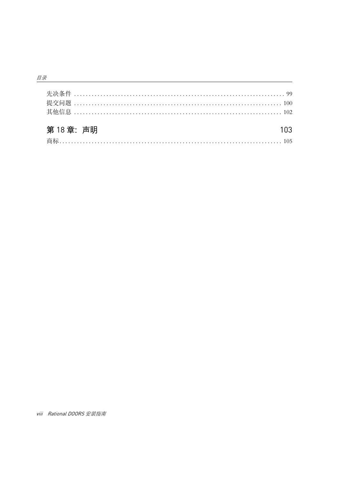| 第18章: 声明 |  |
|----------|--|
|          |  |
|          |  |
|          |  |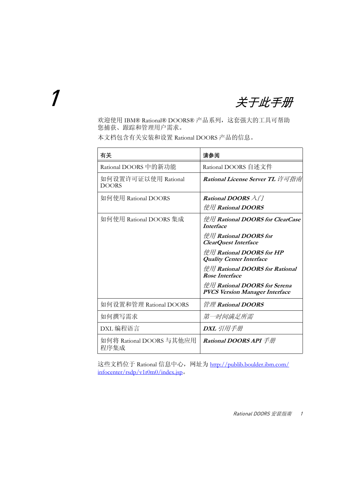<span id="page-10-0"></span>1 关于此手册

欢迎使用 IBM® Rational® DOORS® 产品系列,这套强大的工具可帮助 您捕获、跟踪和管理用户需求。

本文档包含有关安装和设置 Rational DOORS 产品的信息。

| 有关                                  | 请参阅                                                                   |
|-------------------------------------|-----------------------------------------------------------------------|
| Rational DOORS 中的新功能                | Rational DOORS 自述文件                                                   |
| 如何设置许可证以使用 Rational<br><b>DOORS</b> | Rational License Server TL 许可指南                                       |
| 如何使用 Rational DOORS                 | <b>Rational DOORS</b> $\lambda$ /7                                    |
|                                     | 使用 Rational DOORS                                                     |
| 如何使用 Rational DOORS 集成              | 使用 Rational DOORS for ClearCase<br><b>Interface</b>                   |
|                                     | 使用 Rational DOORS for<br><b>ClearQuest Interface</b>                  |
|                                     | 使用 Rational DOORS for HP<br><b>Quality Center Interface</b>           |
|                                     | 使用 Rational DOORS for Rational<br><b>Rose Interface</b>               |
|                                     | 使用 Rational DOORS for Serena<br><b>PVCS Version Manager Interface</b> |
| 如何设置和管理 Rational DOORS              | 管理 Rational DOORS                                                     |
| 如何撰写需求                              | 第一时间满足所需                                                              |
| DXL 编程语言                            | DXL 引用手册                                                              |
| 如何将 Rational DOORS 与其他应用<br>程序集成    | <b>Rational DOORS API</b> 手册                                          |

这些文档位于 Rational 信息中心,网址为 http://publib.boulder.ibm.com/ infocenter/rsdp/v1r0m0/index.jsp。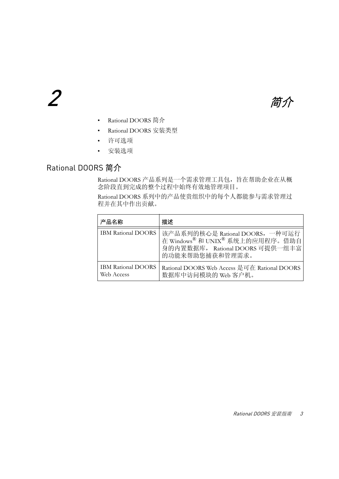<span id="page-12-0"></span>

- [Rational DOORS](#page-12-1) 简介
- [Rational DOORS](#page-14-0) 安装类型
- [许可选项](#page-15-0)
- [安装选项](#page-15-1)

## <span id="page-12-1"></span>Rational DOORS 简介

Rational DOORS 产品系列是一个需求管理工具包,旨在帮助企业在从概 念阶段直到完成的整个过程中始终有效地管理项目。

Rational DOORS 系列中的产品使贵组织中的每个人都能参与需求管理过 程并在其中作出贡献。

| 产品名称                                    | 描述                                                                                                                       |
|-----------------------------------------|--------------------------------------------------------------------------------------------------------------------------|
| <b>IBM Rational DOORS</b>               | 该产品系列的核心是 Rational DOORS, 一种可运行<br>在 Windows® 和 UNIX® 系统上的应用程序。借助自<br>身的内置数据库, Rational DOORS 可提供一组丰富<br>的功能来帮助您捕获和管理需求。 |
| <b>IBM Rational DOORS</b><br>Web Access | Rational DOORS Web Access 是可在 Rational DOORS<br>数据库中访问模块的 Web 客户机。                                                       |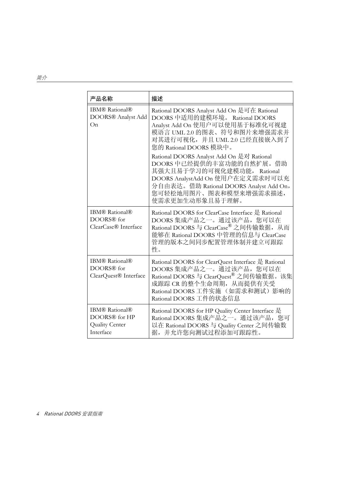| 产品名称                                                                  | 描述                                                                                                                                                                                                                                                                                                                                                                                                                                            |
|-----------------------------------------------------------------------|-----------------------------------------------------------------------------------------------------------------------------------------------------------------------------------------------------------------------------------------------------------------------------------------------------------------------------------------------------------------------------------------------------------------------------------------------|
| <b>IBM®</b> Rational®<br>DOORS® Analyst Add<br>On                     | Rational DOORS Analyst Add On 是可在 Rational<br>DOORS 中适用的建模环境。 Rational DOORS<br>Analyst Add On 使用户可以使用基于标准化可视建<br>模语言 UML 2.0 的图表、符号和图片来增强需求并<br>对其进行可视化, 并且 UML 2.0 已经直接嵌入到了<br>您的 Rational DOORS 模块中。<br>Rational DOORS Analyst Add On 是对 Rational<br>DOORS 中已经提供的丰富功能的自然扩展。借助<br>其强大且易于学习的可视化建模功能,<br>Rational<br>DOORS AnalystAdd On 使用户在定义需求时可以充<br>分自由表达。借助 Rational DOORS Analyst Add On,<br>您可轻松地用图片、图表和模型来增强需求描述,<br>使需求更加生动形象且易于理解。 |
| <b>IBM®</b> Rational®<br>DOORS® for<br>ClearCase® Interface           | Rational DOORS for ClearCase Interface 是 Rational<br>DOORS 集成产品之一。通过该产品, 您可以在<br>Rational DOORS 与 ClearCase® 之间传输数据, 从而<br>能够在 Rational DOORS 中管理的信息与 ClearCase<br>管理的版本之间同步配置管理体制并建立可跟踪<br>性。                                                                                                                                                                                                                                                |
| <b>IBM®</b> Rational®<br>DOORS® for<br>ClearQuest® Interface          | Rational DOORS for ClearQuest Interface 是 Rational<br>DOORS 集成产品之一。通过该产品, 您可以在<br>Rational DOORS 与 ClearQuest® 之间传输数据。该集<br>成跟踪 CR 的整个生命周期, 从而提供有关受<br>Rational DOORS 工件实施 (如需求和测试)影响的<br>Rational DOORS 工件的状态信息                                                                                                                                                                                                                              |
| <b>IBM®</b> Rational®<br>DOORS® for HP<br>Quality Center<br>Interface | Rational DOORS for HP Quality Center Interface 是<br>Rational DOORS 集成产品之一。通过该产品, 您可<br>以在 Rational DOORS 与 Quality Center 之间传输数<br>据,并允许您向测试过程添加可跟踪性。                                                                                                                                                                                                                                                                                         |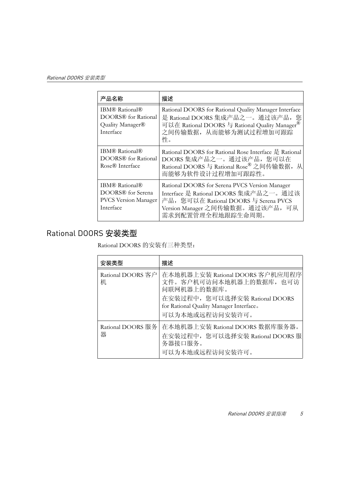| 产品名称                                                                                      | 描述                                                                                                                                                                                       |
|-------------------------------------------------------------------------------------------|------------------------------------------------------------------------------------------------------------------------------------------------------------------------------------------|
| <b>IBM®</b> Rational®<br>DOORS <sup>®</sup> for Rational<br>Quality Manager®<br>Interface | Rational DOORS for Rational Quality Manager Interface<br>是 Rational DOORS 集成产品之一。通过该产品, 您<br>可以在 Rational DOORS 与 Rational Quality Manager®<br>之间传输数据, 从而能够为测试过程增加可跟踪<br>性。              |
| <b>IBM®</b> Rational®<br>DOORS® for Rational<br>Rose <sup>®</sup> Interface               | Rational DOORS for Rational Rose Interface 是 Rational<br>DOORS 集成产品之一。通过该产品, 您可以在<br>Rational DOORS 与 Rational Rose® 之间传输数据, 从<br>而能够为软件设计过程增加可跟踪性。                                      |
| <b>IBM®</b> Rational®<br>DOORS® for Serena<br><b>PVCS Version Manager</b><br>Interface    | Rational DOORS for Serena PVCS Version Manager<br>Interface 是 Rational DOORS 集成产品之一。通过该<br>产品, 您可以在 Rational DOORS 与 Serena PVCS<br>Version Manager 之间传输数据。通过该产品,可从<br>需求到配置管理全程地跟踪生命周期。 |

# <span id="page-14-0"></span>Rational DOORS 安装类型

Rational DOORS 的安装有三种类型:

| 安装类型                   | 描述                                                                                                                                                                                          |
|------------------------|---------------------------------------------------------------------------------------------------------------------------------------------------------------------------------------------|
| 机                      | Rational DOORS 客户 在本地机器上安装 Rational DOORS 客户机应用程序<br>文件。客户机可访问本地机器上的数据库, 也可访<br>问联网机器上的数据库。<br>在安装过程中, 您可以选择安装 Rational DOORS<br>for Rational Quality Manager Interface.<br>可以为本地或远程访问安装许可。 |
| Rational DOORS 服务<br>器 | 在本地机器上安装 Rational DOORS 数据库服务器。<br>在安装过程中, 您可以选择安装 Rational DOORS 服<br>务器接口服务。<br>可以为本地或远程访问安装许可。                                                                                           |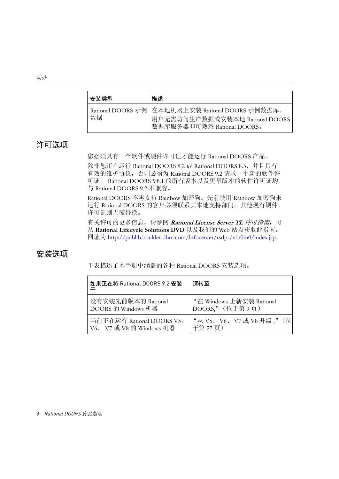| 安装类型 | 描述                                                                                                               |
|------|------------------------------------------------------------------------------------------------------------------|
| 数据   | Rational DOORS 示例 在本地机器上安装 Rational DOORS 示例数据库。<br>用户无需访问生产数据或安装本地 Rational DOORS<br>数据库服务器即可熟悉 Rational DOORS。 |

### <span id="page-15-0"></span>许可选项

您必须具有一个软件或硬件许可证才能运行 Rational DOORS 产品。

除非您正在运行 Rational DOORS 8.2 或 Rational DOORS 8.3, 并且具有 有效的维护协议,否则必须为 Rational DOORS 9.2 请求一个新的软件许 可证。 Rational DOORS V8.1 的所有版本以及更早版本的软件许可证均 与 Rational DOORS 9.2 不兼容。

Rational DOORS 不再支持 Rainbow 加密狗。先前使用 Rainbow 加密狗来 运行 Rational DOORS 的客户必须联系其本地支持部门。其他现有硬件 许可证则无需替换。

有关许可的更多信息,请参阅 **Rational License Server TL** 许可指南,可 从 **Rational Lifecycle Solutions DVD** 以及我们的 Web 站点获取此指南, 网址为 http://publib.boulder-.ibm.com/infocenter/rsdp-/v1r0m0/index.jsp。

## <span id="page-15-1"></span>安装选项

下表描述了本手册中涵盖的各种 Rational DOORS 安装选项。

| 如果正在将 Rational DOORS 9.2 安装 | 请转至                       |
|-----------------------------|---------------------------|
| 没有安装先前版本的 Rational          | "在 Windows 上新安装 Rational  |
| DOORS 的 Windows 机器          | DOORS." (位于第9页)           |
| 当前正在运行 Rational DOORS V5、   | "从 V5、 V6、 V7 或 V8 升级,"(位 |
| V6、V7 或 V8 的 Windows 机器     | 于第27页)                    |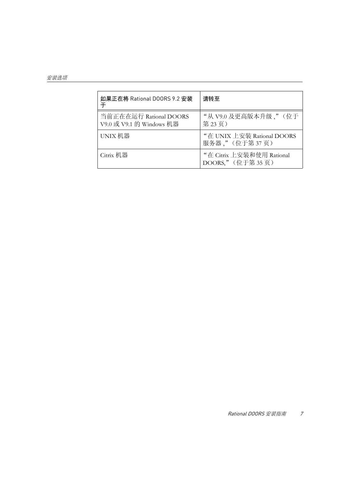| 如果正在将 Rational DOORS 9.2 安装<br>干                   | 请转至                                           |
|----------------------------------------------------|-----------------------------------------------|
| 当前正在在运行 Rational DOORS<br>V9.0 或 V9.1 的 Windows 机器 | "从V9.0 及更高版本升级,"(位于<br>第23页)                  |
| UNIX 机器                                            | "在 UNIX 上安装 Rational DOORS<br>服务器,"(位于第37页)   |
| Citrix 机器                                          | "在 Citrix 上安装和使用 Rational<br>DOORS," (位于第35页) |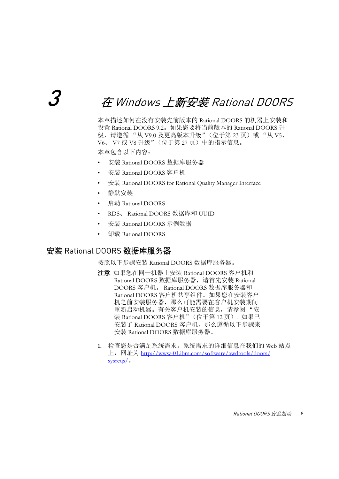# <span id="page-18-2"></span><span id="page-18-0"></span>3 <sup>在</sup> Windows 上新安装 Rational DOORS

本章描述如何在没有安装先前版本的 Rational DOORS 的机器上安装和 设置 Rational DOORS 9.2。如果您要将当前版本的 Rational DOORS 升 级,请遵循"从 V9.0 [及更高版本升级"\(位于第](#page-32-5) 23 页)或"从 V5、 V6、 V7 或 V8 [升级"\(位于第](#page-36-3) 27 页)中的指示信息。 本章包含以下内容:

- 安装 [Rational DOORS](#page-18-1) 数据库服务器
- 安装 [Rational DOORS](#page-21-0) 客户机
- 安装 [Rational DOORS for Rational Quality Manager Interface](#page-23-0)
- [静默安装](#page-27-0)
- 启动 [Rational DOORS](#page-28-0)
- RDS、 [Rational DOORS](#page-29-1) 数据库和 UUID
- 安装 [Rational DOORS](#page-30-2) 示例数据
- 卸载 [Rational DOORS](#page-31-0)

#### <span id="page-18-1"></span>安装 Rational DOORS 数据库服务器

按照以下步骤安装 Rational DOORS 数据库服务器。

- 注意如果您在同一机器上安装 Rational DOORS 客户机和 Rational DOORS 数据库服务器, 请首先安装 Rational DOORS 客户机。 Rational DOORS 数据库服务器和 Rational DOORS 客户机共享组件。如果您在安装客户 机之前安装服务器,那么可能需要在客户机安装期间 重新启动机器。有关客户机安装的信息,请参阅"安 装 Rational DOORS [客户机"\(位于第](#page-21-0) 12 页)。如果已 安装了 Rational DOORS 客户机, 那么遵循以下步骤来 安装 Rational DOORS 数据库服务器。
- **1.** 检查您是否满足系统需求。系统需求的详细信息在我们的 Web 站点 上, 网址为 http://www-01.ibm.com/software/awdtools/doors/ sysreqs/。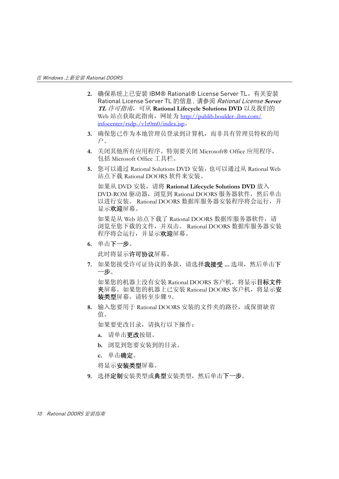- **2.** 确保系统上已安装 IBM® Rational® License Server TL。有关安装 Rational License Server TL 的信息,请参阅 Rational License **Server TL** 许可指南,可从 **Rational Lifecycle Solutions DVD** 以及我们的 Web 站点获取此指南,网址为 http://publib.boulder-.ibm.com/ infocenter/rsdp-/v1r0m0/index.jsp。
- **3.** 确保您已作为本地管理员登录到计算机,而非具有管理员特权的用 户。
- **4.** 关闭其他所有应用程序。特别要关闭 Microsoft® Office 应用程序, 包括 Microsoft Office 工具栏。
- **5.** 您可以通过 Rational Solutions DVD 安装,也可以通过从 Rational Web 站点下载 Rational DOORS 软件来安装。

如果从 DVD 安装,请将 **Rational Lifecycle Solutions DVD** 放入 DVD-ROM 驱动器, 浏览到 Rational DOORS 服务器软件, 然后单击 以进行安装。 Rational DOORS 数据库服务器安装程序将会运行,并 显示欢迎屏幕。

如果是从 Web 站点下载了 Rational DOORS 数据库服务器软件, 请 浏览至您下载的文件,并双击。 Rational DOORS 数据库服务器安装 程序将会运行,并显示欢迎屏幕。

**6.** 单击下一步。

此时将显示许可协议屏幕。

**7.** 如果您接受许可证协议的条款,请选择我接受 **...** 选项,然后单击下 一步。

如果您的机器上没有安装 Rational DOORS 客户机, 将显示目**标文件** 夹屏幕。如果您的机器上已安装 Rational DOORS 客户机, 将显示安 装类型屏幕。请转至[步骤](#page-19-0) 9。

**8.** 输入您要用于 Rational DOORS 安装的文件夹的路径,或保留缺省 值。

如果要更改目录,请执行以下操作:

- **a.** 请单击更改按钮。
- **b.** 浏览到您要安装到的目录。
- **c.** 单击确定。

将显示**安装类型**屏幕。

<span id="page-19-0"></span>9. 选择定制安装类型或典型安装类型,然后单击下一步。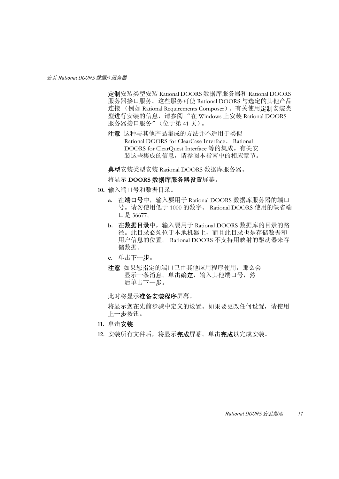定制安装类型安装 Rational DOORS 数据库服务器和 Rational DOORS 服务器接口服务。这些服务可使 Rational DOORS 与选定的其他产品 连接 (例如 Rational Requirements Composer)。有关使用**定制**安装类 型进行安装的信息,请参阅 "在 Windows 上安装 [Rational DOORS](#page-50-2)  [服务器接口服务"\(位于第](#page-50-2) 41 页)。

注意这种与其他产品集成的方法并不适用于类似 Rational DOORS for ClearCase Interface、 Rational DOORS for ClearQuest Interface 等的集成。有关安 装这些集成的信息,请参阅本指南中的相应章节。

典型安装类型安装 Rational DOORS 数据库服务器。

将显示 **DOORS** 数据库服务器设置屏幕。

- **10.** 输入端口号和数据目录。
	- **a.** 在端口号中,输入要用于 Rational DOORS 数据库服务器的端口 号。请勿使用低于 1000 的数字。 Rational DOORS 使用的缺省端 口是 36677。
	- **b.** 在数据目录中,输入要用于 Rational DOORS 数据库的目录的路 径。此目录必须位于本地机器上,而且此目录也是存储数据和 用户信息的位置。 Rational DOORS 不支持用映射的驱动器来存 储数据。
	- **c.** 单击下一步。
	- 注意如果您指定的端口已由其他应用程序使用,那么会 显示一条消息。单击确定,输入其他端口号,然 后单击下一步。

此时将显示准备安装程序屏幕。

将显示您在先前步骤中定义的设置。如果要更改任何设置,请使用 上一步按钮。

- **11.** 单击安装。
- **12.** 安装所有文件后,将显示完成屏幕。单击完成以完成安装。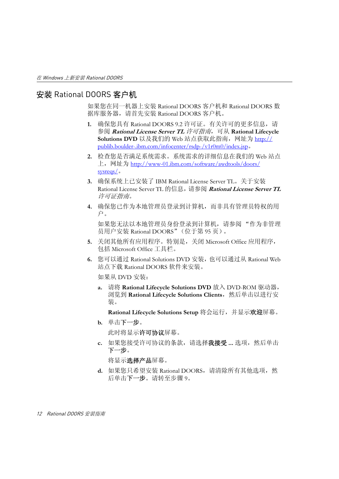### <span id="page-21-1"></span><span id="page-21-0"></span>安装 Rational DOORS 客户机

如果您在同一机器上安装 Rational DOORS 客户机和 Rational DOORS 数 据库服务器,请首先安装 Rational DOORS 客户机。

- **1.** 确保您具有 Rational DOORS 9.2 许可证。有关许可的更多信息,请 参阅 **Rational License Server TL** 许可指南,可从 **Rational Lifecycle Solutions DVD** 以及我们的 Web 站点获取此指南,网址为 http:// publib.boulder-.ibm.com/infocenter/rsdp-/v1r0m0/index.jsp。
- **2.** 检查您是否满足系统需求。系统需求的详细信息在我们的 Web 站点 上,网址为 http://www-01.ibm.com/software/awdtools/doors/ sysreqs/。
- **3.** 确保系统上已安装了 IBM Rational License Server TL。关于安装 Rational License Server TL 的信息,请参阅 **Rational License Server TL**  许可证指南。
- **4.** 确保您已作为本地管理员登录到计算机,而非具有管理员特权的用 户。

如果您无法以本地管理员身份登录到计算机,请参阅 ["作为非管理](#page-104-2) 员用户安装 [Rational DOORS](#page-104-2)"(位于第 95 页)。

- **5.** 关闭其他所有应用程序。特别是,关闭 Microsoft Office 应用程序, 包括 Microsoft Office 工具栏。
- **6.** 您可以通过 Rational Solutions DVD 安装,也可以通过从 Rational Web 站点下载 Rational DOORS 软件来安装。

如果从 DVD 安装:

**a.** 请将 **Rational Lifecycle Solutions DVD** 放入 DVD-ROM 驱动器, 浏览到 **Rational Lifecycle Solutions Clients**,然后单击以进行安 装。

**Rational Lifecycle Solutions Setup** 将会运行,并显示欢迎屏幕。

**b.** 单击下一步。

此时将显示**许可协议**屏幕。

**c.** 如果您接受许可协议的条款,请选择我接受 **...** 选项,然后单击 下一步。

将显示选择产品屏幕。

**d.** 如果您只希望安装 Rational DOORS,请清除所有其他选项,然 后单击下一步。请转至[步骤](#page-22-0) 9。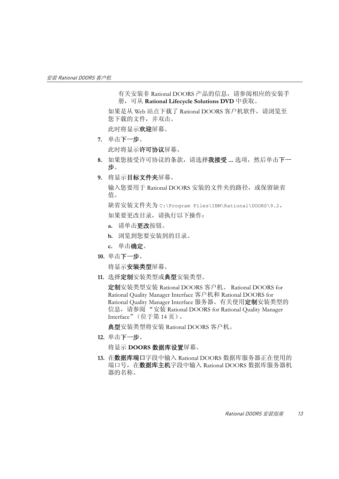有关安装非 Rational DOORS 产品的信息,请参阅相应的安装手 册,可从 **Rational Lifecycle Solutions DVD** 中获取。

如果是从 Web 站点下载了 Rational DOORS 客户机软件,请浏览至 您下载的文件,并双击。

此时将显示欢迎屏幕。

**7.** 单击下一步。

此时将显示许可协议屏幕。

- **8.** 如果您接受许可协议的条款,请选择我接受 **...** 选项,然后单击下一 步。
- <span id="page-22-0"></span>**9.** 将显示目标文件夹屏幕。

输入您要用于 Rational DOORS 安装的文件夹的路径, 或保留缺省 值。

缺省安装文件夹为 C:\Program Files\IBM\Rational\DOORS\9.2。 如果要更改目录,请执行以下操作:

- **a.** 请单击更改按钮。
- **b.** 浏览到您要安装到的目录。
- **c.** 单击确定。
- <span id="page-22-1"></span>**10.** 单击下一步。

将显示安装类型屏幕。

**11.** 选择定制安装类型或典型安装类型。

定制安装类型安装 Rational DOORS 客户机、 Rational DOORS for Rational Quality Manager Interface 客户机和 Rational DOORS for Rational Quality Manager Interface 服务器。有关使用定制安装类型的 信息, 请参阅"安装 Rational DOORS for Rational Quality Manager Interface["\(位于第](#page-23-0) 14 页)。

典型安装类型将安装 Rational DOORS 客户机。

**12.** 单击下一步。

将显示 **DOORS** 数据库设置屏幕。

**13.** 在数据库端口字段中输入 Rational DOORS 数据库服务器正在使用的 端口号, 在数据库主机字段中输入 Rational DOORS 数据库服务器机 器的名称。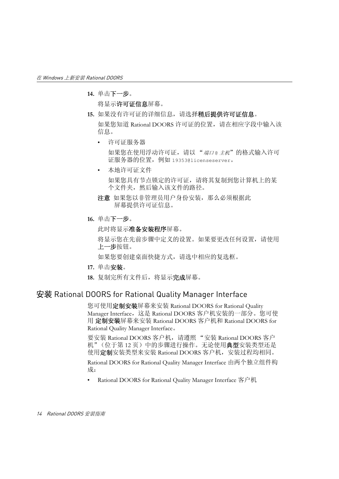**14.** 单击下一步。

将显示许可证信息屏幕。

**15.** 如果没有许可证的详细信息,请选择稍后提供许可证信息。

如果您知道 Rational DOORS 许可证的位置,请在相应字段中输入该 信息。

• 许可证服务器

如果您在使用浮动许可证,请以"端口。主机"的格式输入许可 证服务器的位置,例如 19353@licenseserver。

• 本地许可证文件

如果您具有节点锁定的许可证,请将其复制到您计算机上的某 个文件夹,然后输入该文件的路径。

- 注意如果您以非管理员用户身份安装,那么必须根据此 屏幕提供许可证信息。
- **16.** 单击下一步。

此时将显示准备安装程序屏幕。

将显示您在先前步骤中定义的设置。如果要更改任何设置,请使用 上一步按钮。

如果您要创建桌面快捷方式,请选中相应的复选框。

**17.** 单击安装。

**18.** 复制完所有文件后,将显示完成屏幕。

#### <span id="page-23-0"></span>安装 Rational DOORS for Rational Quality Manager Interface

您可使用**定制安装**屏幕来安装 Rational DOORS for Rational Ouality Manager Interface,这是 Rational DOORS 客户机安装的一部分。您可使 用 定制安装屏幕来安装 Rational DOORS 客户机和 Rational DOORS for Rational Quality Manager Interface。

要安装 Rational DOORS 客户机,请遵照 "安装 [Rational DOORS](#page-21-0) 客户 [机"\(位于第](#page-21-0)12页)中的步骤进行操作。无论使用典型安装类型还是 使用定制安装类型来安装 Rational DOORS 客户机, 安装过程均相同。

Rational DOORS for Rational Quality Manager Interface 由两个独立组件构 成:

[Rational DOORS for Rational Quality Manager Interface](#page-24-0) 客户机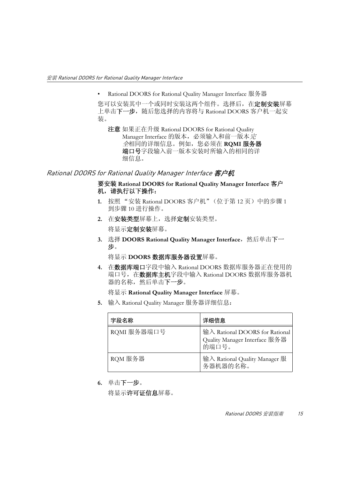• [Rational DOORS for Rational Quality Manager Interface](#page-25-0) 服务器

您可以安装其中一个或同时安装这两个组件。选择后, 在定制安装屏幕 上单击下一步, 随后您选择的内容将与 Rational DOORS 客户机一起安 装。

注意 如果正在升级 Rational DOORS for Rational Quality Manager Interface 的版本, 必须输入和前一版本完 全相同的详细信息。例如,您必须在 **RQMI** 服务器 端口号字段输入前一版本安装时所输入的相同的详 细信息。

#### <span id="page-24-0"></span>Rational DOORS for Rational Quality Manager Interface 客户机

#### 要安装 **Rational DOORS for Rational Quality Manager Interface** 客户 机,请执行以下操作:

- **1.** 按照 "安装 [Rational DOORS](#page-21-0) 客户机"(位于第 12 页)中的[步骤](#page-21-1) 1 到[步骤](#page-22-1) 10 进行操作。
- 2. 在安装类型屏幕上, 选择定制安装类型。 将显示定制安装屏幕。
- 3. 选择 DOORS Rational Quality Manager Interface, 然后单击下一 步。

将显示 **DOORS** 数据库服务器设置屏幕。

**4.** 在数据库端口字段中输入 Rational DOORS 数据库服务器正在使用的 端口号, 在数据库主机字段中输入 Rational DOORS 数据库服务器机 器的名称,然后单击下一步。

将显示 **Rational Quality Manager Interface** 屏幕。

**5.** 输入 Rational Quality Manager 服务器详细信息:

| 字段名称        | 详细信息                                                                     |
|-------------|--------------------------------------------------------------------------|
| RQMI 服务器端口号 | 输入 Rational DOORS for Rational<br>Quality Manager Interface 服务器<br>的端口号。 |
| RQM 服务器     | 输入 Rational Quality Manager 服<br>务器机器的名称。                                |

**6.** 单击下一步。

将显示许可证信息屏幕。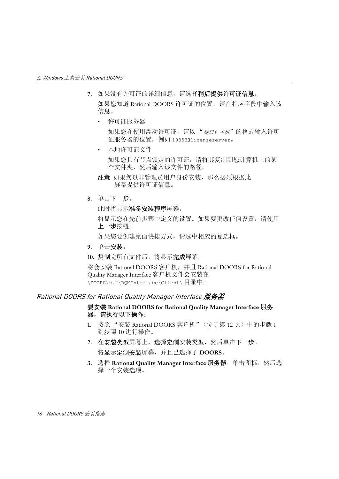- **7.** 如果没有许可证的详细信息,请选择稍后提供许可证信息。 如果您知道 Rational DOORS 许可证的位置,请在相应字段中输入该 信息。
	- 许可证服务器

如果您在使用浮动许可证,请以"端口e 主机"的格式输入许可 证服务器的位置,例如 19353@licenseserver。

• 本地许可证文件

如果您具有节点锁定的许可证,请将其复制到您计算机上的某 个文件夹,然后输入该文件的路径。

- 注意如果您以非管理员用户身份安装,那么必须根据此 屏幕提供许可证信息。
- **8.** 单击下一步。

此时将显示准备安装程序屏幕。

将显示您在先前步骤中定义的设置。如果要更改任何设置,请使用 上一步按钮。

如果您要创建桌面快捷方式,请选中相应的复选框。

**9.** 单击安装。

**10.** 复制完所有文件后,将显示完成屏幕。

将会安装 Rational DOORS 客户机,并且 Rational DOORS for Rational Quality Manager Interface 客户机文件会安装在 \DOORS\9.2\RQMInterface\Client\ 目录中。

#### <span id="page-25-0"></span>Rational DOORS for Rational Quality Manager Interface 服务器

#### 要安装 **Rational DOORS for Rational Quality Manager Interface** 服务 器,请执行以下操作:

- **1.** 按照 "安装 [Rational DOORS](#page-21-0) 客户机"(位于第 12 页)中的[步骤](#page-21-1) 1 到[步骤](#page-22-1) 10 进行操作。
- 2. 在安装类型屏幕上, 选择定制安装类型, 然后单击下一步。 将显示定制安装屏幕,并且已选择了 **DOORS**。
- **3.** 选择 **Rational Quality Manager Interface** 服务器,单击图标,然后选 择一个安装选项。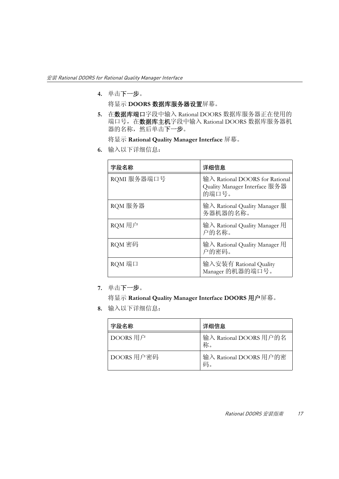**4.** 单击下一步。

将显示 **DOORS** 数据库服务器设置屏幕。

**5.** 在数据库端口字段中输入 Rational DOORS 数据库服务器正在使用的 端口号, 在数据库主机字段中输入 Rational DOORS 数据库服务器机 器的名称,然后单击下一步。

将显示 **Rational Quality Manager Interface** 屏幕。

**6.** 输入以下详细信息:

| 字段名称        | 详细信息                                                                     |
|-------------|--------------------------------------------------------------------------|
| RQMI 服务器端口号 | 输入 Rational DOORS for Rational<br>Quality Manager Interface 服务器<br>的端口号。 |
| RQM 服务器     | 输入 Rational Quality Manager 服<br>务器机器的名称。                                |
| RQM 用户      | 输入 Rational Quality Manager 用<br>户的名称。                                   |
| RQM 密码      | 输入 Rational Quality Manager 用<br>户的密码。                                   |
| RQM 端口      | 输入安装有 Rational Quality<br>Manager 的机器的端口号。                               |

**7.** 单击下一步。

将显示 **Rational Quality Manager Interface DOORS** 用户屏幕。

**8.** 输入以下详细信息:

| 字段名称       | 详细信息                         |
|------------|------------------------------|
| DOORS 用户   | 输入 Rational DOORS 用户的名<br>称。 |
| DOORS 用户密码 | 输入 Rational DOORS 用户的密<br>码。 |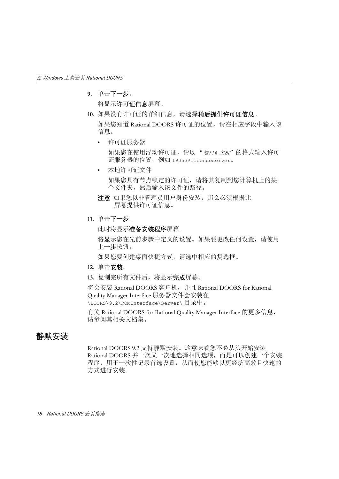**9.** 单击下一步。

将显示许可证信息屏幕。

**10.** 如果没有许可证的详细信息,请选择稍后提供许可证信息。

如果您知道 Rational DOORS 许可证的位置,请在相应字段中输入该 信息。

• 许可证服务器

如果您在使用浮动许可证,请以"端口。主机"的格式输入许可 证服务器的位置,例如 19353@licenseserver。

• 本地许可证文件

如果您具有节点锁定的许可证,请将其复制到您计算机上的某 个文件夹,然后输入该文件的路径。

- 注意如果您以非管理员用户身份安装,那么必须根据此 屏幕提供许可证信息。
- **11.** 单击下一步。

此时将显示准备安装程序屏幕。

将显示您在先前步骤中定义的设置。如果要更改任何设置,请使用 上一步按钮。

如果您要创建桌面快捷方式,请选中相应的复选框。

- **12.** 单击安装。
- **13.** 复制完所有文件后,将显示完成屏幕。

将会安装 Rational DOORS 客户机,并且 Rational DOORS for Rational Quality Manager Interface 服务器文件会安装在 \DOORS\9.2\RQMInterface\Server\ 目录中。

有关 Rational DOORS for Rational Quality Manager Interface 的更多信息, 请参阅其相关文档集。

#### <span id="page-27-0"></span>静默安装

Rational DOORS 9.2 支持静默安装。这意味着您不必从头开始安装 Rational DOORS 并一次又一次地选择相同选项,而是可以创建一个安装 程序,用于一次性记录首选设置,从而使您能够以更经济高效且快速的 方式进行安装。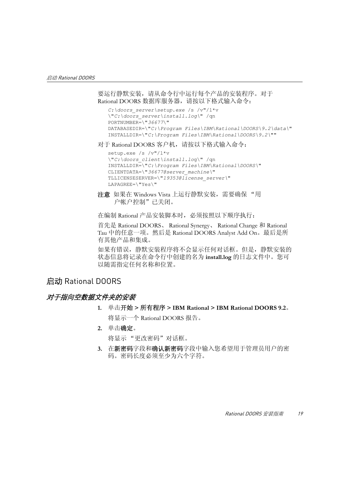要运行静默安装,请从命令行中运行每个产品的安装程序。对于 Rational DOORS 数据库服务器, 请按以下格式输入命令:

```
C:\doors_server\setup.exe /s /v"/l*v 
\"C:\doors_server\install.log\" /qn
PORTNUMBER=\"36677\"
DATABASEDIR=\"C:\Program Files\IBM\Rational\DOORS\9.2\data\" 
INSTALLDIR=\"C:\Program Files\IBM\Rational\DOORS\9.2\""
```
对于 Rational DOORS 客户机, 请按以下格式输入命令:

```
setup.exe /s /v"/l*v 
\"C:\doors_client\install.log\" /qn
INSTALLDIR=\"C:\Program Files\IBM\Rational\DOORS\" 
CLIENTDATA=\"36677@server_machine\"
TLLICENSESERVER=\"19353@license_server\"
LAPAGREE=\"Yes\"
```

```
注意 如果在 Windows Vista 上运行静默安装,需要确保 "用
   户帐户控制"已关闭。
```
在编制 Rational 产品安装脚本时,必须按照以下顺序执行:

首先是 Rational DOORS、 Rational Synergy、 Rational Change 和 Rational Tau 中的任意一项。然后是 Rational DOORS Analyst Add On。最后是所 有其他产品和集成。

如果有错误,静默安装程序将不会显示任何对话框。但是,静默安装的 状态信息将记录在命令行中创建的名为 **install.log** 的日志文件中。您可 以随需指定任何名称和位置。

#### <span id="page-28-0"></span>启动 Rational DOORS

#### <span id="page-28-1"></span>对于指向空数据文件夹的安装

- **1.** 单击开始 **>** 所有程序 **> IBM Rational > IBM Rational DOORS 9.2**。 将显示一个 Rational DOORS 报告。
- **2.** 单击确定。

将显示 "更改密码"对话框。

**3.** 在新密码字段和确认新密码字段中输入您希望用于管理员用户的密 码。密码长度必须至少为六个字符。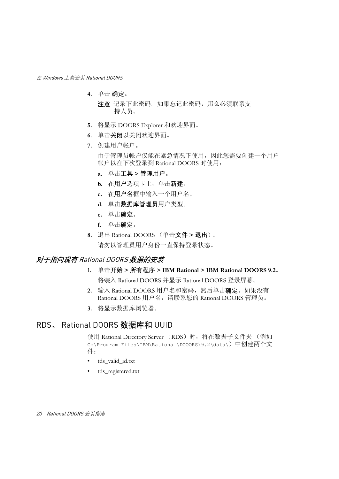- **4.** 单击 确定。
	- 注意记录下此密码。如果忘记此密码,那么必须联系支 持人员。
- **5.** 将显示 DOORS Explorer 和欢迎界面。
- **6.** 单击关闭以关闭欢迎界面。
- **7.** 创建用户帐户。

由于管理员帐户仅能在紧急情况下使用,因此您需要创建一个用户 帐户以在下次登录到 Rational DOORS 时使用:

- **a.** 单击工具 **>** 管理用户。
- b. 在用户选项卡上,单击新建。
- **c.** 在用户名框中输入一个用户名。
- **d.** 单击数据库管理员用户类型。
- **e.** 单击确定。
- **f.** 单击确定。
- **8.** 退出 Rational DOORS (单击文件 **>** 退出)。 请勿以管理员用户身份一直保持登录状态。

#### <span id="page-29-0"></span>对于指向现有 Rational DOORS 数据的安装

- **1.** 单击开始 **>** 所有程序 **> IBM Rational > IBM Rational DOORS 9.2**。 将装入 Rational DOORS 并显示 Rational DOORS 登录屏幕。
- **2.** 输入 Rational DOORS 用户名和密码,然后单击确定。如果没有 Rational DOORS 用户名, 请联系您的 Rational DOORS 管理员。
- **3.** 将显示数据库浏览器。

#### <span id="page-29-1"></span>RDS、 Rational DOORS 数据库和 UUID

使用 Rational Directory Server (RDS) 时, 将在数据子文件夹 (例如 C:\Program Files\IBM\Rational\DOOORS\9.2\data\)中创建两个文 件:

- tds valid id.txt
- tds registered.txt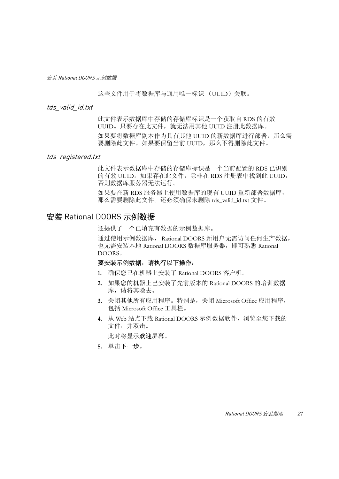这些文件用于将数据库与通用唯一标识 (UUID)关联。

#### <span id="page-30-0"></span>tds\_valid\_id.txt

此文件表示数据库中存储的存储库标识是一个获取自 RDS 的有效 UUID。只要存在此文件,就无法用其他 UUID 注册此数据库。 如果要将数据库副本作为具有其他 UUID 的新数据库进行部署,那么需 要删除此文件。如果要保留当前 UUID,那么不得删除此文件。

#### <span id="page-30-1"></span>tds registered.txt

此文件表示数据库中存储的存储库标识是一个当前配置的 RDS 已识别 的有效 UUID。如果存在此文件,除非在 RDS 注册表中找到此 UUID, 否则数据库服务器无法运行。

如果要在新 RDS 服务器上使用数据库的现有 UUID 重新部署数据库, 那么需要删除此文件。还必须确保未删除 tds\_valid\_id.txt 文件。

#### <span id="page-30-2"></span>安装 Rational DOORS 示例数据

还提供了一个已填充有数据的示例数据库。

通过使用示例数据库, Rational DOORS 新用户无需访问任何生产数据, 也无需安装本地 Rational DOORS 数据库服务器,即可熟悉 Rational DOORS。

#### 要安装示例数据,请执行以下操作:

- **1.** 确保您已在机器上安装了 Rational DOORS 客户机。
- **2.** 如果您的机器上已安装了先前版本的 Rational DOORS 的培训数据 库,请将其除去。
- **3.** 关闭其他所有应用程序。特别是,关闭 Microsoft Office 应用程序, 包括 Microsoft Office 工具栏。
- **4.** 从 Web 站点下载 Rational DOORS 示例数据软件,浏览至您下载的 文件,并双击。

此时将显示欢迎屏幕。

**5.** 单击下一步。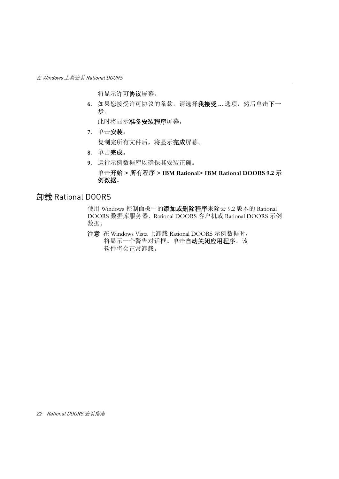将显示许可协议屏幕。

**6.** 如果您接受许可协议的条款,请选择我接受 **...** 选项,然后单击下一 步。

此时将显示准备安装程序屏幕。

**7.** 单击安装。

复制完所有文件后,将显示完成屏幕。

- **8.** 单击完成。
- **9.** 运行示例数据库以确保其安装正确。

单击开始 **>** 所有程序 **> IBM Rational> IBM Rational DOORS 9.2** 示 例数据。

#### <span id="page-31-0"></span>卸载 Rational DOORS

使用 Windows 控制面板中的添加或删除程序来除去 9.2 版本的 Rational DOORS 数据库服务器、Rational DOORS 客户机或 Rational DOORS 示例 数据。

注意在 Windows Vista 上卸载 Rational DOORS 示例数据时, 将显示一个警告对话框。单击自动关闭应用程序。该 软件将会正常卸载。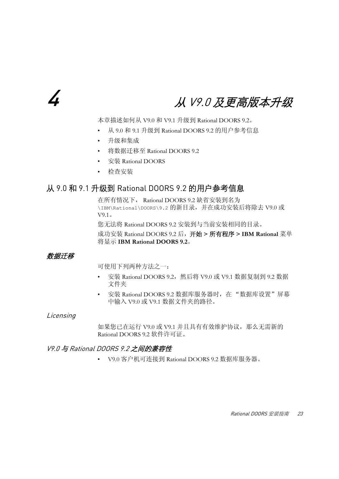# <span id="page-32-0"></span>4 从 V9.0 及更高版本升级

<span id="page-32-5"></span>本章描述如何从 V9.0 和 V9.1 升级到 Rational DOORS 9.2。

- 从 9.0 和 9.1 升级到 [Rational DOORS 9.2](#page-32-1) 的用户参考信息
- [升级和集成](#page-33-1)
- 将数据迁移至 [Rational DOORS 9.2](#page-33-2)
- 安装 [Rational DOORS](#page-34-0)
- [检查安装](#page-35-0)

### <span id="page-32-1"></span>从 9.0 和 9.1 升级到 Rational DOORS 9.2 的用户参考信息

在所有情况下, Rational DOORS 9.2 缺省安装到名为 \IBM\Rational\DOORS\9.2 的新目录,并在成功安装后将除去 V9.0 或 V9.1。

您无法将 Rational DOORS 9.2 安装到与当前安装相同的目录。

成功安装 Rational DOORS 9.2 后,开始 **>** 所有程序 **> IBM Rational** 菜单 将显示 **IBM Rational DOORS 9.2**。

#### <span id="page-32-2"></span>数据迁移

可使用下列两种方法之一:

- 安装 Rational DOORS 9.2,然后将 V9.0 或 V9.1 数据复制到 9.2 数据 文件夹
- 安装 Rational DOORS 9.2 数据库服务器时, 在"数据库设置"屏幕 中输入 V9.0 或 V9.1 数据文件夹的路径。

#### <span id="page-32-3"></span>Licensing

如果您已在运行 V9.0 或 V9.1 并且具有有效维护协议,那么无需新的 Rational DOORS 9.2 软件许可证。

#### <span id="page-32-4"></span>V9.0 与 Rational DOORS 9.2 之间的兼容性

• V9.0 客户机可连接到 Rational DOORS 9.2 数据库服务器。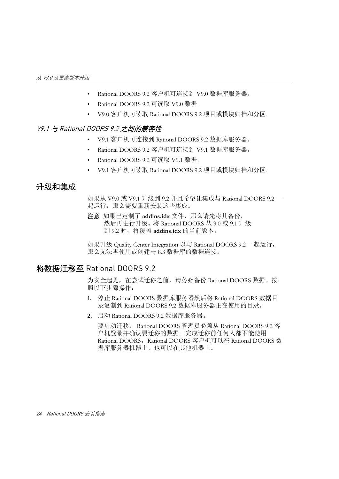- Rational DOORS 9.2 客户机可连接到 V9.0 数据库服务器。
- Rational DOORS 9.2 可读取 V9.0 数据。
- V9.0 客户机可读取 Rational DOORS 9.2 项目或模块归档和分区。

#### <span id="page-33-0"></span>V9.1 与 Rational DOORS 9.2 之间的兼容性

- V9.1 客户机可连接到 Rational DOORS 9.2 数据库服务器。
- Rational DOORS 9.2 客户机可连接到 V9.1 数据库服务器。
- Rational DOORS 9.2 可读取 V9.1 数据。
- V9.1 客户机可读取 Rational DOORS 9.2 项目或模块归档和分区。

#### <span id="page-33-1"></span>升级和集成

如果从 V9.0 或 V9.1 升级到 9.2 并且希望让集成与 Rational DOORS 9.2 一 起运行,那么需要重新安装这些集成。

注意如果已定制了 **addins.idx** 文件,那么请先将其备份, 然后再进行升级。将 Rational DOORS 从 9.0 或 9.1 升级 到 9.2 时,将覆盖 **addins.idx** 的当前版本。

如果升级 Quality Center Integration 以与 Rational DOORS 9.2 一起运行, 那么无法再使用或创建与 8.3 数据库的数据连接。

#### <span id="page-33-2"></span>将数据迁移至 Rational DOORS 9.2

为安全起见,在尝试迁移之前,请务必备份 Rational DOORS 数据。按 照以下步骤操作:

- **1.** 停止 Rational DOORS 数据库服务器然后将 Rational DOORS 数据目 录复制到 Rational DOORS 9.2 数据库服务器正在使用的目录。
- **2.** 启动 Rational DOORS 9.2 数据库服务器。

要启动迁移, Rational DOORS 管理员必须从 Rational DOORS 9.2 客 户机登录并确认要迁移的数据。完成迁移前任何人都不能使用 Rational DOORS。Rational DOORS 客户机可以在 Rational DOORS 数 据库服务器机器上,也可以在其他机器上。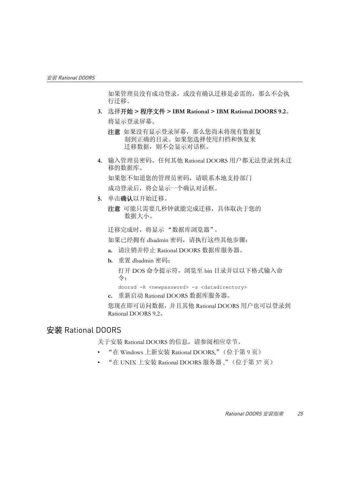如果管理员没有成功登录,或没有确认迁移是必需的,那么不会执 行迁移。

- **3.** 选择开始 **>** 程序文件 **> IBM Rational > IBM Rational DOORS 9.2**。 将显示登录屏幕。
	- 注意如果没有显示登录屏幕,那么您尚未将现有数据复 制到正确的目录。如果您选择使用归档和恢复来 迁移数据, 则不会显示对话框。
- **4.** 输入管理员密码。任何其他 Rational DOORS 用户都无法登录到未迁 移的数据库。 如果您不知道您的管理员密码,请联系本地支持部门 成功登录后,将会显示一个确认对话框。
- **5.** 单击确认以开始迁移。
	- 注意可能只需要几秒钟就能完成迁移,具体取决于您的 数据大小。

迁移完成时,将显示 "数据库浏览器"。

如果已经拥有 dbadmin 密码,请执行这些其他步骤:

- **a.** 请注销并停止 Rational DOORS 数据库服务器。
- **b.** 重置 dbadmin 密码:

打开 DOS 命令提示符,浏览至 bin 目录并以以下格式输入命 令:

doorsd -R <newpassword> -s <datadirectory>

**c.** 重新启动 Rational DOORS 数据库服务器。 您现在即可访问数据,并且其他 Rational DOORS 用户也可以登录到 Rational DOORS 9.2。

#### <span id="page-34-0"></span>安装 Rational DOORS

关于安装 Rational DOORS 的信息,请参阅相应章节。

- "在 Windows 上新安装 [Rational DOORS,](#page-18-2)"(位于第 9 页)
- "在 UNIX 上安装 [Rational DOORS](#page-46-3) 服务器 ,"(位于第 37 页)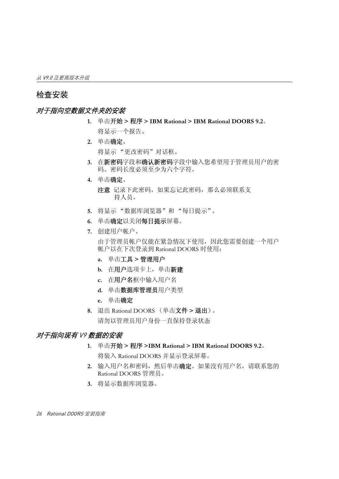#### <span id="page-35-0"></span>检查安装

#### <span id="page-35-1"></span>对于指向空数据文件夹的安装

- **1.** 单击开始 **>** 程序 **> IBM Rational > IBM Rational DOORS 9.2**。 将显示一个报告。
- **2.** 单击确定。 将显示 "更改密码"对话框。
- **3.** 在新密码字段和确认新密码字段中输入您希望用于管理员用户的密 码。密码长度必须至少为六个字符。
- **4.** 单击确定。
	- 注意记录下此密码。如果忘记此密码,那么必须联系支 持人员。
- **5.** 将显示 "数据库浏览器"和 "每日提示"。
- **6.** 单击确定以关闭每日提示屏幕。
- **7.** 创建用户帐户。

由于管理员帐户仅能在紧急情况下使用,因此您需要创建一个用户 帐户以在下次登录到 Rational DOORS 时使用:

- **a.** 单击工具 **>** 管理用户
- **b.** 在用户选项卡上,单击新建
- **c.** 在用户名框中输入用户名
- **d.** 单击数据库管理员用户类型
- **e.** 单击确定
- **8.** 退出 Rational DOORS (单击文件 **>** 退出)。 请勿以管理员用户身份一直保持登录状态

#### <span id="page-35-2"></span>对于指向现有 V9 数据的安装

- **1.** 单击开始 **>** 程序 **>IBM Rational > IBM Rational DOORS 9.2**。 将装入 Rational DOORS 并显示登录屏幕。
- 2. 输入用户名和密码, 然后单击**确定**。如果没有用户名, 请联系您的 Rational DOORS 管理员。
- **3.** 将显示数据库浏览器。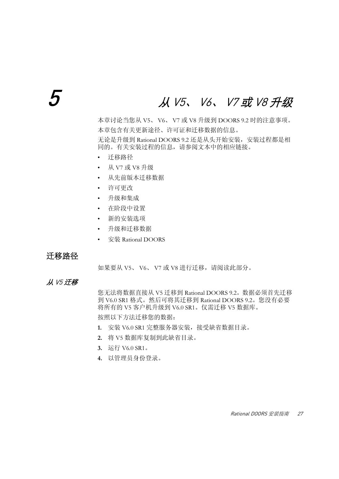## 5 <sup>从</sup> V5、 V6、 V7 或 V8 升级

<span id="page-36-1"></span>本章讨论当您从 V5、 V6、 V7 或 V8 升级到 DOORS 9.2 时的注意事项。 本章包含有关更新途径、许可证和迁移数据的信息。 无论是升级到 Rational DOORS 9.2 还是从头开始安装,安装过程都是相 同的。有关安装过程的信息,请参阅文本中的相应链接。

- [迁移路径](#page-36-0)
- 从 V7 或 V8 [升级](#page-37-0)
- [从先前版本迁移数据](#page-38-0)
- [许可更改](#page-39-0)
- [升级和集成](#page-40-0)
- [在阶段中设置](#page-40-1)
- [新的安装选项](#page-41-0)
- [升级和迁移数据](#page-41-1)
- 安装 [Rational DOORS](#page-43-0)

#### <span id="page-36-0"></span>迁移路径

如果要从 V5、 V6、 V7 或 V8 进行迁移, 请阅读此部分。

### 从 V5 迁移

您无法将数据直接从 V5 迁移到 Rational DOORS 9.2。数据必须首先迁移 到 V6.0 SR1 格式。然后可将其迁移到 Rational DOORS 9.2。您没有必要 将所有的 V5 客户机升级到 V6.0 SR1。仅需迁移 V5 数据库。 按照以下方法迁移您的数据:

- **1.** 安装 V6.0 SR1 完整服务器安装,接受缺省数据目录。
- **2.** 将 V5 数据库复制到此缺省目录。
- **3.** 运行 V6.0 SR1。
- **4.** 以管理员身份登录。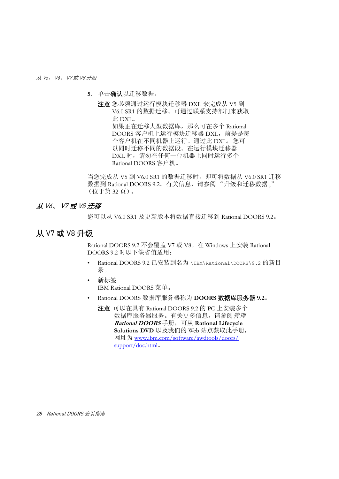**5.** 单击确认以迁移数据。

注意 您必须通过运行模块迁移器 DXL 来完成从 V5 到 V6.0 SR1 的数据迁移。可通过联系支持部门来获取 此 DXL。 如果正在迁移大型数据库,那么可在多个 Rational DOORS 客户机上运行模块迁移器 DXL,前提是每 个客户机在不同机器上运行。通过此 DXL,您可 以同时迁移不同的数据段。在运行模块迁移器 DXL 时, 请勿在任何一台机器上同时运行多个 Rational DOORS 客户机。

当您完成从 V5 到 V6.0 SR1 的数据迁移时,即可将数据从 V6.0 SR1 迁移 数据到 Rational DOORS 9.2。有关信息,请参阅"升级和迁移数据," [\(位于第](#page-41-1) 32 页)。

#### 从 V6、 V7 或 V8 迁移

您可以从 V6.0 SR1 及更新版本将数据直接迁移到 Rational DOORS 9.2。

## <span id="page-37-0"></span>从 V7 或 V8 升级

Rational DOORS 9.2 不会覆盖 V7 或 V8。在 Windows 上安装 Rational DOORS 9.2 时以下缺省值适用:

- Rational DOORS 9.2 已安装到名为 \IBM\Rational\DOORS\9.2 的新目 录。
- 新标签 IBM Rational DOORS 菜单。
- Rational DOORS 数据库服务器称为 **DOORS** 数据库服务器 **9.2**。
	- 注意可以在具有 Rational DOORS 9.2 的 PC 上安装多个 数据库服务器服务。有关更多信息, 请参阅*管理* **Rational DOORS** 手册,可从 **Rational Lifecycle Solutions DVD** 以及我们的 Web 站点获取此手册, 网址为 www.ibm.com/software/awdtools/doors/ support/doc.html。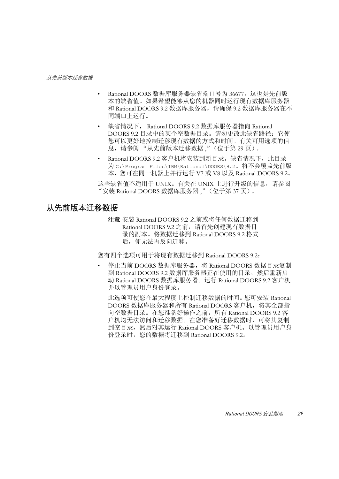- Rational DOORS 数据库服务器缺省端口号为 36677, 这也是先前版 本的缺省值。如果希望能够从您的机器同时运行现有数据库服务器 和 Rational DOORS 9.2 数据库服务器,请确保 9.2 数据库服务器在不 同端口上运行。
- 缺省情况下, Rational DOORS 9.2 数据库服务器指向 Rational DOORS 9.2 目录中的某个空数据目录。请勿更改此缺省路径: 它使 您可以更好地控制迁移现有数据的方式和时间。有关可用选项的信 息,请参阅 ["从先前版本迁移数据](#page-38-0) ,"(位于第 29 页)。
- Rational DOORS 9.2 客户机将安装到新目录。缺省情况下, 此目录 为 C:\Program Files\IBM\Rational\DOORS\9.2。将不会覆盖先前版 本,您可在同一机器上并行运行 V7 或 V8 以及 Rational DOORS 9.2。

这些缺省值不适用于 UNIX。有关在 UNIX 上进行升级的信息,请参阅 "安装 [Rational DOORS](#page-46-0) 数据库服务器 ,"(位于第 37 页)。

## <span id="page-38-0"></span>从先前版本迁移数据

注意 安装 Rational DOORS 9.2 之前或将任何数据迁移到 Rational DOORS 9.2 之前, 请首先创建现有数据目 录的副本。将数据迁移到 Rational DOORS 9.2 格式 后,便无法再反向迁移。

您有四个选项可用于将现有数据迁移到 Rational DOORS 9.2:

停止当前 DOORS 数据库服务器, 将 Rational DOORS 数据目录复制 到 Rational DOORS 9.2 数据库服务器正在使用的目录, 然后重新启 动 Rational DOORS 数据库服务器。运行 Rational DOORS 9.2 客户机 并以管理员用户身份登录。

此选项可使您在最大程度上控制迁移数据的时间。您可安装 Rational DOORS 数据库服务器和所有 Rational DOORS 客户机, 将其全部指 向空数据目录。在您准备好操作之前,所有 Rational DOORS 9.2 客 户机均无法访问和迁移数据。在您准备好迁移数据时,可将其复制 到空目录,然后对其运行 Rational DOORS 客户机。以管理员用户身 份登录时, 您的数据将迁移到 Rational DOORS 9.2。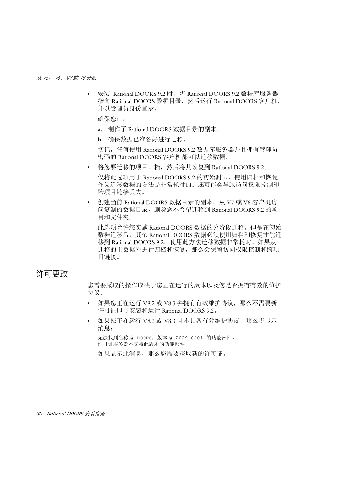• 安装 Rational DOORS 9.2 时,将 Rational DOORS 9.2 数据库服务器 指向 Rational DOORS 数据目录, 然后运行 Rational DOORS 客户机, 并以管理员身份登录。

确保您已:

- **a.** 制作了 Rational DOORS 数据目录的副本。
- **b.** 确保数据已准备好进行迁移。

切记,任何使用 Rational DOORS 9.2 数据库服务器并且拥有管理员 密码的 Rational DOORS 客户机都可以迁移数据。

将您要迁移的项目归档,然后将其恢复到 Rational DOORS 9.2。

仅将此选项用于 Rational DOORS 9.2 的初始测试。使用归档和恢复 作为迁移数据的方法是非常耗时的。还可能会导致访问权限控制和 跨项目链接丢失。

• 创建当前 Rational DOORS 数据目录的副本。从 V7 或 V8 客户机访 问复制的数据目录,删除您不希望迁移到 Rational DOORS 9.2 的项 目和文件夹。

此选项允许您实施 Rational DOORS 数据的分阶段迁移。但是在初始 数据迁移后,其余 Rational DOORS 数据必须使用归档和恢复才能迁 移到 Rational DOORS 9.2。使用此方法迁移数据非常耗时。如果从 迁移的主数据库进行归档和恢复,那么会保留访问权限控制和跨项 目链接。

## <span id="page-39-0"></span>许可更改

您需要采取的操作取决于您正在运行的版本以及您是否拥有有效的维护 协议:

- 如果您正在运行 V8.2 或 V8.3 并拥有有效维护协议,那么不需要新 许可证即可安装和运行 Rational DOORS 9.2。
- 如果您正在运行 V8.2 或 V8.3 且不具备有效维护协议,那么将显示 消息:

无法找到名称为 DOORS,版本为 2009.0601 的功能部件。 许可证服务器不支持此版本的功能部件

如果显示此消息,那么您需要获取新的许可证。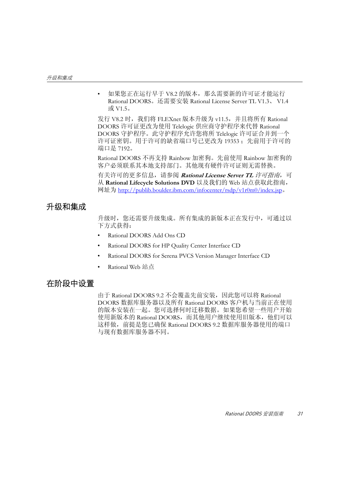如果您正在运行早于 V8.2 的版本, 那么需要新的许可证才能运行 Rational DOORS。还需要安装 Rational License Server TL V1.3、 V1.4 或 V1.5。

发行 V8.2 时,我们将 FLEXnet 版本升级为 v11.5, 并且将所有 Rational DOORS 许可证更改为使用 Telelogic 供应商守护程序来代替 Rational DOORS 守护程序。此守护程序允许您将所 Telelogic 许可证合并到一个 许可证密钥。用于许可的缺省端口号已更改为 19353; 先前用于许可的 端口是 7192。

Rational DOORS 不再支持 Rainbow 加密狗。先前使用 Rainbow 加密狗的 客户必须联系其本地支持部门。其他现有硬件许可证则无需替换。

有关许可的更多信息,请参阅 **Rational License Server TL** 许可指南,可 从 **Rational Lifecycle Solutions DVD** 以及我们的 Web 站点获取此指南, 网址为 http://publib.boulder.ibm.com/infocenter/rsdp/v1r0m0/index.jsp。

## <span id="page-40-0"></span>升级和集成

升级时, 您还需要升级集成。所有集成的新版本正在发行中, 可通过以 下方式获得:

- Rational DOORS Add Ons CD
- Rational DOORS for HP Quality Center Interface CD
- Rational DOORS for Serena PVCS Version Manager Interface CD
- **Rational Web 站占**

## <span id="page-40-1"></span>在阶段中设置

由于 Rational DOORS 9.2 不会覆盖先前安装,因此您可以将 Rational DOORS 数据库服务器以及所有 Rational DOORS 客户机与当前正在使用 的版本安装在一起。您可选择何时迁移数据。如果您希望一些用户开始 使用新版本的 Rational DOORS,而其他用户继续使用旧版本,他们可以 这样做,前提是您已确保 Rational DOORS 9.2 数据库服务器使用的端口 与现有数据库服务器不同。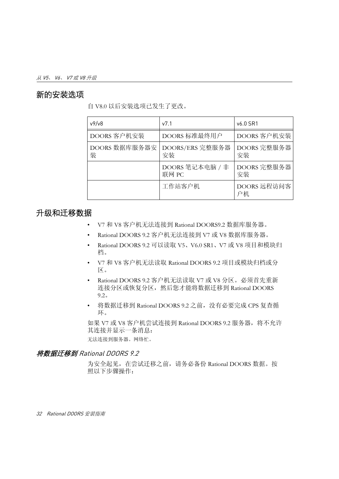## <span id="page-41-0"></span>新的安装选项

自 V8.0 以后安装选项已发生了更改。

| v9/v8              | v7.1                     | v6.0 SR1          |
|--------------------|--------------------------|-------------------|
| DOORS 客户机安装        | DOORS 标准最终用户             | DOORS 客户机安装       |
| DOORS 数据库服务器安<br>装 | DOORS/ERS 完整服务器<br>安装    | DOORS 完整服务器<br>安装 |
|                    | DOORS 笔记本电脑 / 非<br>联网 PC | DOORS 完整服务器<br>安装 |
|                    | 工作站客户机                   | DOORS 远程访问客<br>户机 |

## <span id="page-41-1"></span>升级和迁移数据

- V7 和 V8 客户机无法连接到 Rational DOORS9.2 数据库服务器。
- Rational DOORS 9.2 客户机无法连接到 V7 或 V8 数据库服务器。
- Rational DOORS 9.2 可以读取 V5、V6.0 SR1、V7 或 V8 项目和模块归 档。
- V7 和 V8 客户机无法读取 Rational DOORS 9.2 项目或模块归档或分 区。
- Rational DOORS 9.2 客户机无法读取 V7 或 V8 分区。必须首先重新 连接分区或恢复分区,然后您才能将数据迁移到 Rational DOORS 9.2。
- 将数据迁移到 Rational DOORS 9.2 之前,没有必要完成 CPS 复查循 环。

如果 V7 或 V8 客户机尝试连接到 Rational DOORS 9.2 服务器, 将不允许 其连接并显示一条消息:

无法连接到服务器。网络忙。

#### 将数据迁移到 Rational DOORS 9.2

为安全起见,在尝试迁移之前,请务必备份 Rational DOORS 数据。按 照以下步骤操作: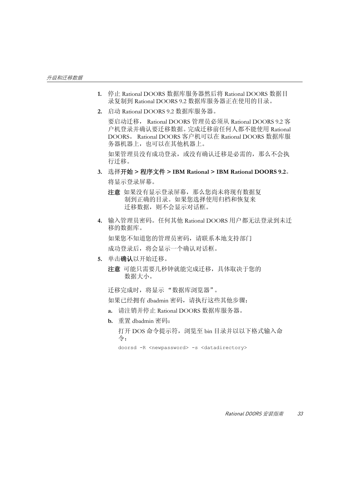- **1.** 停止 Rational DOORS 数据库服务器然后将 Rational DOORS 数据目 录复制到 Rational DOORS 9.2 数据库服务器正在使用的目录。
- **2.** 启动 Rational DOORS 9.2 数据库服务器。

要启动迁移, Rational DOORS 管理员必须从 Rational DOORS 9.2 客 户机登录并确认要迁移数据。完成迁移前任何人都不能使用 Rational DOORS。 Rational DOORS 客户机可以在 Rational DOORS 数据库服 务器机器上,也可以在其他机器上。

如果管理员没有成功登录,或没有确认迁移是必需的,那么不会执 行迁移。

- **3.** 选择开始 **>** 程序文件 **> IBM Rational > IBM Rational DOORS 9.2**。 将显示登录屏幕。
	- 注意如果没有显示登录屏幕,那么您尚未将现有数据复 制到正确的目录。如果您选择使用归档和恢复来 迁移数据,则不会显示对话框。
- **4.** 输入管理员密码。任何其他 Rational DOORS 用户都无法登录到未迁 移的数据库。 如果您不知道您的管理员密码,请联系本地支持部门 成功登录后,将会显示一个确认对话框。
- **5.** 单击确认以开始迁移。
	- 注意可能只需要几秒钟就能完成迁移,具体取决于您的 数据大小。

迁移完成时,将显示 "数据库浏览器"。

如果已经拥有 dbadmin 密码,请执行这些其他步骤:

- **a.** 请注销并停止 Rational DOORS 数据库服务器。
- **b.** 重置 dbadmin 密码:

打开 DOS 命令提示符,浏览至 bin 目录并以以下格式输入命 令:

doorsd -R <newpassword> -s <datadirectory>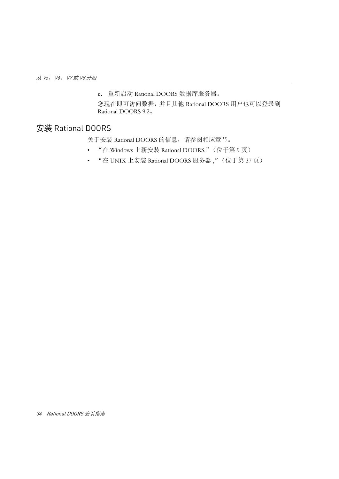**c.** 重新启动 Rational DOORS 数据库服务器。

您现在即可访问数据,并且其他 Rational DOORS 用户也可以登录到 Rational DOORS 9.2。

## <span id="page-43-0"></span>安装 Rational DOORS

关于安装 Rational DOORS 的信息, 请参阅相应章节。

- "在 Windows 上新安装 [Rational DOORS,](#page-18-0)"(位于第 9 页)
- "在 UNIX 上安装 [Rational DOORS](#page-46-1) 服务器 ,"(位于第 37 页)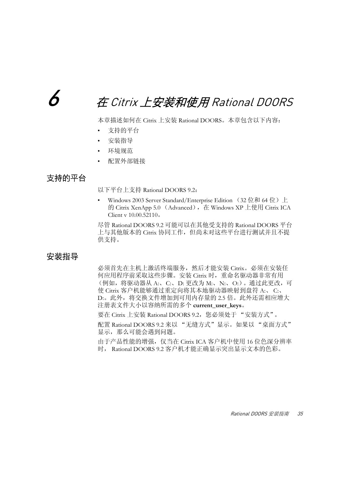# $\bm{b}$  and  $\bm{\bar{x}}$  Citrix 上安装和使用 Rational DOORS and

本章描述如何在 Citrix 上安装 Rational DOORS。本章包含以下内容:

- [支持的平台](#page-44-0)
- [安装指导](#page-44-1)
- [环境规范](#page-45-0)
- [配置外部链接](#page-45-1)

## <span id="page-44-0"></span>支持的平台

以下平台上支持 Rational DOORS 9.2:

Windows 2003 Server Standard/Enterprise Edition (32 位和 64 位) 上 的 Citrix XenApp 5.0 (Advanced),在 Windows XP 上使用 Citrix ICA Client v 10.00.52110。

尽管 Rational DOORS 9.2 可能可以在其他受支持的 Rational DOORS 平台 上与其他版本的 Citrix 协同工作,但尚未对这些平台进行测试并且不提 供支持。

## <span id="page-44-1"></span>安装指导

必须首先在主机上激活终端服务,然后才能安装 Citrix。必须在安装任 何应用程序前采取这些步骤。安装 Citrix 时,重命名驱动器非常有用 (例如,将驱动器从 A:、C:、D: 更改为 M:、N:、O:)。通过此更改,可 使 Citrix 客户机能够通过重定向将其本地驱动器映射到盘符 A:、 C:、 D:。此外,将交换文件增加到可用内存量的 2.5 倍。此外还需相应增大 注册表文件大小以容纳所需的多个 **current\_user\_keys**。

要在 Citrix 上安装 Rational DOORS 9.2, 您必须处于"安装方式"。

配置 Rational DOORS 9.2 来以 "无缝方式"显示。如果以 "桌面方式" 显示,那么可能会遇到问题。

由于产品性能的增强,仅当在 Citrix ICA 客户机中使用 16 位色深分辨率 时, Rational DOORS 9.2 客户机才能正确显示突出显示文本的色彩。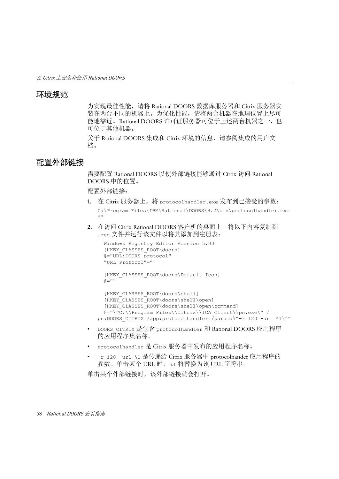## <span id="page-45-0"></span>环境规范

为实现最佳性能,请将 Rational DOORS 数据库服务器和 Citrix 服务器安 装在两台不同的机器上。为优化性能,请将两台机器在地理位置上尽可 能地靠近。Rational DOORS 许可证服务器可位于上述两台机器之一, 也 可位于其他机器。

关于 Rational DOORS 集成和 Citrix 环境的信息,请参阅集成的用户文 档。

## <span id="page-45-1"></span>配置外部链接

需要配置 Rational DOORS 以使外部链接能够通过 Citrix 访问 Rational DOORS 中的位置。

配置外部链接:

- **1.** 在 Citrix 服务器上,将 protocolhandler.exe 发布到已接受的参数: C:\Program Files\IBM\Rational\DOORS\9.2\bin\protocolhandler.exe  $\frac{6}{5}$   $\star$
- **2.** 在访问 Citrix Rational DOORS 客户机的桌面上,将以下内容复制到 .reg 文件并运行该文件以将其添加到注册表:

```
 Windows Registry Editor Version 5.00
   [HKEY_CLASSES_ROOT\doors]
   @="URL:DOORS protocol"
   "URL Protocol"=""
   [HKEY_CLASSES_ROOT\doors\Default Icon]
  a = 0 [HKEY_CLASSES_ROOT\doors\shell]
   [HKEY_CLASSES_ROOT\doors\shell\open]
   [HKEY_CLASSES_ROOT\doors\shell\open\command]
   @="\"C:\\Program Files\\Citrix\\ICA Client\\pn.exe\" /
pn:DOORS CITRIX /app:protocolhandler /param:\"-r 120 -url %1\""
```
- DOORS CITRIX 是包含 protocolhandler 和 Rational DOORS 应用程序 的应用程序集名称。
- protocolhandler 是 Citrix 服务器中发布的应用程序名称。
- -r 120 -url %1 是传递给 Citrix 服务器中 protocolhander 应用程序的 参数。单击某个 URL 时, %1 将替换为该 URL 字符串。

单击某个外部链接时,该外部链接就会打开。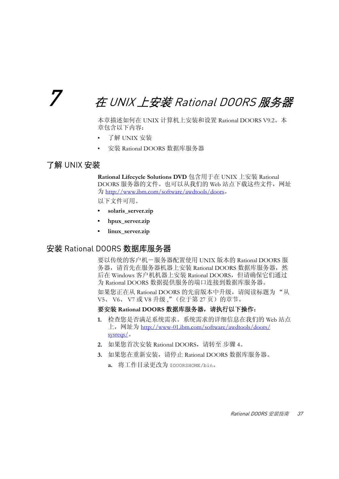## <span id="page-46-1"></span>7 <sup>在</sup> UNIX 上安装 Rational DOORS 服务器

本章描述如何在 UNIX 计算机上安装和设置 Rational DOORS V9.2。本 章包含以下内容:

- 了解 [UNIX](#page-46-2) 安装
- 安装 [Rational DOORS](#page-46-3) 数据库服务器

## <span id="page-46-2"></span>了解 UNIX 安装

**Rational Lifecycle Solutions DVD** 包含用于在 UNIX 上安装 Rational DOORS 服务器的文件。也可以从我们的 Web 站点下载这些文件,网址 为 http://www.ibm.com/software/awdtools/doors。

以下文件可用。

- **solaris\_server.zip**
- **hpux\_server.zip**
- **linux\_server.zip**

## <span id="page-46-3"></span><span id="page-46-0"></span>安装 Rational DOORS 数据库服务器

要以传统的客户机-服务器配置使用 UNIX 版本的 Rational DOORS 服 务器,请首先在服务器机器上安装 Rational DOORS 数据库服务器, 然 后在 Windows 客户机机器上安装 Rational DOORS,但请确保它们通过 为 Rational DOORS 数据提供服务的端口连接到数据库服务器。

如果您正在从 Rational DOORS 的先前版本中升级, 请阅读标题为"从 V5、 V6、 V7 或 V8 升级,["\(位于第](#page-36-1) 27 页)的章节。

#### <span id="page-46-4"></span>要安装 **Rational DOORS** 数据库服务器,请执行以下操作:

- **1.** 检查您是否满足系统需求。系统需求的详细信息在我们的 Web 站点 上, 网址为 http://www-01.ibm.com/software/awdtools/doors/ sysreqs/<sub>o</sub>
- **2.** 如果您首次安装 Rational DOORS,请转至 [步骤](#page-47-0) 4。
- **3.** 如果您在重新安装,请停止 Rational DOORS 数据库服务器。
	- **a.** 将工作目录更改为 \$DOORSHOME/bin。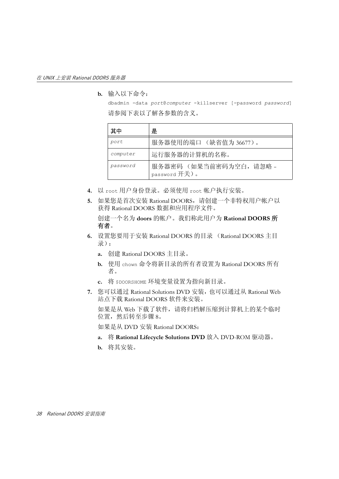**b.** 输入以下命令:

dbadmin -data *port*@*computer* -killserver [-password *password*] 请参阅下表以了解各参数的含义。

| 其中       | 是                                      |
|----------|----------------------------------------|
| port     | 服务器使用的端口 (缺省值为 36677)。                 |
| computer | 运行服务器的计算机的名称。                          |
| password | 服务器密码 (如果当前密码为空白,请忽略-<br>password 开关)。 |

- <span id="page-47-0"></span>**4.** 以 root 用户身份登录。必须使用 root 帐户执行安装。
- **5.** 如果您是首次安装 Rational DOORS,请创建一个非特权用户帐户以 获得 Rational DOORS 数据和应用程序文件。

创建一个名为 **doors** 的帐户。我们称此用户为 **Rational DOORS** 所 有者。

- <span id="page-47-2"></span><span id="page-47-1"></span>**6.** 设置您要用于安装 Rational DOORS 的目录 (Rational DOORS 主目 录):
	- **a.** 创建 Rational DOORS 主目录。
	- **b.** 使用 chown 命令将新目录的所有者设置为 Rational DOORS 所有 者。
	- **c.** 将 \$DOORSHOME 环境变量设置为指向新目录。
- **7.** 您可以通过 Rational Solutions DVD 安装,也可以通过从 Rational Web 站点下载 Rational DOORS 软件来安装。

如果是从 Web 下载了软件,请将归档解压缩到计算机上的某个临时 位置,然后转至[步骤](#page-48-0) 8。

如果是从 DVD 安装 Rational DOORS:

- **a.** 将 **Rational Lifecycle Solutions DVD** 放入 DVD-ROM 驱动器。
- **b.** 将其安装。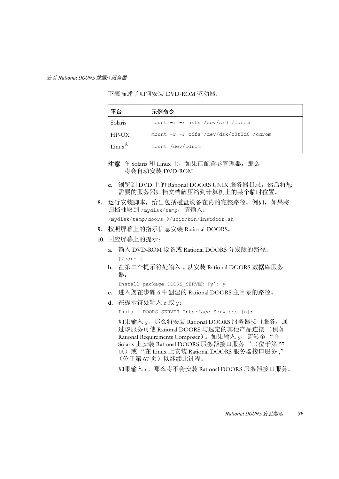下表描述了如何安装 DVD-ROM 驱动器:

| 平台                  | 示例命令                                    |
|---------------------|-----------------------------------------|
| Solaris             | mount -r -F hsfs /dev/sr0 /cdrom        |
| HP-UX               | mount -r -F cdfs /dev/dsk/c0t2d0 /cdrom |
| $Linux^{\circledR}$ | mount /dev/cdrom                        |

注意 在 Solaris 和 Linux 上, 如果已配置卷管理器, 那么 将会自动安装 DVD-ROM。

- c. 浏览到 DVD 上的 Rational DOORS UNIX 服务器目录,然后将您 需要的服务器归档文档解压缩到计算机上的某个临时位置。
- <span id="page-48-0"></span>**8.** 运行安装脚本,给出包括磁盘设备在内的完整路径。例如,如果将 归档抽取到 /mydisk/temp,请输入:

<span id="page-48-1"></span>/mydisk/temp/doors\_9/unix/bin/instdoor.sh

- **9.** 按照屏幕上的指示信息安装 Rational DOORS。
- **10.** 回应屏幕上的提示:
	- **a.** 输入 DVD-ROM 设备或 Rational DOORS 分发版的路径:

[/cdrom]

**b.** 在第二个提示符处输入 y 以安装 Rational DOORS 数据库服务 器:

Install package DOORS\_SERVER [y]: y

- **c.** 进入您在[步骤](#page-47-1) 6 中创建的 Rational DOORS 主目录的路径。
- **d.** 在提示符处输入 n 或 y:

Install DOORS SERVER Interface Services [n]:

如果输入 y, 那么将安装 Rational DOORS 服务器接口服务, 通 过该服务可使 Rational DOORS 与选定的其他产品连接 (例如 Rational Requirements Composer)。如果输入 v, 请转至"在 Solaris 上安装 [Rational DOORS](#page-66-0) 服务器接口服务 ,"(位于第 57 [页\)或](#page-66-0) "在 Linux 上安装 [Rational DOORS](#page-76-0) 服务器接口服务 ," [\(位于第](#page-76-0)67页)以继续此过程。

如果输入 n,那么将不会安装 Rational DOORS 服务器接口服务。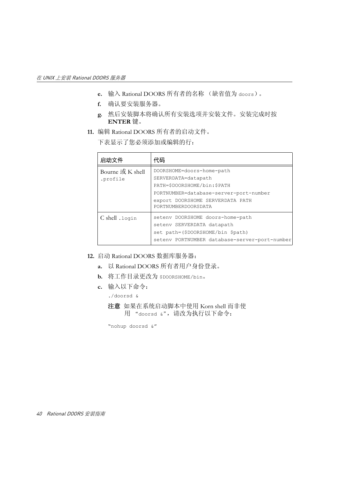- **e.** 输入 Rational DOORS 所有者的名称 (缺省值为 doors)。
- **f.** 确认要安装服务器。
- **g.** 然后安装脚本将确认所有安装选项并安装文件。安装完成时按 **ENTER** 键。
- **11.** 编辑 Rational DOORS 所有者的启动文件。

下表显示了您必须添加或编辑的行:

| 启动文件                         | 代码                                                                                                                                                                                   |
|------------------------------|--------------------------------------------------------------------------------------------------------------------------------------------------------------------------------------|
| Bourne 或 K shell<br>.profile | DOORSHOME=doors-home-path<br>SERVERDATA=datapath<br>PATH=\$DOORSHOME/bin:\$PATH<br>PORTNUMBER=database-server-port-number<br>export DOORSHOME SERVERDATA PATH<br>PORTNUMBERDOORSDATA |
| C shell .login               | setenv DOORSHOME doors-home-path<br>setenv SERVERDATA datapath<br>set path=(\$DOORSHOME/bin \$path)<br>setenv PORTNUMBER database-server-port-number                                 |

- **12.** 启动 Rational DOORS 数据库服务器:
	- **a.** 以 Rational DOORS 所有者用户身份登录。
	- **b.** 将工作目录更改为 \$DOORSHOME/bin。
	- **c.** 输入以下命令:
		- ./doorsd &
		- 注意如果在系统启动脚本中使用 Korn shell 而非使 用 "doorsd &",请改为执行以下命令:

```
"nohup doorsd &"
```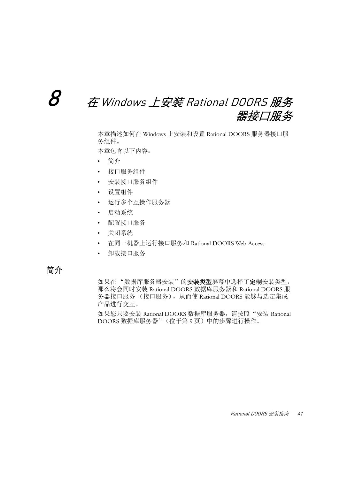## $\mathcal S$   $\qquad \text{\#}$  Windows 上安装 Rational DOORS 服务 器接口服务

本章描述如何在 Windows 上安装和设置 Rational DOORS 服务器接口服 务组件。

本章包含以下内容:

- [简介](#page-50-0)
- [接口服务组件](#page-51-0)
- [安装接口服务组件](#page-51-1)
- [设置组件](#page-53-0)
- [运行多个互操作服务器](#page-57-0)
- [启动系统](#page-58-0)
- [配置接口服务](#page-58-1)
- [关闭系统](#page-62-0)
- 在同一机器上运行接口服务和 [Rational DOORS Web Access](#page-63-0)
- [卸载接口服务](#page-65-0)

<span id="page-50-0"></span>简介

如果在"数据库服务器安装"的安装类型屏幕中选择了定制安装类型, 那么将会同时安装 Rational DOORS 数据库服务器和 Rational DOORS 服 务器接口服务 (接口服务),从而使 Rational DOORS 能够与选定集成 产品进行交互。

如果您只要安装 Rational DOORS 数据库服务器,请按照"安装 [Rational](#page-18-1)  DOORS [数据库服务器"\(位于第](#page-18-1) 9 页)中的步骤进行操作。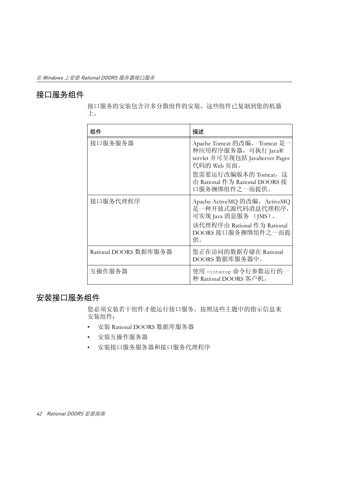## <span id="page-51-0"></span>接口服务组件

接口服务的安装包含许多分散组件的安装。这些组件已复制到您的机器 上。

| 组件                    | 描述                                                                                                                                                                               |
|-----------------------|----------------------------------------------------------------------------------------------------------------------------------------------------------------------------------|
| 接口服务服务器               | Apache Tomcat 的改编。 Tomcat 是一<br>种应用程序服务器, 可执行 Java®<br>servlet 并可呈现包括 JavaServer Pages<br>代码的 Web 页面。<br>您需要运行改编版本的 Tomcat, 这<br>由 Rational 作为 Rational DOORS 接<br>口服务捆绑组件之一而提供。 |
| 接口服务代理程序              | Apache ActiveMQ 的改编。ActiveMQ<br>是一种开放式源代码消息代理程序,<br>可实现 Java 消息服务 (JMS)。<br>该代理程序由 Rational 作为 Rational<br>DOORS 接口服务捆绑组件之一而提<br>供。                                              |
| Rational DOORS 数据库服务器 | 您正在访问的数据存储在 Rational<br>DOORS 数据库服务器中。                                                                                                                                           |
| 互操作服务器                | 使用 -interop 命令行参数运行的一<br>种 Rational DOORS 客户机。                                                                                                                                   |

## <span id="page-51-1"></span>安装接口服务组件

您必须安装若干组件才能运行接口服务。按照这些主题中的指示信息来 安装组件:

- 安装 [Rational DOORS](#page-52-0) 数据库服务器
- [安装互操作服务器](#page-53-1)
- [安装接口服务服务器和接口服务代理程序](#page-53-2)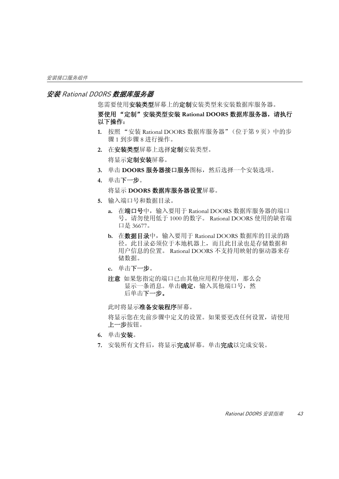#### <span id="page-52-0"></span>安装 Rational DOORS 数据库服务器

统需要使用安装类型席幕上的定制安装类型来安装数据库服务器。

要使用 "定制"安装类型安装 **Rational DOORS** 数据库服务器,请执行 以下操作:

- **1.** 按照 "安装 Rational DOORS [数据库服务器"\(位于第](#page-18-1) 9 页)中[的步](#page-18-2) [骤](#page-18-2) 1 [到步骤](#page-19-0) 8 进行操作。
- **2.** 在安装类型屏幕上选择定制安装类型。 将显示定制安装屏幕。
- 3. 单击 DOORS 服务器接口服务图标, 然后选择一个安装选项。
- **4.** 单击下一步。

将显示 **DOORS** 数据库服务器设置屏幕。

- **5.** 输入端口号和数据目录。
	- **a.** 在端口号中,输入要用于 Rational DOORS 数据库服务器的端口 号。请勿使用低于 1000 的数字。 Rational DOORS 使用的缺省端 口是 36677。
	- **b.** 在数据目录中,输入要用于 Rational DOORS 数据库的目录的路 径。此目录必须位于本地机器上,而且此目录也是存储数据和 用户信息的位置。 Rational DOORS 不支持用映射的驱动器来存 储数据。
	- **c.** 单击下一步。
	- 注意如果您指定的端口已由其他应用程序使用,那么会 显示一条消息。单击确定,输入其他端口号,然 后单击下一步。

此时将显示准备安装程序屏幕。

将显示您在先前步骤中定义的设置。如果要更改任何设置,请使用 上一步按钮。

- **6.** 单击安装。
- 7. 安装所有文件后, 将显示**完成**屏幕。单击**完成**以完成安装。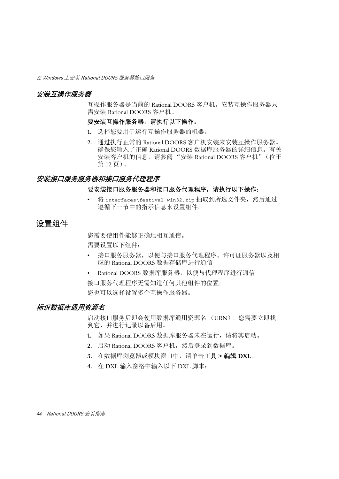#### <span id="page-53-1"></span>安装互操作服务器

互操作服务器是当前的 Rational DOORS 客户机。安装互操作服务器只 需安装 Rational DOORS 客户机。

#### 要安装互操作服务器,请执行以下操作:

- **1.** 选择您要用于运行互操作服务器的机器。
- **2.** 通过执行正常的 Rational DOORS 客户机安装来安装互操作服务器。 确保您输入了正确 Rational DOORS 数据库服务器的详细信息。有关 安装客户机的信息,请参阅 "安装 [Rational DOORS](#page-21-0) 客户机"(位于 第 12 [页\)。](#page-21-0)

#### <span id="page-53-2"></span>安装接口服务服务器和接口服务代理程序

#### 要安装接口服务服务器和接口服务代理程序,请执行以下操作:

将 interfaces\festival-win32.zip 抽取到所选文件夹, 然后通过 遵循下一节中的指示信息来设置组件。

## <span id="page-53-4"></span><span id="page-53-0"></span>设置组件

您需要使组件能够正确地相互通信。 需要设置以下组件:

- 接口服务服务器,以便与接口服务代理程序、许可证服务器以及相 应的 Rational DOORS 数据存储库进行通信
- Rational DOORS 数据库服务器,以便与代理程序进行通信 接口服务代理程序无需知道任何其他组件的位置。 您也可以选择设置多个互操作服务器。

#### <span id="page-53-3"></span>标识数据库通用资源名

启动接口服务后即会使用数据库通用资源名 (URN)。您需要立即找 到它,并进行记录以备后用。

- **1.** 如果 Rational DOORS 数据库服务器未在运行,请将其启动。
- 2. 启动 Rational DOORS 客户机, 然后登录到数据库。
- **3.** 在数据库浏览器或模块窗口中,请单击工具 **>** 编辑 **DXL**。
- **4.** 在 DXL 输入窗格中输入以下 DXL 脚本: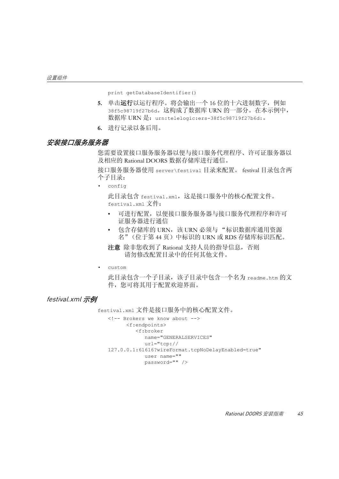print getDatabaseIdentifier()

- **5.** 单击运行以运行程序。将会输出一个 16 位的十六进制数字,例如 38f5c98719f27b6d。这构成了数据库 URN 的一部分。在本示例中, 数据库 URN 是: urn:telelogic:ers-38f5c98719f27b6d:。
- **6.** 进行记录以备后用。

#### 安装接口服务服务器

您需要设置接口服务服务器以便与接口服务代理程序、许可证服务器以 及相应的 Rational DOORS 数据存储库进行通信。

接口服务服务器使用 server\festival 目录来配置。 festival 目录包含两 个子目录:

• config

此目录包含 festival.xml,这是接口服务中的核心配置文件。 festival.xml 文件:

- 可进行配置,以便接口服务服务器与接口服务代理程序和许可 证服务器进行通信
- 包含存储库的 URN, 该 URN 必须与"标识数据库通用资源 [名"\(位于第](#page-53-3) 44 页)中标识的 URN 或 RDS 存储库标识匹配。
- 注意除非您收到了 Rational 支持人员的指导信息,否则 请勿修改配置目录中的任何其他文件。
- custom

此目录包含一个子目录,该子目录中包含一个名为 readme.htm 的文 件,您可将其用于配置欢迎界面。

#### festival.xml 示例

festival.xml 文件是接口服务中的核心配置文件。

```
<!-- Brokers we know about -->
       <f:endpoints>
          <f:broker 
             name="GENERALSERVICES" 
             url="tcp://
127.0.0.1:61616?wireFormat.tcpNoDelayEnabled=true"
             user name="" 
             password="" />
```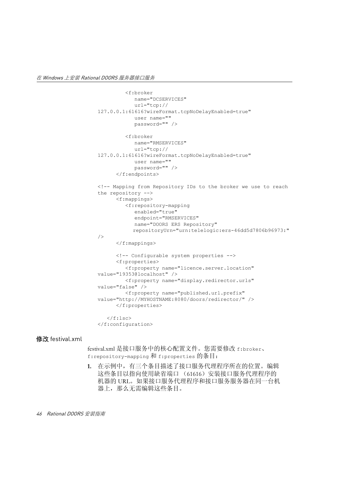```
 <f:broker 
              name="DCSERVICES" 
              url="tcp://
127.0.0.1:61616?wireFormat.tcpNoDelayEnabled=true"
              user name="" 
              password="" />
          <f:broker 
              name="RMSERVICES" 
              url="tcp://
127.0.0.1:61616?wireFormat.tcpNoDelayEnabled=true"
              user name="" 
              password="" /> 
       </f:endpoints>
<!-- Mapping from Repository IDs to the broker we use to reach 
the repository -->
       <f:mappings>
          <f:repository-mapping 
              enabled="true" 
              endpoint="RMSERVICES"
              name="DOORS ERS Repository"
             repositoryUrn="urn:telelogic:ers-46dd5d7806b96973:" 
/>
       </f:mappings>
       <!-- Configurable system properties -->
       <f:properties>
          <f:property name="licence.server.location" 
value="19353@localhost" />
          <f:property name="display.redirector.urls" 
value="false" />
          <f:property name="published.url.prefix" 
value="http://MYHOSTNAME:8080/doors/redirector/" /> 
       </f:properties>
   \langlef:lsc\rangle</f:configuration>
```
#### 修改 festival.xml

festival.xml 是接口服务中的核心配置文件。您需要修改 f:broker、 f:repository-mapping 和 f:properties 的条目:

**1.** 在示例中,有三个条目描述了接口服务代理程序所在的位置。编辑 这些条目以指向使用缺省端口 (61616)安装接口服务代理程序的 机器的 URL。如果接口服务代理程序和接口服务服务器在同一台机 器上,那么无需编辑这些条目。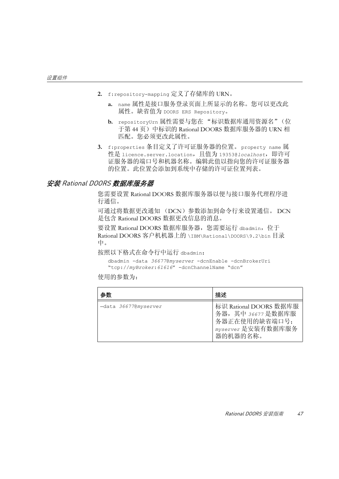- **2.** f:repository-mapping 定义了存储库的 URN。
	- **a.** name 属性是接口服务登录页面上所显示的名称。您可以更改此 属性。缺省值为 DOORS ERS Repository。
	- **b.** repositoryUrn 属性需要与您[在 "标识数据库通用资源名"\(位](#page-53-3) [于第](#page-53-3) 44 页)中标识的 Rational DOORS 数据库服务器的 URN 相 匹配。您必须更改此属性。
- **3.** f:properties 条目定义了许可证服务器的位置。property name 属 性是 licence.server.location,且值为 19353@*localhost*,即许可 证服务器的端口号和机器名称。编辑此值以指向您的许可证服务器 的位置。此位置会添加到系统中存储的许可证位置列表。

#### 安装 Rational DOORS 数据库服务器

您需要设置 Rational DOORS 数据库服务器以便与接口服务代理程序进 行通信。

可通过将数据更改通知 (DCN)参数添加到命令行来设置通信。 DCN 是包含 Rational DOORS 数据更改信息的消息。

要设置 Rational DOORS 数据库服务器, 您需要运行 dbadmin, 位于 Rational DOORS 客户机机器上的 \IBM\Rational\DOORS\9.2\bin 目录 中。

按照以下格式在命令行中运行 dbadmin:

```
dbadmin -data 36677@myserver -dcnEnable -dcnBrokerUri 
"tcp://myBroker:61616" -dcnChannelName "dcn"
```
使用的参数为:

| 参数                   | 描述                                                                                              |
|----------------------|-------------------------------------------------------------------------------------------------|
| -data 36677@myserver | 标识 Rational DOORS 数据库服<br>务器, 其中 36677 是数据库服<br>务器正在使用的缺省端口号;<br>myserver 是安装有数据库服务<br>器的机器的名称。 |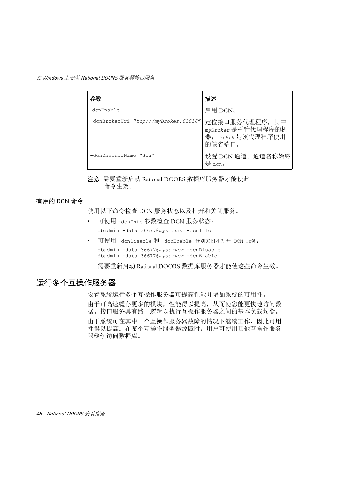| 参数                                   | 描述                                                                 |
|--------------------------------------|--------------------------------------------------------------------|
| -dcnEnable                           | 启用 DCN。                                                            |
| -dcnBrokerUri "tcp://myBroker:61616" | 定位接口服务代理程序, 其中<br>myBroker 是托管代理程序的机<br>器; 61616是该代理程序使用<br>的缺省端口。 |
| -dcnChannelName "dcn"                | 设置 DCN 通道。通道名称始终<br>是 dcn。                                         |

注意需要重新启动 Rational DOORS 数据库服务器才能使此 命令生效。

### 有用的 DCN 命令

使用以下命令检查 DCN 服务状态以及打开和关闭服务。

- 可使用 -dcnInfo 参数检查 DCN 服务状态: dbadmin -data 36677@*myserver* -dcnInfo
- 可使用 -dcnDisable 和 -dcnEnable 分别关闭和打开 DCN 服务: dbadmin -data 36677@*myserver* -dcnDisable dbadmin -data 36677@*myserver* -dcnEnable

需要重新启动 Rational DOORS 数据库服务器才能使这些命令生效。

## <span id="page-57-1"></span><span id="page-57-0"></span>运行多个互操作服务器

设置系统运行多个互操作服务器可提高性能并增加系统的可用性。 由于可高速缓存更多的模块,性能得以提高,从而使您能更快地访问数 据。接口服务具有路由逻辑以执行互操作服务器之间的基本负载均衡。 由于系统可在其中一个互操作服务器故障的情况下继续工作,因此可用 性得以提高。在某个互操作服务器故障时,用户可使用其他互操作服务 器继续访问数据库。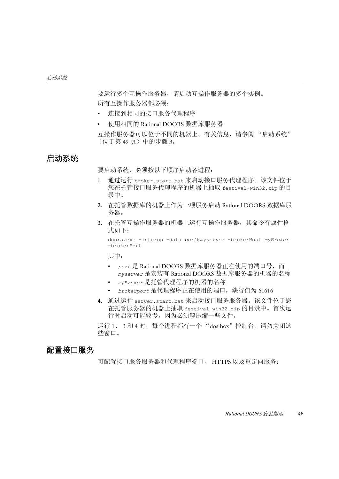要运行多个互操作服务器,请启动互操作服务器的多个实例。 所有互操作服务器都必须:

- 连接到相同的接口服务代理程序
- 使用相同的 Rational DOORS 数据库服务器

互操作服务器可以位于不同的机器上。有关信息,请参阅 ["启动系统"](#page-58-0) [\(位于第](#page-58-0) 49 页)中的[步骤](#page-58-2) 3。

### <span id="page-58-0"></span>启动系统

要启动系统,必须按以下顺序启动各进程:

- **1.** 通过运行 broker.start.bat 来启动接口服务代理程序。该文件位于 您在托管接口服务代理程序的机器上抽取 festival-win32.zip 的目 录中。
- **2.** 在托管数据库的机器上作为一项服务启动 Rational DOORS 数据库服 务器。
- <span id="page-58-2"></span>**3.** 在托管互操作服务器的机器上运行互操作服务器,其命令行属性格 式如下:

doors.exe –interop –data *port*@*myserver* –brokerHost *myBroker* –brokerPort

其中:

- *port* 是 Rational DOORS 数据库服务器正在使用的端口号,而 *myserver* 是安装有 Rational DOORS 数据库服务器的机器的名称
- *myBroker* 是托管代理程序的机器的名称
- *brokerport* 是代理程序正在使用的端口,缺省值为 61616
- **4.** 通过运行 server.start.bat 来启动接口服务服务器。该文件位于您 在托管服务器的机器上抽取 festival-win32.zip 的目录中。首次运 行时启动可能较慢,因为必须解压缩一些文件。

运行 1、 3 和 4 时, 每个进程都有一个 "dos box"控制台。请勿关闭这 些窗口。

## <span id="page-58-1"></span>配置接口服务

可配置接口服务服务器和代理程序端口、 HTTPS 以及重定向服务: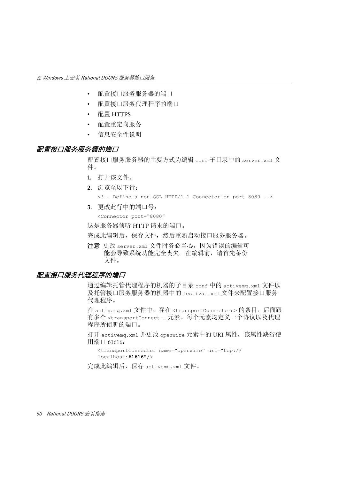- [配置接口服务服务器的端口](#page-59-0)
- [配置接口服务代理程序的端口](#page-59-1)
- 配置 [HTTPS](#page-60-0)
- [配置重定向服务](#page-61-0)
- [信息安全性说明](#page-62-1)

#### <span id="page-59-0"></span>配置接口服务服务器的端口

配置接口服务服务器的主要方式为编辑 conf 子目录中的 server.xml 文 件。

- **1.** 打开该文件。
- **2.** 浏览至以下行:

```
<!-- Define a non-SSL HTTP/1.1 Connector on port 8080 -->
```
**3.** 更改此行中的端口号:

```
<Connector port="8080"
```
这是服务器侦听 HTTP 请求的端口。

完成此编辑后,保存文件,然后重新启动接口服务服务器。

注意更改 server.xml 文件时务必当心,因为错误的编辑可 能会导致系统功能完全丧失。在编辑前,请首先备份 文件。

#### <span id="page-59-1"></span>配置接口服务代理程序的端口

通过编辑托管代理程序的机器的子目录 conf 中的 activemq.xml 文件以 及托管接口服务服务器的机器中的 festival.xml 文件来配置接口服务 代理程序。

在 activemq.xml 文件中,存在 <transportConnectors> 的条目,后面跟 有多个 <transportConnect … 元素。每个元素均定义一个协议以及代理 程序所侦听的端口。

打开 activemq.xml 并更改 openwire 元素中的 URI 属性,该属性缺省使 用端口 61616:

```
<transportConnector name="openwire" uri="tcp://
localhost:61616"/>
```
完成此编辑后,保存 activemq.xml 文件。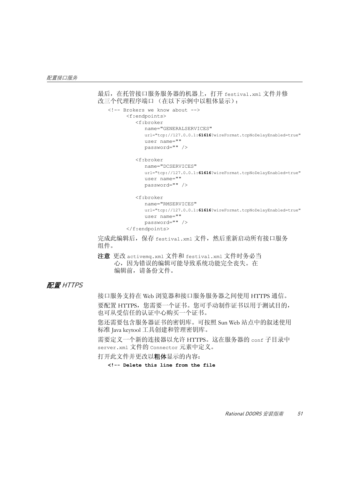```
最后,在托管接口服务服务器的机器上,打开 festival.xml 文件并修
改三个代理程序端口 (在以下示例中以粗体显示):
   <!-- Brokers we know about -->
          <f:endpoints>
              <f:broker 
                 name="GENERALSERVICES" 
                 url="tcp://127.0.0.1:61616?wireFormat.tcpNoDelayEnabled=true"
                 user name="" 
                 password="" />
              <f:broker 
                 name="DCSERVICES" 
                 url="tcp://127.0.0.1:61616?wireFormat.tcpNoDelayEnabled=true"
                 user name="" 
                 password="" />
              <f:broker 
                 name="RMSERVICES" 
                 url="tcp://127.0.0.1:61616?wireFormat.tcpNoDelayEnabled=true"
                 user name="" 
                 password="" /> 
          </f:endpoints>
```
完成此编辑后, 保存 festival.xml 文件, 然后重新启动所有接口服务 组件。

注意更改 activemq.xml 文件和 festival.xml 文件时务必当 心,因为错误的编辑可能导致系统功能完全丧失。在 编辑前,请备份文件。

#### <span id="page-60-0"></span>配置 HTTPS

接口服务支持在 Web 浏览器和接口服务服务器之间使用 HTTPS 通信。 要配置 HTTPS,您需要一个证书。您可手动制作证书以用于测试目的, 也可从受信任的认证中心购买一个证书。

您还需要包含服务器证书的密钥库。可按照 Sun Web 站点中的叙述使用 标准 Java keytool 工具创建和管理密钥库。

需要定义一个新的连接器以允许 HTTPS。这在服务器的 conf 子目录中 server.xml 文件的 Connector 元素中定义。

打开此文件并更改以粗体显示的内容:

**<!-- Delete this line from the file**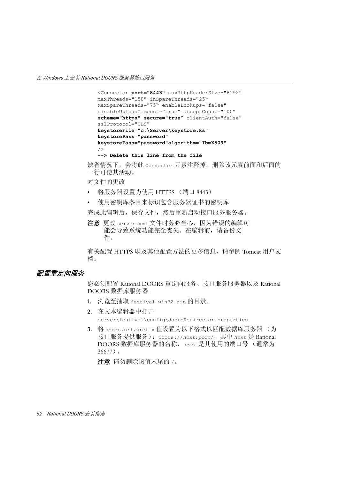```
<Connector port="8443" maxHttpHeaderSize="8192"
maxThreads="150" inSpareThreads="25"
MaxSpareThreads="75" enableLookups="false" 
disableUploadTimeout="true" acceptCount="100" 
scheme="https" secure="true" clientAuth="false" 
sslProtocol="TLS"
keystoreFile="c:\Server\keystore.ks"
keystorePass="password" 
keystorePass="password"algorithm="IbmX509"
/> 
--> Delete this line from the file
```
缺省情况下,会将此 Connector 元素注释掉。删除该元素前面和后面的 一行可使其活动。

对文件的更改

- 将服务器设置为使用 HTTPS (端口 8443)
- 使用密钥库条目来标识包含服务器证书的密钥库

完成此编辑后,保存文件,然后重新启动接口服务服务器。

注意更改 server.xml 文件时务必当心,因为错误的编辑可 能会导致系统功能完全丧失。在编辑前,请备份文 件。

有关配置 HTTPS 以及其他配置方法的更多信息,请参阅 Tomcat 用户文 档。

#### <span id="page-61-0"></span>配置重定向服务

您必须配置 Rational DOORS 重定向服务、接口服务服务器以及 Rational DOORS 数据库服务器。

- **1.** 浏览至抽取 festival-win32.zip 的目录。
- **2.** 在文本编辑器中打开 server\festival\config\doorsRedirector.properties。
- **3.** 将 doors.url.prefix 值设置为以下格式以匹配数据库服务器 (为 接口服务提供服务):doors://*host*:*port*/,其中 *host* 是 Rational DOORS 数据库服务器的名称,*port* 是其使用的端口号 (通常为 36677)。

注意请勿删除该值末尾的 /。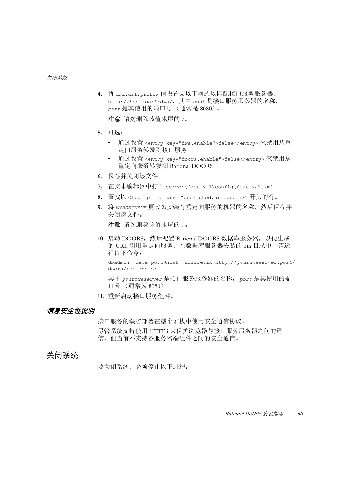**4.** 将 dwa.url.prefix 值设置为以下格式以匹配接口服务服务器: http://*host*:*port*/dwa/,其中 *host* 是接口服务服务器的名称, *port* 是其使用的端口号 (通常是 8080)。

注意请勿删除该值末尾的 /。

- **5.** 可选:
	- 通过设置 <entry key="dwa.enable">false</entry> 来禁用从重 定向服务转发到接口服务
	- 通过设置 <entry key="doors.enable">false</entry> 来禁用从 重定向服务转发到 Rational DOORS
- **6.** 保存并关闭该文件。
- **7.** 在文本编辑器中打开 server\festival\config\festival.xml。
- **8.** 查找以 <f:property name="published.url.prefix" 开头的行。
- **9.** 将 *MYHOSTNAME* 更改为安装有重定向服务的机器的名称,然后保存并 关闭该文件。

注意请勿删除该值末尾的 /。

**10.** 启动 DOORS,然后配置 Rational DOORS 数据库服务器,以便生成 的 URL 引用重定向服务。在数据库服务器安装的 bin 目录中, 请运 行以下命令:

dbadmin -data port@host -urlPrefix http://*yourdwaserver*:*port*/ doors/redirector

其中 *yourdwaserver* 是接口服务服务器的名称,*port* 是其使用的端 口号 (通常为 8080)。

**11.** 重新启动接口服务组件。

#### <span id="page-62-1"></span>信息安全性说明

接口服务的缺省部署在整个堆栈中使用安全通信协议。

尽管系统支持使用 HTTPS 来保护浏览器与接口服务服务器之间的通 信,但当前不支持各服务器端组件之间的安全通信。

## <span id="page-62-0"></span>关闭系统

要关闭系统,必须停止以下进程: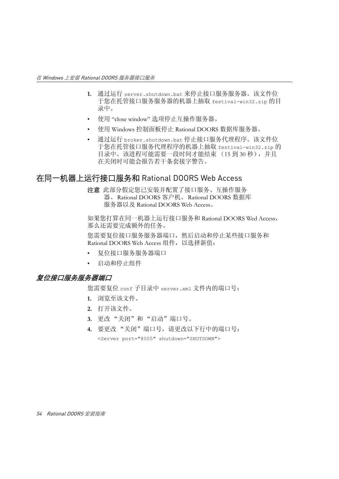- **1.** 通过运行 server.shutdown.bat 来停止接口服务服务器。该文件位 于您在托管接口服务服务器的机器上抽取 festival-win32.zip 的目 录中。
- 使用 "close window" 选项停止互操作服务器。
- 使用 Windows 控制面板停止 Rational DOORS 数据库服务器。
- 通过运行 broker.shutdown.bat 停止接口服务代理程序。该文件位 于您在托管接口服务代理程序的机器上抽取 festival-win32.zip 的 目录中。该进程可能需要一段时间才能结束 (15 到 30 秒), 并且 在关闭时可能会报告若干条套接字警告。

## <span id="page-63-0"></span>在同一机器上运行接口服务和 Rational DOORS Web Access

注意此部分假定您已安装并配置了接口服务、互操作服务 器、Rational DOORS 客户机、Rational DOORS 数据库 服务器以及 Rational DOORS Web Access。

如果您打算在同一机器上运行接口服务和 Rational DOORS Wed Access, 那么还需要完成额外的任务。

您需要复位接口服务服务器端口,然后启动和停止某些接口服务和 Rational DOORS Web Access 组件, 以选择新值:

- [复位接口服务服务器端口](#page-63-1)
- [启动和停止组件](#page-64-0)

#### <span id="page-63-1"></span>复位接口服务服务器端口

您需要复位 conf 子目录中 server.xml 文件内的端口号:

- **1.** 浏览至该文件。
- **2.** 打开该文件。
- **3.** 更改 "关闭"和 "启动"端口号。
- **4.** 要更改 "关闭"端口号,请更改以下行中的端口号: <Server port="8005" shutdown="SHUTDOWN">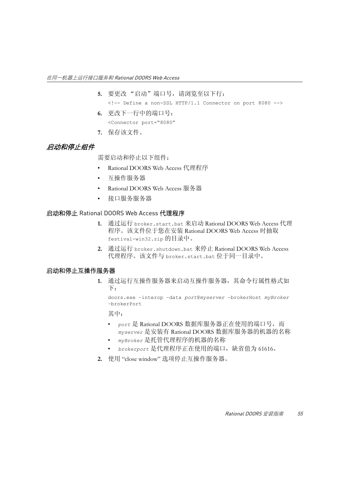- **5.** 要更改 "启动"端口号,请浏览至以下行:  $\leq$   $-$  Define a non-SSL HTTP/1.1 Connector on port 8080  $-$ >
- **6.** 更改下一行中的端口号: <Connector port="8080"
- **7.** 保存该文件。

## <span id="page-64-0"></span>启动和停止组件

需要启动和停止以下组件:

- Rational DOORS Web Access 代理程序
- 互操作服务器
- Rational DOORS Web Access 服务器
- 接口服务服务器

#### 启动和停止 Rational DOORS Web Access 代理程序

- **1.** 通过运行 broker.start.bat 来启动 Rational DOORS Web Access 代理 程序。该文件位于您在安装 Rational DOORS Web Access 时抽取 festival-win32.zip 的目录中。
- **2.** 通过运行 broker.shutdown.bat 来停止 Rational DOORS Web Access 代理程序。该文件与 broker.start.bat 位于同一目录中。

#### 启动和停止互操作服务器

**1.** 通过运行互操作服务器来启动互操作服务器,其命令行属性格式如 下:

doors.exe –interop –data *port*@*myserver* –brokerHost *myBroker* –brokerPort

其中:

- *port* 是 Rational DOORS 数据库服务器正在使用的端口号,而 *myserver* 是安装有 Rational DOORS 数据库服务器的机器的名称
- *myBroker* 是托管代理程序的机器的名称
- *brokerport* 是代理程序正在使用的端口,缺省值为 61616。
- **2.** 使用 "close window" 选项停止互操作服务器。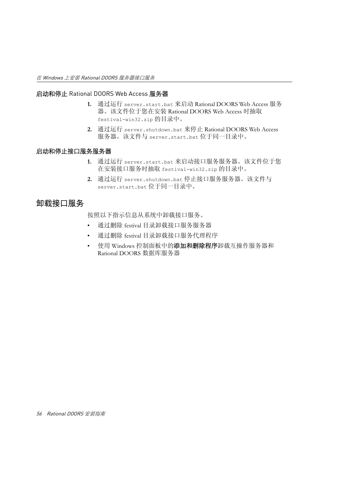#### 启动和停止 Rational DOORS Web Access 服务器

- **1.** 通过运行 server.start.bat 来启动 Rational DOORS Web Access 服务 器。该文件位于您在安装 Rational DOORS Web Access 时抽取 festival-win32.zip 的目录中。
- **2.** 通过运行 server.shutdown.bat 来停止 Rational DOORS Web Access 服务器。该文件与 server.start.bat 位于同一目录中。

#### 启动和停止接口服务服务器

- **1.** 通过运行 server.start.bat 来启动接口服务服务器。该文件位于您 在安装接口服务时抽取 festival-win32.zip 的目录中。
- **2.** 通过运行 server.shutdown.bat 停止接口服务服务器。该文件与 server.start.bat 位于同一目录中。

## <span id="page-65-0"></span>卸载接口服务

按照以下指示信息从系统中卸载接口服务。

- 通过删除 festival 目录卸载接口服务服务器
- 通过删除 festival 目录卸载接口服务代理程序
- 使用 Windows 控制面板中的添加和删除程序卸载互操作服务器和 Rational DOORS 数据库服务器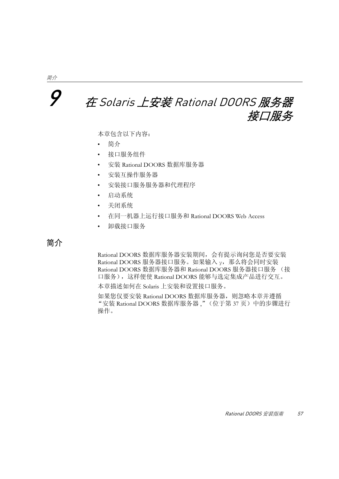## <span id="page-66-0"></span>9 <sup>在</sup> Solaris 上安装 Rational DOORS 服务器 接口服务

本章包含以下内容:

- [简介](#page-66-1)
- [接口服务组件](#page-67-0)
- 安装 [Rational DOORS](#page-67-1) 数据库服务器
- [安装互操作服务器](#page-69-0)
- [安装接口服务服务器和代理程序](#page-70-0)
- [启动系统](#page-71-0)
- [关闭系统](#page-72-0)
- 在同一机器上运行接口服务和 [Rational DOORS Web Access](#page-72-1)
- [卸载接口服务](#page-74-0)

<span id="page-66-1"></span>简介

Rational DOORS 数据库服务器安装期间,会有提示询问您是否要安装 Rational DOORS 服务器接口服务。如果输入 v, 那么将会同时安装 Rational DOORS 数据库服务器和 Rational DOORS 服务器接口服务 (接 口服务),这样便使 Rational DOORS 能够与选定集成产品进行交互。

本章描述如何在 Solaris 上安装和设置接口服务。

如果您仅要安装 Rational DOORS 数据库服务器,则忽略本章并遵循 "安装 [Rational DOORS](#page-46-0) 数据库服务器 ,"(位于第 37 页)中的步骤进行 操作。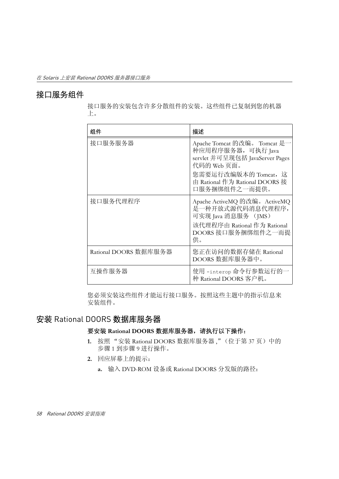## <span id="page-67-0"></span>接口服务组件

接口服务的安装包含许多分散组件的安装。这些组件已复制到您的机器 上。

| 组件                    | 描述                                                                                                                                                                              |
|-----------------------|---------------------------------------------------------------------------------------------------------------------------------------------------------------------------------|
| 接口服务服务器               | Apache Tomcat 的改编。 Tomcat 是一<br>种应用程序服务器, 可执行 Java<br>servlet 并可呈现包括 JavaServer Pages<br>代码的 Web 页面。<br>您需要运行改编版本的 Tomcat, 这<br>由 Rational 作为 Rational DOORS 接<br>口服务捆绑组件之一而提供。 |
| 接口服务代理程序              | Apache ActiveMQ 的改编。ActiveMQ<br>是一种开放式源代码消息代理程序,<br>可实现 Java 消息服务 (JMS)<br>该代理程序由 Rational 作为 Rational<br>DOORS 接口服务捆绑组件之一而提<br>供。                                              |
| Rational DOORS 数据库服务器 | 您正在访问的数据存储在 Rational<br>DOORS 数据库服务器中。                                                                                                                                          |
| 互操作服务器                | 使用 -interop 命令行参数运行的一<br>种 Rational DOORS 客户机。                                                                                                                                  |

您必须安装这些组件才能运行接口服务。按照这些主题中的指示信息来 安装组件。

## <span id="page-67-1"></span>安装 Rational DOORS 数据库服务器

#### 要安装 **Rational DOORS** 数据库服务器,请执行以下操作:

- **1.** 按照 "安装 [Rational DOORS](#page-46-0) 数据库服务器 ,"(位于第 37 页)中的 [步骤](#page-46-4) 1 [到步骤](#page-48-1) 9 进行操作。
- **2.** 回应屏幕上的提示:
	- **a.** 输入 DVD-ROM 设备或 Rational DOORS 分发版的路径: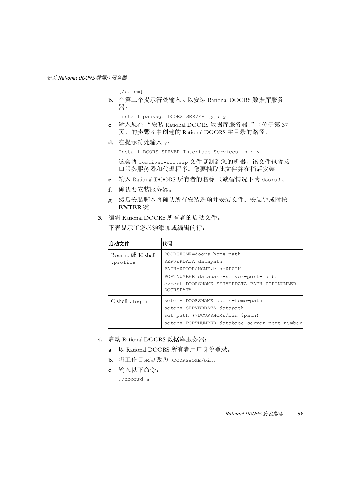[/cdrom]

**b.** 在第二个提示符处输入 y 以安装 Rational DOORS 数据库服务 器:

Install package DOORS\_SERVER [y]: y

- **c.** 输入您在 "安装 [Rational DOORS](#page-46-0) 数据库服务器 ,"(位于第 37 [页\)](#page-46-0)[的步骤](#page-47-2) 6 中创建的 Rational DOORS 主目录的路径。
- **d.** 在提示符处输入 y:

Install DOORS SERVER Interface Services [n]: y

这会将 festival-sol.zip 文件复制到您的机器,该文件包含接 口服务服务器和代理程序。您要抽取此文件并在稍后安装。

- **e.** 输入 Rational DOORS 所有者的名称 (缺省情况下为 doors)。
- **f.** 确认要安装服务器。
- **g.** 然后安装脚本将确认所有安装选项并安装文件。安装完成时按 **ENTER** 键。
- **3.** 编辑 Rational DOORS 所有者的启动文件。

下表显示了您必须添加或编辑的行:

| 启动文件                         | 代码                                                                                                                                                                                           |
|------------------------------|----------------------------------------------------------------------------------------------------------------------------------------------------------------------------------------------|
| Bourne 或 K shell<br>.profile | DOORSHOME=doors-home-path<br>SERVERDATA=datapath<br>PATH=\$DOORSHOME/bin:\$PATH<br>PORTNUMBER=database-server-port-number<br>export DOORSHOME SERVERDATA PATH PORTNUMBER<br><b>DOORSDATA</b> |
| C shell .login               | seteny DOORSHOME doors-home-path<br>seteny SERVERDATA datapath<br>set path=(\$DOORSHOME/bin \$path)<br>setenv PORTNUMBER database-server-port-number                                         |

- **4.** 启动 Rational DOORS 数据库服务器:
	- **a.** 以 Rational DOORS 所有者用户身份登录。
	- **b.** 将工作目录更改为 \$DOORSHOME/bin。
	- **c.** 输入以下命令:

./doorsd &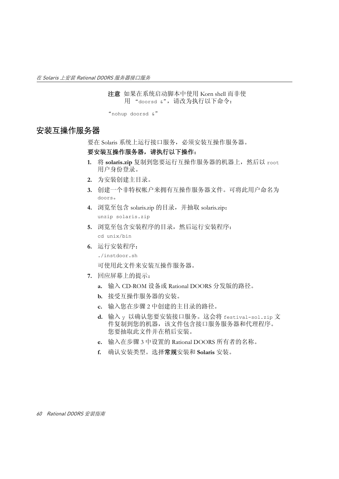注意如果在系统启动脚本中使用 Korn shell 而非使 用 "doorsd &",请改为执行以下命令:

"nohup doorsd &"

## <span id="page-69-1"></span><span id="page-69-0"></span>安装互操作服务器

要在 Solaris 系统上运行接口服务,必须安装互操作服务器。

#### 要安装互操作服务器,请执行以下操作:

- **1.** 将 **solaris.zip** 复制到您要运行互操作服务器的机器上,然后以 root 用户身份登录。
- **2.** 为安装创建主目录。
- <span id="page-69-2"></span>**3.** 创建一个非特权帐户来拥有互操作服务器文件。可将此用户命名为 doors。
- **4.** 浏览至包含 solaris.zip 的目录,并抽取 solaris.zip: unzip solaris.zip
- **5.** 浏览至包含安装程序的目录,然后运行安装程序: cd unix/bin
- **6.** 运行安装程序:
	- ./instdoor.sh

可使用此文件来安装互操作服务器。

- **7.** 回应屏幕上的提示:
	- **a.** 输入 CD-ROM 设备或 Rational DOORS 分发版的路径。
	- **b.** 接受互操作服务器的安装。
	- **c.** 输入您在[步骤](#page-69-1) 2 中创建的主目录的路径。
	- **d.** 输入 y 以确认您要安装接口服务。这会将 festival-sol.zip 文 件复制到您的机器,该文件包含接口服务服务器和代理程序。 您要抽取此文件并在稍后安装。
	- **e.** 输入在[步骤](#page-69-2) 3 中设置的 Rational DOORS 所有者的名称。
	- **f.** 确认安装类型。选择常规安装和 **Solaris** 安装。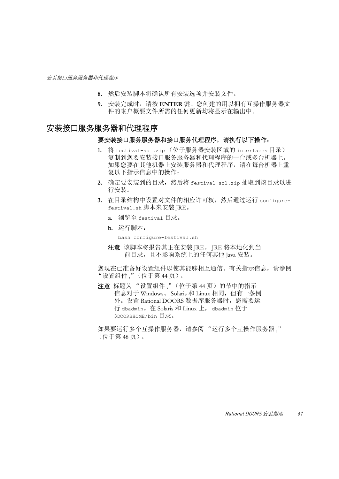- **8.** 然后安装脚本将确认所有安装选项并安装文件。
- **9.** 安装完成时,请按 **ENTER** 键。您创建的用以拥有互操作服务器文 件的帐户概要文件所需的任何更新均将显示在输出中。

### <span id="page-70-0"></span>安装接口服务服务器和代理程序

#### 要安装接口服务服务器和接口服务代理程序,请执行以下操作:

- **1.** 将 festival-sol.zip (位于服务器安装区域的 interfaces 目录) 复制到您要安装接口服务服务器和代理程序的一台或多台机器上。 如果您要在其他机器上安装服务器和代理程序,请在每台机器上重 复以下指示信息中的操作:
- **2.** 确定要安装到的目录,然后将 festival-sol.zip 抽取到该目录以进 行安装。
- **3.** 在目录结构中设置对文件的相应许可权,然后通过运行 configurefestival.sh 脚本来安装 JRE。
	- **a.** 浏览至 festival 目录。
	- **b.** 运行脚本:

```
bash configure-festival.sh
```
注意该脚本将报告其正在安装 JRE。 JRE 将本地化到当 前目录,且不影响系统上的任何其他 Java 安装。

您现在已准备好设置组件以使其能够相互通信。有关指示信息,请参阅 ["设置组件](#page-53-4) ,"(位于第 44 页)。

注意标题[为 "设置组件](#page-53-4) ,"(位于第 44 页)的节中的指示 信息对于 Windows、 Solaris 和 Linux 相同,但有一条例 外。设置 Rational DOORS 数据库服务器时, 您需要运 行 dbadmin。在 Solaris 和 Linux 上, dbadmin 位于 \$DOORSHOME/bin 目录。

如果要运行多个互操作服务器,请参阅 ["运行多个互操作服务器](#page-57-1) ," [\(位于第](#page-57-1) 48 页)。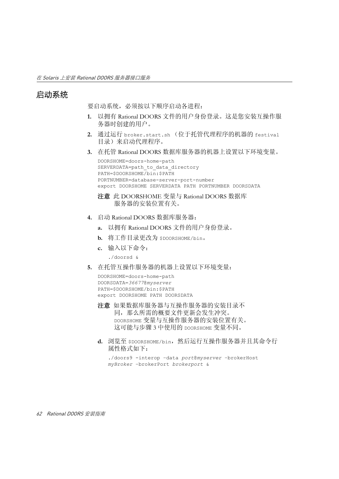## <span id="page-71-0"></span>启动系统

要启动系统,必须按以下顺序启动各进程:

- **1.** 以拥有 Rational DOORS 文件的用户身份登录。这是您安装互操作服 务器时创建的用户。
- **2.** 通过运行 broker.start.sh (位于托管代理程序的机器的 festival 目录)来启动代理程序。
- <span id="page-71-1"></span>**3.** 在托管 Rational DOORS 数据库服务器的机器上设置以下环境变量。

```
DOORSHOME=doors-home-path
SERVERDATA=path to data directory
PATH=$DOORSHOME/bin:$PATH
PORTNUMBER=database-server-port-number
export DOORSHOME SERVERDATA PATH PORTNUMBER DOORSDATA
```

```
注意 此 DOORSHOME 变量与 Rational DOORS 数据库
   服务器的安装位置有关。
```
- **4.** 启动 Rational DOORS 数据库服务器:
	- **a.** 以拥有 Rational DOORS 文件的用户身份登录。
	- **b.** 将工作目录更改为 \$DOORSHOME/bin。
	- **c.** 输入以下命令:
		- ./doorsd &
- **5.** 在托管互操作服务器的机器上设置以下环境变量:

```
DOORSHOME=doors-home-path
DOORSDATA=36677@myserver
PATH=$DOORSHOME/bin:$PATH
export DOORSHOME PATH DOORSDATA
```
- 注意如果数据库服务器与互操作服务器的安装目录不 同,那么所需的概要文件更新会发生冲突。 DOORSHOME 变量与互操作服务器的安装位置有关。 这可能[与步骤](#page-71-1) 3 中使用的 DOORSHOME 变量不同。
- **d.** 浏览至 \$DOORSHOME/bin,然后运行互操作服务器并且其命令行 属性格式如下:

```
./doors9 -interop –data port@myserver –brokerHost
myBroker –brokerPort brokerport &
```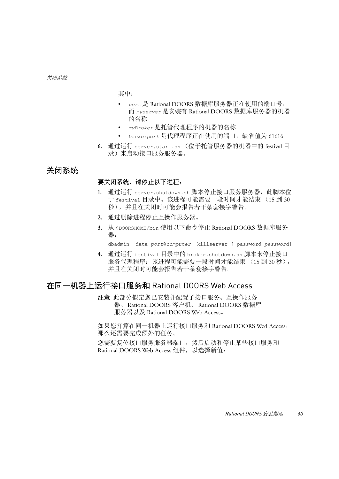其中:

- *port* 是 Rational DOORS 数据库服务器正在使用的端口号, 而 *myserver* 是安装有 Rational DOORS 数据库服务器的机器 的名称
- *myBroker* 是托管代理程序的机器的名称
- *brokerport* 是代理程序正在使用的端口,缺省值为 61616
- **6.** 通过运行 server.start.sh (位于托管服务器的机器中的 festival 目 录)来启动接口服务服务器。

# 关闭系统

#### 要关闭系统,请停止以下进程:

- 1. 通过运行 server.shutdown.sh 脚本停止接口服务服务器, 此脚本位 于 festival 目录中。该进程可能需要一段时间才能结束 (15 到 30 秒),并且在关闭时可能会报告若干条套接字警告。
- **2.** 通过删除进程停止互操作服务器。
- **3.** 从 \$DOORSHOME/bin 使用以下命令停止 Rational DOORS 数据库服务 器:

dbadmin -data *port*@*computer* -killserver [-password *password*]

**4.** 通过运行 festival 目录中的 broker.shutdown.sh 脚本来停止接口 服务代理程序: 该进程可能需要一段时间才能结束 (15 到 30 秒), 并且在关闭时可能会报告若干条套接字警告。

# 在同一机器上运行接口服务和 Rational DOORS Web Access

注意此部分假定您已安装并配置了接口服务、互操作服务 器、Rational DOORS 客户机、Rational DOORS 数据库 服务器以及 Rational DOORS Web Access。

如果您打算在同一机器上运行接口服务和 Rational DOORS Wed Access, 那么还需要完成额外的任务。

您需要复位接口服务服务器端口,然后启动和停止某些接口服务和 Rational DOORS Web Access 组件, 以选择新值: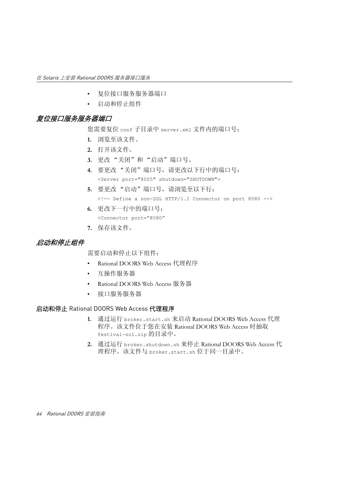- [复位接口服务服务器端口](#page-73-0)
- [启动和停止组件](#page-73-1)

## <span id="page-73-0"></span>复位接口服务服务器端口

您需要复位 conf 子目录中 server.xml 文件内的端口号:

- **1.** 浏览至该文件。
- **2.** 打开该文件。
- **3.** 更改 "关闭"和 "启动"端口号。
- **4.** 要更改 "关闭"端口号,请更改以下行中的端口号: <Server port="8005" shutdown="SHUTDOWN">
- **5.** 要更改 "启动"端口号,请浏览至以下行: <!-- Define a non-SSL HTTP/1.1 Connector on port 8080 -->
- **6.** 更改下一行中的端口号: <Connector port="8080"
- **7.** 保存该文件。

## <span id="page-73-1"></span>启动和停止组件

需要启动和停止以下组件:

- Rational DOORS Web Access 代理程序
- 互操作服务器
- Rational DOORS Web Access 服务器
- 接口服务服务器

#### 启动和停止 Rational DOORS Web Access 代理程序

- **1.** 通过运行 broker.start.sh 来启动 Rational DOORS Web Access 代理 程序。该文件位于您在安装 Rational DOORS Web Access 时抽取 festival-sol.zip 的目录中。
- **2.** 通过运行 broker.shutdown.sh 来停止 Rational DOORS Web Access 代 理程序。该文件与 broker.start.sh 位于同一目录中。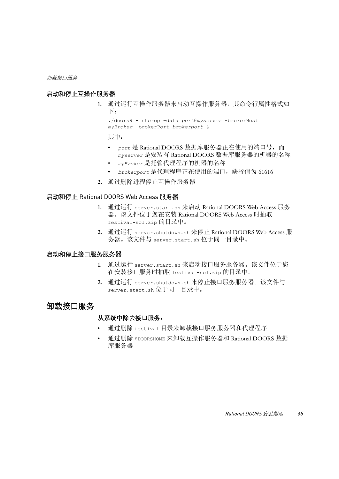#### 启动和停止互操作服务器

**1.** 通过运行互操作服务器来启动互操作服务器,其命令行属性格式如 下:

./doors9 -interop –data *port*@*myserver* –brokerHost *myBroker* –brokerPort *brokerport* &

其中:

- *port* 是 Rational DOORS 数据库服务器正在使用的端口号,而 *myserver* 是安装有 Rational DOORS 数据库服务器的机器的名称
- *myBroker* 是托管代理程序的机器的名称
- *brokerport* 是代理程序正在使用的端口,缺省值为 61616
- **2.** 通过删除进程停止互操作服务器

#### 启动和停止 Rational DOORS Web Access 服务器

- **1.** 通过运行 server.start.sh 来启动 Rational DOORS Web Access 服务 器。该文件位于您在安装 Rational DOORS Web Access 时抽取 festival-sol.zip 的目录中。
- **2.** 通过运行 server.shutdown.sh 来停止 Rational DOORS Web Access 服 务器。该文件与 server.start.sh 位于同一目录中。

#### 启动和停止接口服务服务器

- **1.** 通过运行 server.start.sh 来启动接口服务服务器。该文件位于您 在安装接口服务时抽取 festival-sol.zip 的目录中。
- **2.** 通过运行 server.shutdown.sh 来停止接口服务服务器。该文件与 server.start.sh 位于同一目录中。

## 卸载接口服务

#### 从系统中除去接口服务:

- 通过删除 festival 目录来卸载接口服务服务器和代理程序
- 通过删除 \$DOORSHOME 来卸载互操作服务器和 Rational DOORS 数据 库服务器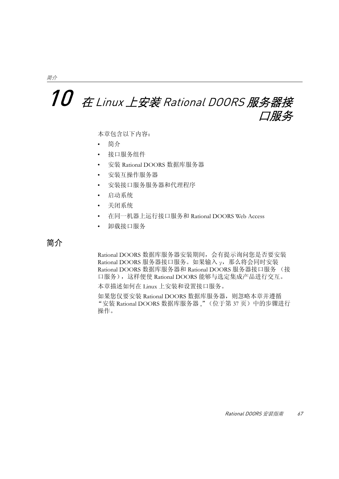# 10 在 Linux 上安装 Rational DOORS 服务器接 口服务

本章包含以下内容:

- [简介](#page-76-0)
- [接口服务组件](#page-77-0)
- 安装 [Rational DOORS](#page-77-1) 数据库服务器
- [安装互操作服务器](#page-79-0)
- [安装接口服务服务器和代理程序](#page-80-0)
- [启动系统](#page-81-0)
- [关闭系统](#page-82-0)
- 在同一机器上运行接口服务和 [Rational DOORS Web Access](#page-82-1)
- [卸载接口服务](#page-84-0)

# <span id="page-76-0"></span>简介

Rational DOORS 数据库服务器安装期间,会有提示询问您是否要安装 Rational DOORS 服务器接口服务。如果输入 v, 那么将会同时安装 Rational DOORS 数据库服务器和 Rational DOORS 服务器接口服务 (接 口服务),这样便使 Rational DOORS 能够与选定集成产品进行交互。

本章描述如何在 Linux 上安装和设置接口服务。

如果您仅要安装 Rational DOORS 数据库服务器,则忽略本章并遵循 "安装 [Rational DOORS](#page-46-0) 数据库服务器 ,"(位于第 37 页)中的步骤进行 操作。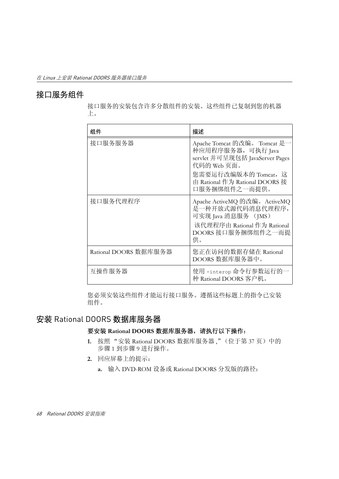# <span id="page-77-0"></span>接口服务组件

接口服务的安装包含许多分散组件的安装。这些组件已复制到您的机器 上。

| 组件                    | 描述                                                                                                                                                                              |
|-----------------------|---------------------------------------------------------------------------------------------------------------------------------------------------------------------------------|
| 接口服务服务器               | Apache Tomcat 的改编。 Tomcat 是一<br>种应用程序服务器, 可执行 Java<br>servlet 并可呈现包括 JavaServer Pages<br>代码的 Web 页面。<br>您需要运行改编版本的 Tomcat, 这<br>由 Rational 作为 Rational DOORS 接<br>口服务捆绑组件之一而提供。 |
| 接口服务代理程序              | Apache ActiveMQ 的改编。ActiveMQ<br>是一种开放式源代码消息代理程序,<br>可实现 Java 消息服务 (JMS)<br>该代理程序由 Rational 作为 Rational<br>DOORS 接口服务捆绑组件之一而提<br>供。                                              |
| Rational DOORS 数据库服务器 | 您正在访问的数据存储在 Rational<br>DOORS 数据库服务器中。                                                                                                                                          |
| 互操作服务器                | 使用 -interop 命令行参数运行的一<br>种 Rational DOORS 客户机。                                                                                                                                  |

您必须安装这些组件才能运行接口服务。遵循这些标题上的指令已安装 组件。

# <span id="page-77-1"></span>安装 Rational DOORS 数据库服务器

#### 要安装 **Rational DOORS** 数据库服务器,请执行以下操作:

- **1.** 按照 "安装 [Rational DOORS](#page-46-0) 数据库服务器 ,"(位于第 37 页)中的 [步骤](#page-46-1) 1 [到步骤](#page-48-0) 9 进行操作。
- **2.** 回应屏幕上的提示:
	- **a.** 输入 DVD-ROM 设备或 Rational DOORS 分发版的路径: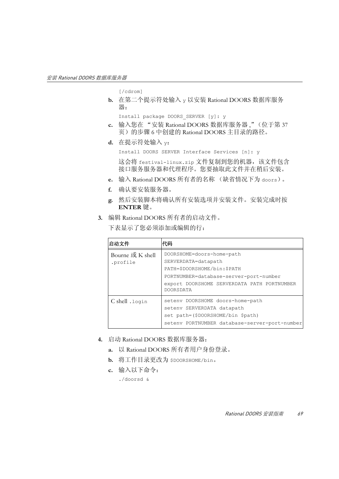[/cdrom]

**b.** 在第二个提示符处输入 y 以安装 Rational DOORS 数据库服务 器:

Install package DOORS\_SERVER [y]: y

- **c.** 输入您在 "安装 [Rational DOORS](#page-46-0) 数据库服务器 ,"(位于第 37 [页\)](#page-46-0)[的步骤](#page-47-0) 6 中创建的 Rational DOORS 主目录的路径。
- **d.** 在提示符处输入 y:

Install DOORS SERVER Interface Services [n]: y

这会将 festival-linux.zip 文件复制到您的机器,该文件包含 接口服务服务器和代理程序。您要抽取此文件并在稍后安装。

- **e.** 输入 Rational DOORS 所有者的名称 (缺省情况下为 doors)。
- **f.** 确认要安装服务器。
- **g.** 然后安装脚本将确认所有安装选项并安装文件。安装完成时按 **ENTER** 键。
- **3.** 编辑 Rational DOORS 所有者的启动文件。

下表显示了您必须添加或编辑的行:

| 启动文件                         | 代码                                                                                                                                                                                           |
|------------------------------|----------------------------------------------------------------------------------------------------------------------------------------------------------------------------------------------|
| Bourne 或 K shell<br>.profile | DOORSHOME=doors-home-path<br>SERVERDATA=datapath<br>PATH=\$DOORSHOME/bin:\$PATH<br>PORTNUMBER=database-server-port-number<br>export DOORSHOME SERVERDATA PATH PORTNUMBER<br><b>DOORSDATA</b> |
| C shell .login               | seteny DOORSHOME doors-home-path<br>seteny SERVERDATA datapath<br>set path=(\$DOORSHOME/bin \$path)<br>setenv PORTNUMBER database-server-port-number                                         |

- **4.** 启动 Rational DOORS 数据库服务器:
	- **a.** 以 Rational DOORS 所有者用户身份登录。
	- **b.** 将工作目录更改为 \$DOORSHOME/bin。
	- **c.** 输入以下命令:

./doorsd &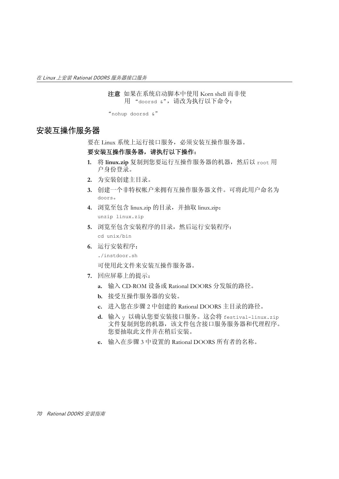注意如果在系统启动脚本中使用 Korn shell 而非使 用 "doorsd &",请改为执行以下命令:

"nohup doorsd &"

# <span id="page-79-0"></span>安装互操作服务器

要在 Linux 系统上运行接口服务,必须安装互操作服务器。

#### 要安装互操作服务器,请执行以下操作:

- 1. 将 linux.zip 复制到您要运行互操作服务器的机器,然后以 root 用 户身份登录。
- **2.** 为安装创建主目录。
- <span id="page-79-1"></span>**3.** 创建一个非特权帐户来拥有互操作服务器文件。可将此用户命名为 doors。
- **4.** 浏览至包含 linux.zip 的目录,并抽取 linux.zip: unzip linux.zip
- **5.** 浏览至包含安装程序的目录,然后运行安装程序: cd unix/bin
- **6.** 运行安装程序:
	- ./instdoor.sh

可使用此文件来安装互操作服务器。

- **7.** 回应屏幕上的提示:
	- **a.** 输入 CD-ROM 设备或 Rational DOORS 分发版的路径。
	- **b.** 接受互操作服务器的安装。
	- **c.** 进入您在步骤 2 中创建的 Rational DOORS 主目录的路径。
	- **d.** 输入 y 以确认您要安装接口服务。这会将 festival-linux.zip 文件复制到您的机器,该文件包含接口服务服务器和代理程序。 您要抽取此文件并在稍后安装。
	- **e.** 输入在[步骤](#page-79-1) 3 中设置的 Rational DOORS 所有者的名称。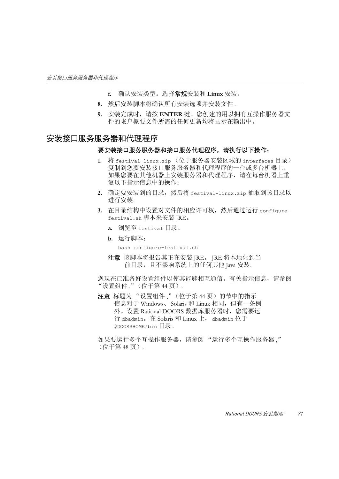- **f.** 确认安装类型。选择常规安装和 **Linux** 安装。
- **8.** 然后安装脚本将确认所有安装选项并安装文件。
- **9.** 安装完成时,请按 **ENTER** 键。您创建的用以拥有互操作服务器文 件的帐户概要文件所需的任何更新均将显示在输出中。

### <span id="page-80-0"></span>安装接口服务服务器和代理程序

#### 要安装接口服务服务器和接口服务代理程序,请执行以下操作:

- **1.** 将 festival-linux.zip (位于服务器安装区域的 interfaces 目录) 复制到您要安装接口服务服务器和代理程序的一台或多台机器上。 如果您要在其他机器上安装服务器和代理程序,请在每台机器上重 复以下指示信息中的操作:
- **2.** 确定要安装到的目录,然后将 festival-linux.zip 抽取到该目录以 进行安装。
- **3.** 在目录结构中设置对文件的相应许可权,然后通过运行 configurefestival.sh 脚本来安装 JRE。
	- **a.** 浏览至 festival 目录。
	- **b.** 运行脚本:

bash configure-festival.sh

注意该脚本将报告其正在安装 JRE。 JRE 将本地化到当 前目录, 目不影响系统上的任何其他 Iava 安装。

您现在已准备好设置组件以使其能够相互通信。有关指示信息,请参阅 ["设置组件](#page-53-0) ,"(位于第 44 页)。

注意标题[为 "设置组件](#page-53-0) ,"(位于第 44 页)的节中的指示 信息对于 Windows、 Solaris 和 Linux 相同,但有一条例 外。设置 Rational DOORS 数据库服务器时, 您需要运 行 dbadmin。在 Solaris 和 Linux 上, dbadmin 位于 \$DOORSHOME/bin 目录。

如果要运行多个互操作服务器,请参阅 ["运行多个互操作服务器](#page-57-0) ," [\(位于第](#page-57-0) 48 页)。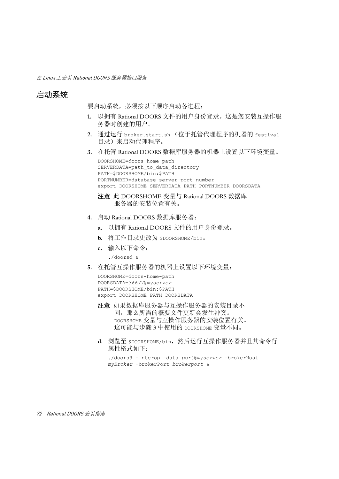# <span id="page-81-0"></span>启动系统

要启动系统,必须按以下顺序启动各进程:

- **1.** 以拥有 Rational DOORS 文件的用户身份登录。这是您安装互操作服 务器时创建的用户。
- **2.** 通过运行 broker.start.sh (位于托管代理程序的机器的 festival 目录)来启动代理程序。
- **3.** 在托管 Rational DOORS 数据库服务器的机器上设置以下环境变量。

```
DOORSHOME=doors-home-path
SERVERDATA=path to data directory
PATH=$DOORSHOME/bin:$PATH
PORTNUMBER=database-server-port-number
export DOORSHOME SERVERDATA PATH PORTNUMBER DOORSDATA
```
- 注意此 DOORSHOME 变量与 Rational DOORS 数据库 服务器的安装位置有关。
- **4.** 启动 Rational DOORS 数据库服务器:
	- **a.** 以拥有 Rational DOORS 文件的用户身份登录。
	- **b.** 将工作目录更改为 \$DOORSHOME/bin。
	- **c.** 输入以下命令:
		- ./doorsd &
- **5.** 在托管互操作服务器的机器上设置以下环境变量:

```
DOORSHOME=doors-home-path
DOORSDATA=36677@myserver
PATH=$DOORSHOME/bin:$PATH
export DOORSHOME PATH DOORSDATA
```
- 注意如果数据库服务器与互操作服务器的安装目录不 同,那么所需的概要文件更新会发生冲突。 DOORSHOME 变量与互操作服务器的安装位置有关。 这可能与步骤 3 中使用的 DOORSHOME 变量不同。
- **d.** 浏览至 \$DOORSHOME/bin,然后运行互操作服务器并且其命令行 属性格式如下:

```
./doors9 -interop –data port@myserver –brokerHost
myBroker –brokerPort brokerport &
```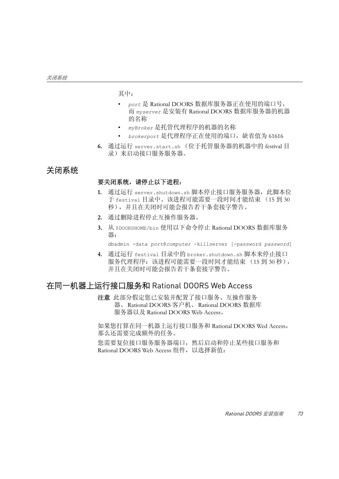其中:

- *port* 是 Rational DOORS 数据库服务器正在使用的端口号, 而 *myserver* 是安装有 Rational DOORS 数据库服务器的机器 的名称
- *myBroker* 是托管代理程序的机器的名称
- *brokerport* 是代理程序正在使用的端口,缺省值为 61616
- **6.** 通过运行 server.start.sh (位于托管服务器的机器中的 festival 目 录)来启动接口服务服务器。

# <span id="page-82-0"></span>关闭系统

#### 要关闭系统,请停止以下进程:

- 1. 通过运行 server.shutdown.sh 脚本停止接口服务服务器, 此脚本位 于 festival 目录中。该进程可能需要一段时间才能结束 (15 到 30 秒),并且在关闭时可能会报告若干条套接字警告。
- **2.** 通过删除进程停止互操作服务器。
- **3.** 从 \$DOORSHOME/bin 使用以下命令停止 Rational DOORS 数据库服务 器:

dbadmin -data *port*@*computer* -killserver [-password *password*]

**4.** 通过运行 festival 目录中的 broker.shutdown.sh 脚本来停止接口 服务代理程序: 该进程可能需要一段时间才能结束 (15 到 30 秒), 并且在关闭时可能会报告若干条套接字警告。

# <span id="page-82-1"></span>在同一机器上运行接口服务和 Rational DOORS Web Access

注意此部分假定您已安装并配置了接口服务、互操作服务 器、Rational DOORS 客户机、Rational DOORS 数据库 服务器以及 Rational DOORS Web Access。

如果您打算在同一机器上运行接口服务和 Rational DOORS Wed Access, 那么还需要完成额外的任务。

您需要复位接口服务服务器端口,然后启动和停止某些接口服务和 Rational DOORS Web Access 组件, 以选择新值: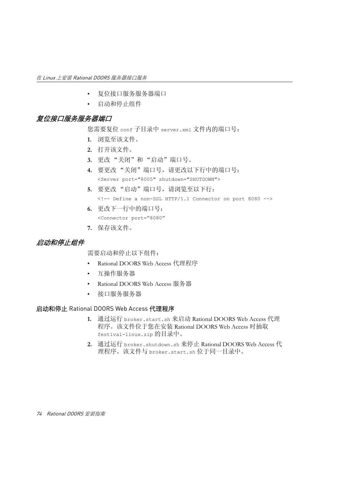- [复位接口服务服务器端口](#page-83-0)
- [启动和停止组件](#page-83-1)

## <span id="page-83-0"></span>复位接口服务服务器端口

您需要复位 conf 子目录中 server.xml 文件内的端口号:

- **1.** 浏览至该文件。
- **2.** 打开该文件。
- **3.** 更改 "关闭"和 "启动"端口号。
- **4.** 要更改 "关闭"端口号,请更改以下行中的端口号: <Server port="8005" shutdown="SHUTDOWN">
- **5.** 要更改 "启动"端口号,请浏览至以下行: <!-- Define a non-SSL HTTP/1.1 Connector on port 8080 -->
- **6.** 更改下一行中的端口号: <Connector port="8080"
- **7.** 保存该文件。

## <span id="page-83-1"></span>启动和停止组件

需要启动和停止以下组件:

- Rational DOORS Web Access 代理程序
- 互操作服务器
- Rational DOORS Web Access 服务器
- 接口服务服务器

#### 启动和停止 Rational DOORS Web Access 代理程序

- **1.** 通过运行 broker.start.sh 来启动 Rational DOORS Web Access 代理 程序。该文件位于您在安装 Rational DOORS Web Access 时抽取 festival-linux.zip 的目录中。
- **2.** 通过运行 broker.shutdown.sh 来停止 Rational DOORS Web Access 代 理程序。该文件与 broker.start.sh 位于同一目录中。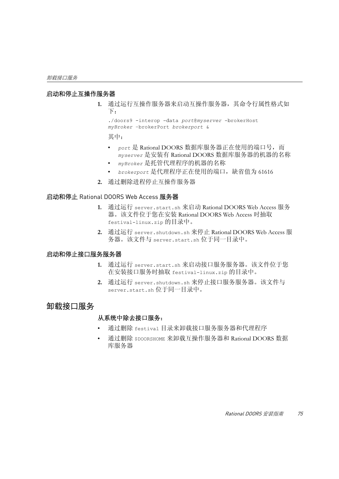#### 启动和停止互操作服务器

**1.** 通过运行互操作服务器来启动互操作服务器,其命令行属性格式如 下:

./doors9 -interop –data *port*@*myserver* –brokerHost *myBroker* –brokerPort *brokerport* &

其中:

- *port* 是 Rational DOORS 数据库服务器正在使用的端口号,而 *myserver* 是安装有 Rational DOORS 数据库服务器的机器的名称
- *myBroker* 是托管代理程序的机器的名称
- *brokerport* 是代理程序正在使用的端口,缺省值为 61616
- **2.** 通过删除进程停止互操作服务器

#### 启动和停止 Rational DOORS Web Access 服务器

- **1.** 通过运行 server.start.sh 来启动 Rational DOORS Web Access 服务 器。该文件位于您在安装 Rational DOORS Web Access 时抽取 festival-linux.zip 的目录中。
- **2.** 通过运行 server.shutdown.sh 来停止 Rational DOORS Web Access 服 务器。该文件与 server.start.sh 位于同一目录中。

#### 启动和停止接口服务服务器

- **1.** 通过运行 server.start.sh 来启动接口服务服务器。该文件位于您 在安装接口服务时抽取 festival-linux.zip 的目录中。
- **2.** 通过运行 server.shutdown.sh 来停止接口服务服务器。该文件与 server.start.sh 位于同一目录中。

## <span id="page-84-0"></span>卸载接口服务

#### 从系统中除去接口服务:

- 通过删除 festival 目录来卸载接口服务服务器和代理程序
- 通过删除 \$DOORSHOME 来卸载互操作服务器和 Rational DOORS 数据 库服务器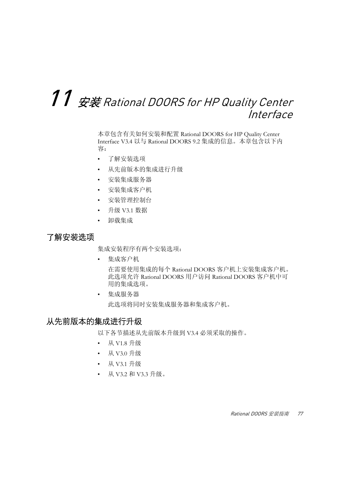# $11\,$  安装 Rational DOORS for HP Quality Center Interface

本章包含有关如何安装和配置 Rational DOORS for HP Quality Center Interface V3.4 以与 Rational DOORS 9.2 集成的信息。本章包含以下内 容:

- [了解安装选项](#page-86-0)
- [从先前版本的集成进行升级](#page-86-1)
- [安装集成服务器](#page-87-0)
- [安装集成客户机](#page-91-0)
- [安装管理控制台](#page-92-0)
- 升级 [V3.1](#page-93-0) 数据
- [卸载集成](#page-94-0)

# <span id="page-86-0"></span>了解安装选项

集成安装程序有两个安装选项:

• 集成客户机

在需要使用集成的每个 Rational DOORS 客户机上安装集成客户机。 此选项允许 Rational DOORS 用户访问 Rational DOORS 客户机中可 用的集成选项。

• 集成服务器

此选项将同时安装集成服务器和集成客户机。

## <span id="page-86-1"></span>从先前版本的集成进行升级

以下各节描述从先前版本升级到 V3.4 必须采取的操作。

- 从 [V1.8](#page-87-1) 升级
- 从 [V3.0](#page-87-2) 升级
- 从 [V3.1](#page-87-3) 升级
- 从 V3.2 和 V3.3 [升级。](#page-87-4)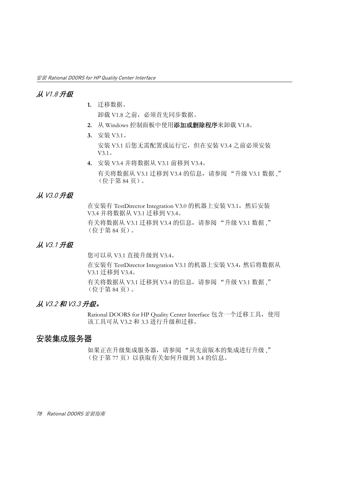### <span id="page-87-1"></span>从 V1.8 升级

- **1.** 迁移数据。 卸载 V1.8 之前,必须首先同步数据。
- **2.** 从 Windows 控制面板中使用添加或删除程序来卸载 V1.8。
- **3.** 安装 V3.1。 安装 V3.1 后您无需配置或运行它,但在安装 V3.4 之前必须安装 V3.1。
- **4.** 安装 V3.4 并将数据从 V3.1 前移到 V3.4。 有关将数据从 V3.1 迁移到 V3.4 的信息, 请参阅"升级 V3.1 数据," [\(位于第](#page-93-0) 84 页)。

#### <span id="page-87-2"></span>从 V3.0 升级

在安装有 TestDirector Integration V3.0 的机器上安装 V3.1, 然后安装 V3.4 并将数据从 V3.1 迁移到 V3.4。

有关将数据从 V3.1 迁移到 V3.4 的信息, 请参阅"升级 V3.1 数据," [\(位于第](#page-93-0) 84 页)。

### <span id="page-87-3"></span>从 V3.1 升级

您可以从 V3.1 直接升级到 V3.4。

在安装有 TestDirector Integration V3.1 的机器上安装 V3.4, 然后将数据从 V3.1 迁移到 V3.4。

有关将数据从 V3.1 迁移到 V3.4 的信息, 请参阅"升级 V3.1 数据," [\(位于第](#page-93-0) 84 页)。

#### <span id="page-87-4"></span>从 V3.2 和 V3.3 升级。

Rational DOORS for HP Quality Center Interface 包含一个迁移工具,使用 该工具可从 V3.2 和 3.3 进行升级和迁移。

### <span id="page-87-0"></span>安装集成服务器

如果正在升级集成服务器,请参阅"从先前版本的集成进行升级、" [\(位于第](#page-86-1) 77 页)以获取有关如何升级到 3.4 的信息。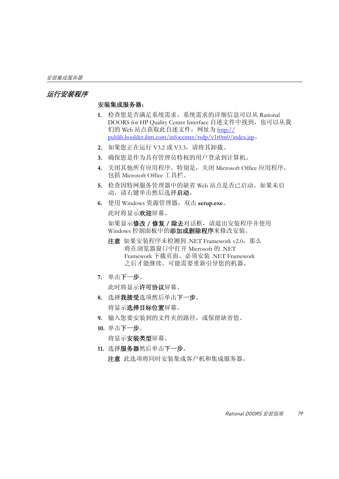#### <span id="page-88-0"></span>运行安装程序

#### 安装集成服务器:

- **1.** 检查您是否满足系统需求。系统需求的详细信息可以从 Rational DOORS for HP Ouality Center Interface 自述文件中找到, 也可以从我 们的 Web 站点获取此自述文件,网址为 http:// publib.boulder.ibm.com/infocenter/rsdp/v1r0m0/index.jsp。
- **2.** 如果您正在运行 V3.2 或 V3.3,请将其卸载。
- **3.** 确保您是作为具有管理员特权的用户登录到计算机。
- **4.** 关闭其他所有应用程序。特别是,关闭 Microsoft Office 应用程序, 包括 Microsoft Office 工具栏。
- **5.** 检查因特网服务管理器中的缺省 Web 站点是否已启动。如果未启 动,请右键单击然后选择启动。
- **6.** 使用 Windows 资源管理器,双击 **setup.exe**。

此时将显示欢迎屏幕。

如果显示修改 / 修复 / 除去对话框, 请退出安装程序并使用 Windows 控制面板中的**添加或删除程序**来修改安装。

- 注意如果安装程序未检测到 .NET Framework v2.0,那么 将在浏览器窗口中打开 Microsoft 的 .NET Framework 下载页面。必须安装 .NET Framework 之后才能继续。可能需要重新引导您的机器。
- **7.** 单击下一步。

此时将显示许可协议屏幕。

- **8.** 选择我接受选项然后单击下一步。 将显示选择目标位置屏幕。
- **9.** 输入您要安装到的文件夹的路径,或保留缺省值。
- **10.** 单击下一步。

将显示**安装类型**屏幕。

**11.** 选择服务器然后单击下一步。 注意此选项将同时安装集成客户机和集成服务器。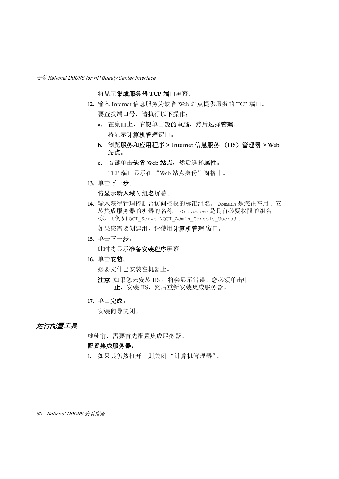将显示集成服务器 **TCP** 端口屏幕。

- <span id="page-89-1"></span>**12.** 输入 Internet 信息服务为缺省 Web 站点提供服务的 TCP 端口。 要查找端口号,请执行以下操作:
	- **a.** 在桌面上,右键单击我的电脑,然后选择管理。 将显示计算机管理窗口。
	- **b.** 浏览服务和应用程序 **> Internet** 信息服务 (**IIS**)管理器 **> Web**  站点。
	- **c.** 右键单击缺省 **Web** 站点,然后选择属性。 TCP 端口显示在 "Web 站点身份"窗格中。
- **13.** 单击下一步。

将显示输入域 **\** 组名屏幕。

- <span id="page-89-0"></span>**14.** 输入获得管理控制台访问授权的标准组名。*Domain* 是您正在用于安 装集成服务器的机器的名称,G*roupname* 是具有必要权限的组名 称, (例如 QCI\_Server\QCI\_Admin\_Console\_Users)。 如果您需要创建组,请使用计算机管理窗口。
- **15.** 单击下一步。

此时将显示准备安装程序屏幕。

**16.** 单击安装。

必要文件已安装在机器上。

- 注意如果您未安装 IIS ,将会显示错误。您必须单击中 止, 安装 IIS, 然后重新安装集成服务器。
- **17.** 单击完成。

安装向导关闭。

#### 运行配置工具

继续前,需要首先配置集成服务器。

#### 配置集成服务器:

**1.** 如果其仍然打开,则关闭 "计算机管理器"。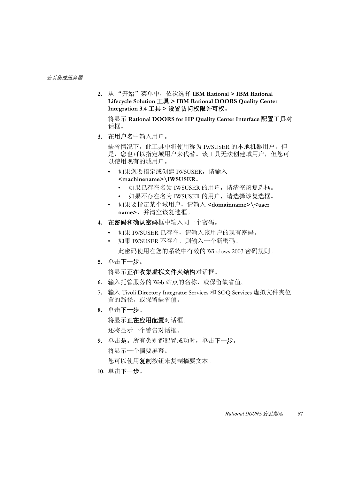**2.** 从 "开始"菜单中,依次选择 **IBM Rational > IBM Rational Lifecycle Solution** 工具 **> IBM Rational DOORS Quality Center Integration 3.4** 工具 **>** 设置访问权限许可权。

将显示 **Rational DOORS for HP Quality Center Interface** 配置工具对 话框。

**3.** 在用户名中输入用户。

缺省情况下,此工具中将使用称为 IWSUSER 的本地机器用户。但 是,您也可以指定域用户来代替。该工具无法创建域用户,但您可 以使用现有的域用户。

- 如果您要指定或创建 IWSUSER,请输入 **<machinename>\IWSUSER**。
	- 如果已存在名为 IWSUSER 的用户,请清空该复选框。
	- 如果不存在名为 IWSUSER 的用户,请选择该复选框。
- 如果要指定某个域用户,请输入 **<domainname>\<user name>**,并清空该复选框。
- **4.** 在密码和确认密码框中输入同一个密码。
	- 如果 IWSUSER 已存在,请输入该用户的现有密码。
	- 如果 IWSUSER 不存在,则输入一个新密码。 此密码使用在您的系统中有效的 Windows 2003 密码规则。
- **5.** 单击下一步。

将显示正在收集虚拟文件夹结构对话框。

- **6.** 输入托管服务的 Web 站点的名称,或保留缺省值。
- **7.** 输入 Tivoli Directory Integrator Services 和 SOQ Services 虚拟文件夹位 置的路径,或保留缺省值。
- **8.** 单击下一步。

将显示正在应用配置对话框。

还将显示一个警告对话框。

**9.** 单击是。所有类别都配置成功时,单击下一步。 将显示一个摘要屏幕。

你可以使用复制按钮来复制摘要文本。

**10.** 单击下一步。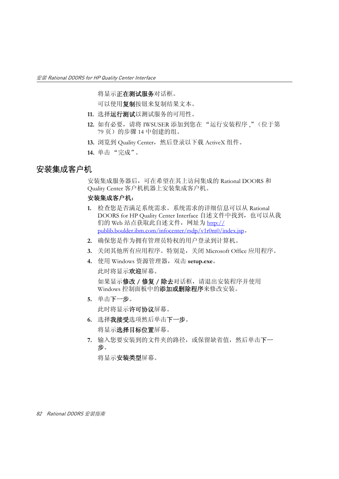将显示正在测试服务对话框。

可以使用复制按钮来复制结果文本。

- **11.** 选择运行测试以测试服务的可用性。
- **12.** 如有必要,请将 IWSUSER 添加到您[在 "运行安装程序](#page-88-0) ,"(位于第 79 [页\)的](#page-88-0)[步骤](#page-89-0) 14 中创建的组。
- 13. 浏览到 Quality Center, 然后登录以下载 ActiveX 组件。
- **14.** 单击 "完成"。

### <span id="page-91-0"></span>安装集成客户机

安装集成服务器后,可在希望在其上访问集成的 Rational DOORS 和 Quality Center 客户机机器上安装集成客户机。

#### 安装集成客户机:

- **1.** 检查您是否满足系统需求。系统需求的详细信息可以从 Rational DOORS for HP Quality Center Interface 自述文件中找到, 也可以从我 们的 Web 站点获取此自述文件, 网址为 http:// publib.boulder.ibm.com/infocenter/rsdp/v1r0m0/index.jsp。
- **2.** 确保您是作为拥有管理员特权的用户登录到计算机。
- **3.** 关闭其他所有应用程序。特别是,关闭 Microsoft Office 应用程序。
- **4.** 使用 Windows 资源管理器,双击 **setup.exe**。 此时将显示欢迎屏幕。

如果显示**修改 / 修复 / 除去**对话框, 请退出安装程序并使用 Windows 控制面板中的添加或删除程序来修改安装。

**5.** 单击下一步。

此时将显示许可协议屏幕。

- **6.** 选择我接受选项然后单击下一步。 将显示选择目标位置屏幕。
- **7.** 输入您要安装到的文件夹的路径,或保留缺省值,然后单击下一 步。

将显示安装类型屏幕。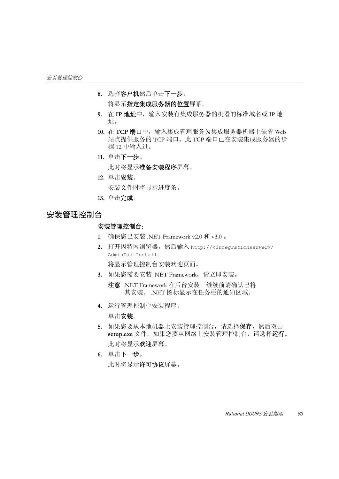- **8.** 选择客户机然后单击下一步。 将显示指定集成服务器的位置屏幕。
- **9.** 在 **IP** 地址中,输入安装有集成服务器的机器的标准域名或 IP 地 址。
- 10. 在 TCP 端口中, 输入集成管理服务为集成服务器机器上缺省 Web 站点提供服务的 TCP 端口。此 TCP 端口已[在安装集成服务器](#page-87-0)[的步](#page-89-1) 骤 [12](#page-89-1) 中输入过。
- **11.** 单击下一步。

此时将显示准备安装程序屏幕。

**12.** 单击安装。

安装文件时将显示进度条。

**13.** 单击完成。

### <span id="page-92-0"></span>安装管理控制台

#### 安装管理控制台:

- **1.** 确保您已安装 .NET Framework v2.0 和 v3.0 。
- **2.** 打开因特网浏览器,然后输入 http://<*integrationserver*>/ AdminToolInstall。

将显示管理控制台安装欢迎页面。

- **3.** 如果您需要安装 .NET Framework,请立即安装。
	- 注意.NET Framework 在后台安装。继续前请确认已将 其安装。 .NET 图标显示在任务栏的通知区域。
- **4.** 运行管理控制台安装程序。

单击安装。

- **5.** 如果您要从本地机器上安装管理控制台,请选择保存,然后双击 **setup.exe** 文件。如果您要从网络上安装管理控制台,请选择运行。 此时将显示欢迎屏幕。
- **6.** 单击下一步。 此时将显示许可协议屏幕。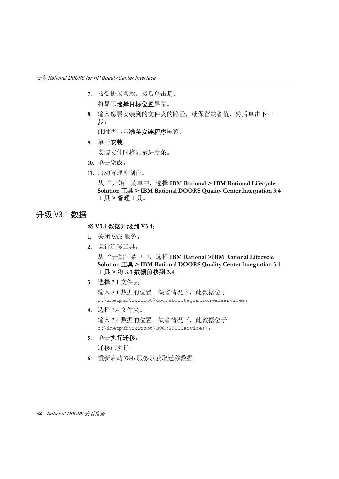- 7. 接受协议条款,然后单击是。 将显示选择目标位置屏幕。
- **8.** 输入您要安装到的文件夹的路径,或保留缺省值,然后单击下一 步。

此时将显示准备安装程序屏幕。

**9.** 单击安装。

安装文件时将显示进度条。

- **10.** 单击完成。
- **11.** 启动管理控制台。

从 "开始"菜单中,选择 **IBM Rational > IBM Rational Lifecycle Solution** 工具 **> IBM Rational DOORS Quality Center Integration 3.4**  工具 **>** 管理工具。

# <span id="page-93-0"></span>升级 V3.1 数据

#### 将 **V3.1** 数据升级到 **V3.4**:

- **1.** 关闭 Web 服务。
- **2.** 运行迁移工具。

从 "开始"菜单中,选择 **IBM Rational >IBM Rational Lifecycle Solution** 工具 **> IBM Rational DOORS Quality Center Integration 3.4**  工具 **>** 将 **3.1** 数据前移到 **3.4**。

**3.** 选择 3.1 文件夹

输入 3.1 数据的位置。缺省情况下,此数据位于 c:\inetpub\wwwroot\doorstdintegrationwebservices。

**4.** 选择 3.4 文件夹。

输入 3.4 数据的位置。缺省情况下,此数据位于 c:\inetpub\wwwroot\DOORSTDIServices\。

**5.** 单击执行迁移。

迁移已执行。

**6.** 重新启动 Web 服务以获取迁移数据。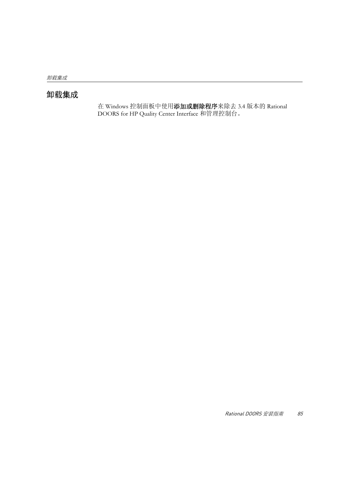# <span id="page-94-0"></span>卸载集成

在 Windows 控制面板中使用添加或删除程序来除去 3.4 版本的 Rational **DOORS** for HP Quality Center Interface 和管理控制台。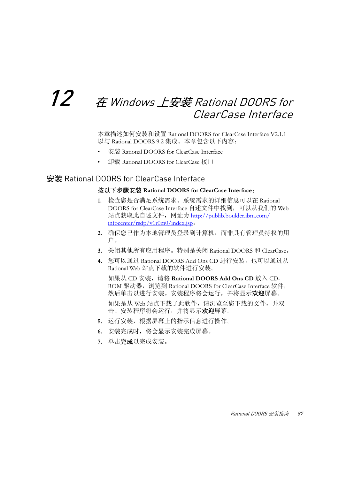# $12$   $\;\;$  在 Windows 上安装 Rational DOORS for ClearCase Interface

本章描述如何安装和设置 Rational DOORS for ClearCase Interface V2.1.1 以与 Rational DOORS 9.2 集成。本章包含以下内容:

- 安装 [Rational DOORS for ClearCase Interface](#page-96-0)
- 卸载 [Rational DOORS for ClearCase](#page-97-0) 接口

# <span id="page-96-0"></span>安装 Rational DOORS for ClearCase Interface

#### 按以下步骤安装 **Rational DOORS for ClearCase Interface**:

- **1.** 检查您是否满足系统需求。系统需求的详细信息可以在 Rational DOORS for ClearCase Interface 自述文件中找到,可以从我们的 Web 站点获取此自述文件,网址为 http://publib.boulder.ibm.com/ infocenter/rsdp/v1r0m0/index.jsp。
- **2.** 确保您已作为本地管理员登录到计算机,而非具有管理员特权的用 户。
- **3.** 关闭其他所有应用程序。特别是关闭 Rational DOORS 和 ClearCase。
- **4.** 您可以通过 Rational DOORS Add Ons CD 进行安装,也可以通过从 Rational Web 站点下载的软件进行安装。

如果从 CD 安装,请将 **Rational DOORS Add Ons CD** 放入 CD-ROM 驱动器, 浏览到 Rational DOORS for ClearCase Interface 软件, 然后单击以进行安装。安装程序将会运行,并将显示欢迎屏幕。

如果是从 Web 站点下载了此软件,请浏览至您下载的文件,并双 击。安装程序将会运行,并将显示欢迎屏幕。

- **5.** 运行安装,根据屏幕上的指示信息进行操作。
- **6.** 安装完成时,将会显示安装完成屏幕。
- **7.** 单击完成以完成安装。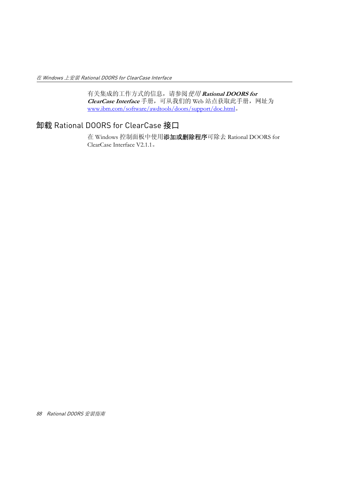有关集成的工作方式的信息,请参阅使用 **Rational DOORS for ClearCase Interface** 手册,可从我们的 Web 站点获取此手册,网址为 www.ibm.com/software/awdtools/doors/support/doc.html。

# <span id="page-97-0"></span>卸载 Rational DOORS for ClearCase 接口

在 Windows 控制面板中使用添加或删除程序可除去 Rational DOORS for ClearCase Interface V2.1.1。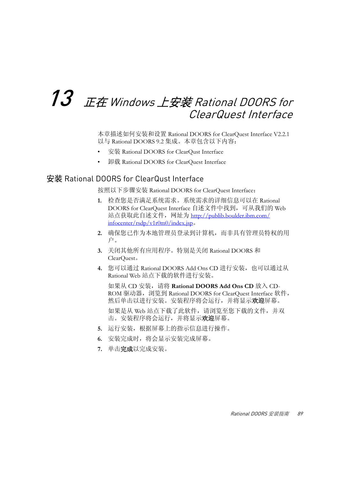# $13$   $\,$   $E\bar{\alpha}$  Windows 上安装 Rational DOORS for ClearQuest Interface

本章描述如何安装和设置 Rational DOORS for ClearQuest Interface V2.2.1 以与 Rational DOORS 9.2 集成。本章包含以下内容:

- 安装 [Rational DOORS for ClearQust Interface](#page-98-0)
- 卸载 [Rational DOORS for ClearQuest Interface](#page-99-0)

## <span id="page-98-0"></span>安装 Rational DOORS for ClearQust Interface

按照以下步骤安装 Rational DOORS for ClearQuest Interface:

- **1.** 检查您是否满足系统需求。系统需求的详细信息可以在 Rational DOORS for ClearQuest Interface 自述文件中找到,可从我们的 Web 站点获取此自述文件,网址为 http://publib.boulder.ibm.com/ infocenter/rsdp/v1r0m0/index.jsp。
- **2.** 确保您已作为本地管理员登录到计算机,而非具有管理员特权的用 户。
- **3.** 关闭其他所有应用程序。特别是关闭 Rational DOORS 和 ClearQuest。
- 4. 您可以通过 Rational DOORS Add Ons CD 进行安装, 也可以通过从 Rational Web 站点下载的软件进行安装。

如果从 CD 安装,请将 **Rational DOORS Add Ons CD** 放入 CD-ROM 驱动器, 浏览到 Rational DOORS for ClearQuest Interface 软件, 然后单击以进行安装。安装程序将会运行,并将显示欢迎屏幕。

如果是从 Web 站点下载了此软件,请浏览至您下载的文件,并双 击。安装程序将会运行,并将显示欢迎屏幕。

- **5.** 运行安装,根据屏幕上的指示信息进行操作。
- **6.** 安装完成时,将会显示安装完成屏幕。
- **7.** 单击完成以完成安装。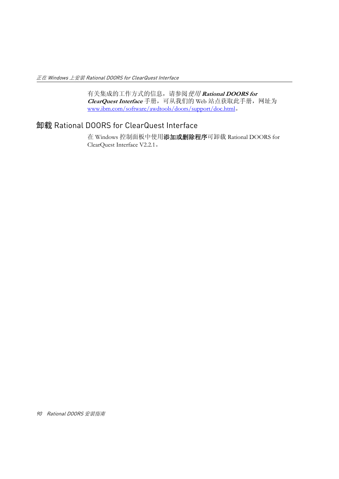有关集成的工作方式的信息,请参阅使用 **Rational DOORS for ClearQuest Interface** 手册,可从我们的 Web 站点获取此手册,网址为 www.ibm.com/software/awdtools/doors/support/doc.html。

# <span id="page-99-0"></span>卸载 Rational DOORS for ClearQuest Interface

在 Windows 控制面板中使用添加或删除程序可卸载 Rational DOORS for ClearQuest Interface V2.2.1。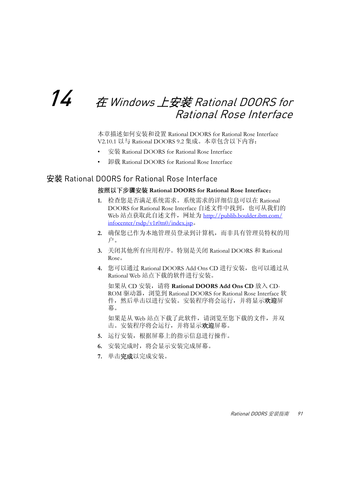# $14$   $\pm$  Windows 上安装 Rational DOORS for Rational Rose Interface

本章描述如何安装和设置 Rational DOORS for Rational Rose Interface V2.10.1 以与 Rational DOORS 9.2 集成。本章包含以下内容:

- 安装 [Rational DOORS for Rational Rose Interface](#page-100-0)
- 卸载 [Rational DOORS for Rational Rose Interface](#page-101-0)

# <span id="page-100-0"></span>安装 Rational DOORS for Rational Rose Interface

#### 按照以下步骤安装 **Rational DOORS for Rational Rose Interface**:

- **1.** 检查您是否满足系统需求。系统需求的详细信息可以在 Rational DOORS for Rational Rose Interface 自述文件中找到, 也可从我们的 Web 站点获取此自述文件,网址为 http://publib.boulder.ibm.com/ infocenter/rsdp/v1r0m0/index.jsp。
- **2.** 确保您已作为本地管理员登录到计算机,而非具有管理员特权的用 户。
- **3.** 关闭其他所有应用程序。特别是关闭 Rational DOORS 和 Rational Rose。
- 4. 您可以通过 Rational DOORS Add Ons CD 进行安装, 也可以通过从 Rational Web 站点下载的软件进行安装。

如果从 CD 安装,请将 **Rational DOORS Add Ons CD** 放入 CD-ROM 驱动器, 浏览到 Rational DOORS for Rational Rose Interface 软 件,然后单击以进行安装。安装程序将会运行,并将显示欢迎屏 幕。

如果是从 Web 站点下载了此软件,请浏览至您下载的文件,并双 击。安装程序将会运行,并将显示**欢迎**屏幕。

- **5.** 运行安装,根据屏幕上的指示信息进行操作。
- **6.** 安装完成时,将会显示安装完成屏幕。
- **7.** 单击完成以完成安装。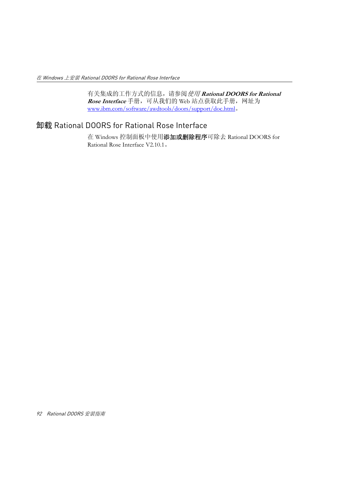有关集成的工作方式的信息,请参阅使用 **Rational DOORS for Rational**  Rose Interface 手册, 可从我们的 Web 站点获取此手册, 网址为 www.ibm.com/software/awdtools/doors/support/doc.html。

# <span id="page-101-0"></span>卸载 Rational DOORS for Rational Rose Interface

在 Windows 控制面板中使用添加或删除程序可除去 Rational DOORS for Rational Rose Interface V2.10.1。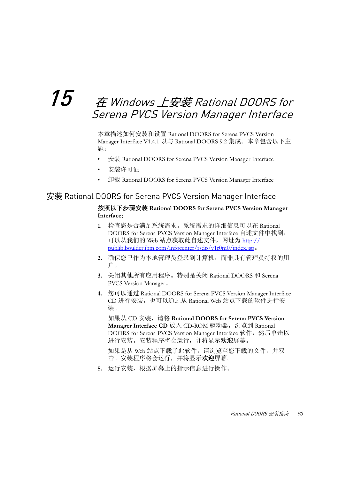# $15$   $\quad$   $\dot{\tau}$  Windows 上安装 Rational DOORS for Serena PVCS Version Manager Interface

本章描述如何安装和设置 Rational DOORS for Serena PVCS Version Manager Interface V1.4.1 以与 Rational DOORS 9.2 集成。本章包含以下主 题:

- 安装 [Rational DOORS for Serena PVCS Version Manager Interface](#page-102-0)
- [安装许可证](#page-103-0)
- 卸载 [Rational DOORS for Serena PVCS Version Manager Interface](#page-103-1)

# <span id="page-102-0"></span>安装 Rational DOORS for Serena PVCS Version Manager Interface

#### 按照以下步骤安装 **Rational DOORS for Serena PVCS Version Manager Interface**:

- **1.** 检查您是否满足系统需求。系统需求的详细信息可以在 Rational DOORS for Serena PVCS Version Manager Interface 自述文件中找到, 可以从我们的 Web 站点获取此自述文件,网址为 http:// publib.boulder.ibm.com/infocenter/rsdp/v1r0m0/index.jsp。
- **2.** 确保您已作为本地管理员登录到计算机,而非具有管理员特权的用 户。
- **3.** 关闭其他所有应用程序。特别是关闭 Rational DOORS 和 Serena PVCS Version Manager。
- **4.** 您可以通过 Rational DOORS for Serena PVCS Version Manager Interface CD 进行安装,也可以通过从 Rational Web 站点下载的软件进行安 装。

如果从 CD 安装, 请将 Rational DOORS for Serena PVCS Version Manager Interface CD 放入 CD-ROM 驱动器, 浏览到 Rational DOORS for Serena PVCS Version Manager Interface 软件,然后单击以 进行安装。安装程序将会运行,并将显示欢迎屏幕。

如果是从 Web 站点下载了此软件,请浏览至您下载的文件,并双 击。安装程序将会运行,并将显示欢迎屏幕。

**5.** 运行安装,根据屏幕上的指示信息进行操作。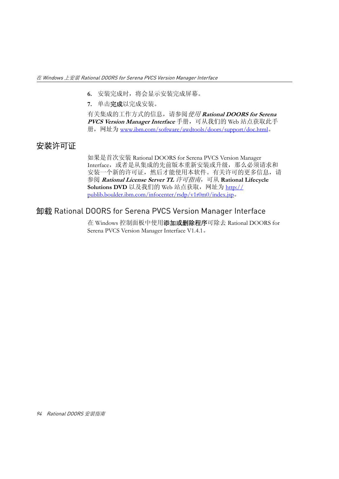- **6.** 安装完成时,将会显示安装完成屏幕。
- **7.** 单击完成以完成安装。

有关集成的工作方式的信息,请参阅使用 **Rational DOORS for Serena**  PVCS Version Manager Interface 手册,可从我们的 Web 站点获取此手 册,网址为 www.ibm.com/software/awdtools/doors/support/doc.html。

# <span id="page-103-0"></span>安装许可证

如果是首次安装 Rational DOORS for Serena PVCS Version Manager Interface,或者是从集成的先前版本重新安装或升级,那么必须请求和 安装一个新的许可证,然后才能使用本软件。有关许可的更多信息,请 参阅 **Rational License Server TL** 许可指南,可从 **Rational Lifecycle Solutions DVD** 以及我们的 Web 站点获取, 网址为 http:// publib.boulder.ibm.com/infocenter/rsdp/v1r0m0/index.jsp。

# <span id="page-103-1"></span>卸载 Rational DOORS for Serena PVCS Version Manager Interface

在 Windows 控制面板中使用添加或删除程序可除去 Rational DOORS for Serena PVCS Version Manager Interface V1.4.1。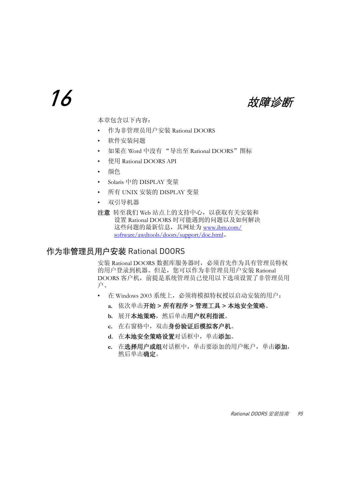16 あたい あたい あいかん あいかん 故障诊断

本章包含以下内容:

- [作为非管理员用户安装](#page-104-0) Rational DOORS
- [软件安装问题](#page-105-0)
- 如果在 Word 中没有 "导出至 [Rational DOORS](#page-105-1)"图标
- 使用 [Rational DOORS API](#page-106-0)
- [颜色](#page-106-1)
- Solaris 中的 [DISPLAY](#page-106-2) 变量
- 所有 UNIX 安装的 [DISPLAY](#page-106-3) 变量
- [双引导机器](#page-106-4)
- 注意转至我们 Web 站点上的支持中心,以获取有关安装和 设置 Rational DOORS 时可能遇到的问题以及如何解决 这些问题的最新信息,其网址为 www.ibm.com/ software/awdtools/doors/support/doc.html。

# <span id="page-104-0"></span>作为非管理员用户安装 Rational DOORS

安装 Rational DOORS 数据库服务器时,必须首先作为具有管理员特权 的用户登录到机器。但是,您可以作为非管理员用户安装 Rational DOORS 客户机,前提是系统管理员已使用以下选项设置了非管理员用 户。

- 在 Windows 2003 系统上,必须将模拟特权授以启动安装的用户:
	- **a.** 依次单击开始 **>** 所有程序 **>** 管理工具 **>** 本地安全策略。
	- b. 展开本地策略,然后单击用户权利指派。
	- **c.** 在右窗格中,双击身份验证后模拟客户机。
	- **d.** 在本地安全策略设置对话框中,单击添加。
	- **e.** 在选择用户或组对话框中,单击要添加的用户帐户,单击添加, 然后单击确定。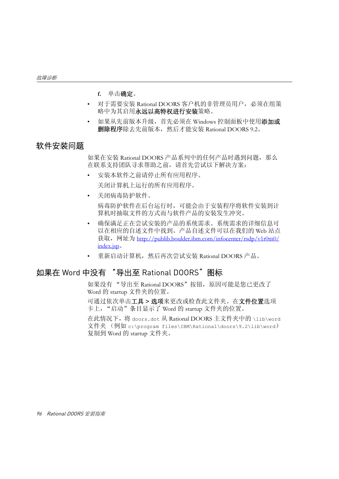- **f.** 单击确定。
- 对于需要安装 Rational DOORS 客户机的非管理员用户,必须在组策 略中为其启用永远以高特权进行安装策略。
- 如果从先前版本升级, 首先必须在 Windows 控制面板中使用添加或 删除程序除去先前版本,然后才能安装 Rational DOORS 9.2。

# <span id="page-105-0"></span>软件安装问题

如果在安装 Rational DOORS 产品系列中的任何产品时遇到问题,那么 在联系支持团队寻求帮助之前,请首先尝试以下解决方案:

- 安装本软件之前请停止所有应用程序。 关闭计算机上运行的所有应用程序。
- 关闭病毒防护软件。 病毒防护软件在后台运行时,可能会由于安装程序将软件安装到计 算机时抽取文件的方式而与软件产品的安装发生冲突。
- 确保满足正在尝试安装的产品的系统需求。系统需求的详细信息可 以在相应的自述文件中找到。产品自述文件可以在我们的 Web 站点 获取, 网址为 http://publib.boulder.ibm.com/infocenter/rsdp/v1r0m0/ index.jsp。
- 重新启动计算机,然后再次尝试安装 Rational DOORS 产品。

## <span id="page-105-1"></span>如果在 Word 中没有 "导出至 Rational DOORS"图标

如果没有"导出至 Rational DOORS"按钮, 原因可能是您已更改了 Word 的 startup 文件夹的位置。

可通过依次单击工具 **>** 选项来更改或检查此文件夹。在文件位置选项 卡上, "启动"条目显示了 Word 的 startup 文件夹的位置。

在此情况下,将 doors.dot 从 Rational DOORS 主文件夹中的 \lib\word 文件夹 (例如 c:\program files\IBM\Rational\doors\9.2\lib\word) 复制到 Word 的 startup 文件夹。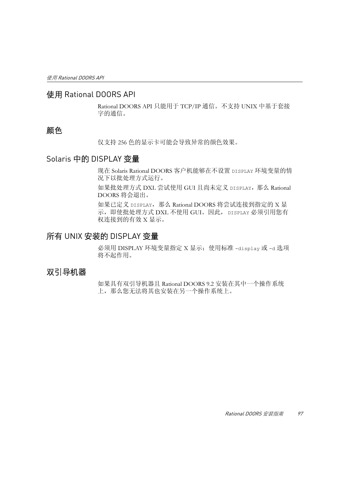## <span id="page-106-0"></span>使用 Rational DOORS API

Rational DOORS API 只能用于 TCP/IP 通信。不支持 UNIX 中基于套接 字的通信。

# <span id="page-106-1"></span>颜色

仅支持 256 色的显示卡可能会导致异常的颜色效果。

# <span id="page-106-2"></span>Solaris 中的 DISPLAY 变量

现在 Solaris Rational DOORS 客户机能够在不设置 DISPLAY 环境变量的情 况下以批处理方式运行。

如果批处理方式 DXL 尝试使用 GUI 且尚未定义 DISPLAY, 那么 Rational DOORS 将会退出。

如果已定义 DISPLAY,那么 Rational DOORS 将尝试连接到指定的 X 显 示,即使批处理方式 DXL 不使用 GUI。因此, DISPLAY 必须引用您有 权连接到的有效 X 显示。

# <span id="page-106-3"></span>所有 UNIX 安装的 DISPLAY 变量

必须用 DISPLAY 环境变量指定 X 显示; 使用标准 -display 或 -d 选项 将不起作用。

# <span id="page-106-4"></span>双引导机器

如果具有双引导机器且 Rational DOORS 9.2 安装在其中一个操作系统 上,那么您无法将其也安装在另一个操作系统上。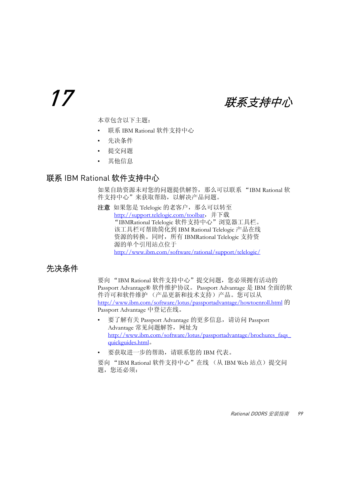17 群系支持中心

本章包含以下主题:

- 联系 [IBM Rational](#page-108-0) 软件支持中心
- [先决条件](#page-108-1)
- [提交问题](#page-109-0)
- [其他信息](#page-111-0)

### <span id="page-108-2"></span><span id="page-108-0"></span>联系 IBM Rational 软件支持中心

如果自助资源未对您的问题提供解答,那么可以联系 "IBM Rational 软 件支持中心"来获取帮助,以解决产品问题。

注意 如果您是 Telelogic 的老客户, 那么可以转至 http://support.telelogic.com/toolbar,并下载 "IBMRational Telelogic 软件支持中心"浏览器工具栏。 该工具栏可帮助简化到 IBM Rational Telelogic 产品在线 资源的转换。同时,所有 IBMRational Telelogic 支持资 源的单个引用站点位于 http://www.ibm.com/software/rational/support/telelogic/

### <span id="page-108-1"></span>先决条件

要向"IBM Rational 软件支持中心"提交问题, 您必须拥有活动的 Passport Advantage® 软件维护协议。Passport Advantage 是 IBM 全面的软 件许可和软件维护 (产品更新和技术支持)产品。您可以从 http://www.ibm.com/software/lotus/passportadvantage/howtoenroll.html 的 Passport Advantage 中登记在线。

- 要了解有关 Passport Advantage 的更多信息, 请访问 Passport Advantage 常见问题解答,网址为 http://www.ibm.com/software/lotus/passportadvantage/brochures\_faqs\_ quickguides.html。
- 要获取进一步的帮助,请联系您的 IBM 代表。

要向"IBM Rational 软件支持中心"在线 (从 IBM Web 站点)提交问 题, 您还必须: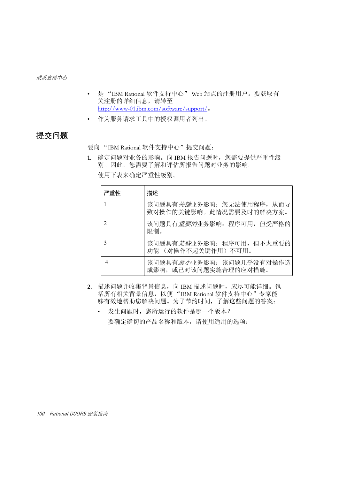- 是 "IBM Rational 软件支持中心" Web 站点的注册用户。要获取有 关注册的详细信息,请转至 http://www-01.ibm.com/software/support/。
- 作为服务请求工具中的授权调用者列出。

### <span id="page-109-0"></span>提交问题

要向 "IBM Rational 软件支持中心"提交问题:

1. 确定问题对业务的影响。向 IBM 报告问题时, 您需要提供严重性级 别。因此,您需要了解和评估所报告问题对业务的影响。 使用下表来确定严重性级别。

| 严重性 | 描述                                                            |
|-----|---------------------------------------------------------------|
| 1   | 该问题具有 <i>关键</i> 业务影响: 您无法使用程序, 从而导<br>致对操作的关键影响。此情况需要及时的解决方案。 |
| 2   | 该问题具有 <i>重要的</i> 业务影响: 程序可用, 但受严格的<br>限制。                     |
| 3   | 该问题具有 <i>某些</i> 业务影响: 程序可用, 但不太重要的<br>功能 (对操作不起关键作用) 不可用。     |
| 4   | 该问题具有 <i>最小</i> 业务影响: 该问题几乎没有对操作造<br>成影响, 或已对该问题实施合理的应对措施。    |

- 2. 描述问题并收集背景信息,向 IBM 描述问题时,应尽可能详细。包 括所有相关背景信息,以便 "IBM Rational 软件支持中心"专家能 够有效地帮助您解决问题。为了节约时间,了解这些问题的答案:
	- 发生问题时,您所运行的软件是哪一个版本? 要确定确切的产品名称和版本,请使用适用的选项: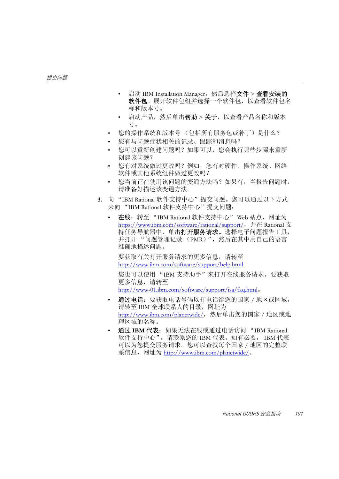- 启动 IBM Installation Manager, 然后选择文件 > 查看安装的 软件包。展开软件包组并选择一个软件包,以查看软件包名 称和版本号。
- 启动产品, 然后单击**帮助 > 关于**, 以杳看产品名称和版本 号。
- 您的操作系统和版本号 (包括所有服务包或补丁)是什么?
- 您有与问题症状相关的记录、跟踪和消息吗?
- 您可以重新创建问题吗?如果可以,您会执行哪些步骤来重新 创建该问题?
- 您有对系统做过更改吗?例如,您有对硬件、操作系统、网络 软件或其他系统组件做过更改吗?
- 您当前正在使用该问题的变通方法吗?如果有,当报告问题时, 请准备好描述该变通方法。
- **3.** 向 "IBM Rational 软件支持中心"提交问题。您可以通过以下方式 来向 "IBM Rational 软件支持中心"提交问题:
	- 在线: 转至 "IBM Rational 软件支持中心" Web 站点, 网址为 https://www.ibm.com/software/rational/support/, 并在 Rational 支 持任务导航器中,单击打开服务请求。选择电子问题报告工具, 并打开"问题管理记录 (PMR)",然后在其中用自己的语言 准确地描述问题。

要获取有关打开服务请求的更多信息,请转至 http://www.ibm.com/software/support/help.html

您也可以使用 "IBM 支持助手"来打开在线服务请求。要获取 更多信息,请转至

http://www-01.ibm.com/software/support/isa/faq.html。

- 通过电话: 要获取电话号码以打电话给您的国家 / 地区或区域, 请转至 IBM 全球联系人的目录,网址为 http://www.ibm.com/planetwide/, 然后单击您的国家 / 地区或地 理区域的名称。
- 通过 **IBM** 代表:如果无法在线或通过电话访问 "IBM Rational 软件支持中心",请联系您的 IBM 代表。如有必要, IBM 代表 可以为您提交服务请求。您可以查找每个国家 / 地区的完整联 系信息, 网址为 <u>http://www.ibm.com/planetwide/</u>。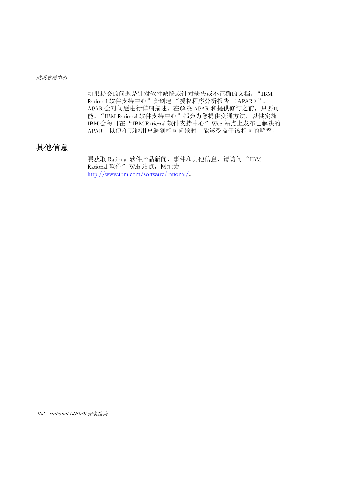如果提交的问题是针对软件缺陷或针对缺失或不正确的文档, "IBM Rational 软件支持中心"会创建 "授权程序分析报告 (APAR)"。 APAR 会对问题进行详细描述。在解决 APAR 和提供修订之前,只要可 能, "IBM Rational 软件支持中心"都会为您提供变通方法, 以供实施。 IBM 会每日在"IBM Rational 软件支持中心"Web 站点上发布已解决的 APAR,以便在其他用户遇到相同问题时,能够受益于该相同的解答。

### <span id="page-111-0"></span>其他信息

要获取 Rational 软件产品新闻、事件和其他信息,请访问 "IBM Rational 软件" Web 站点,网址为 http://www.ibm.com/software/rational/。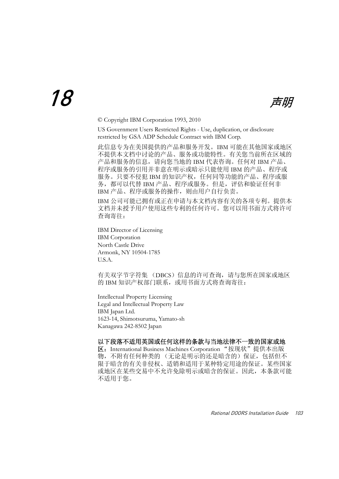© Copyright IBM Corporation 1993, 2010

US Government Users Restricted Rights - Use, duplication, or disclosure restricted by GSA ADP Schedule Contract with IBM Corp.

此信息专为在美国提供的产品和服务开发。IBM 可能在其他国家或地区 不提供本文档中讨论的产品、服务或功能特性。有关您当前所在区域的 产品和服务的信息,请向您当地的 IBM 代表咨询。任何对 IBM 产品、 程序或服务的引用并非意在明示或暗示只能使用 IBM 的产品、程序或 服务。只要不侵犯 IBM 的知识产权, 任何同等功能的产品、程序或服 务,都可以代替 IBM 产品、程序或服务。但是,评估和验证任何非 IBM 产品、程序或服务的操作,则由用户自行负责。

IBM 公司可能已拥有或正在申请与本文档内容有关的各项专利。提供本 文档并未授予用户使用这些专利的任何许可。您可以用书面方式将许可 查询寄往:

IBM Director of Licensing IBM Corporation North Castle Drive Armonk, NY 10504-1785 U.S.A.

有关双字节字符集 (DBCS)信息的许可查询,请与您所在国家或地区 的 IBM 知识产权部门联系, 或用书面方式将杳询寄往:

Intellectual Property Licensing Legal and Intellectual Property Law IBM Japan Ltd. 1623-14, Shimotsuruma, Yamato-sh Kanagawa 242-8502 Japan

#### 以下段落不适用英国或任何这样的条款与当地法律不一致的国家或地

区: International Business Machines Corporation "按现状"提供本出版 物,不附有任何种类的 (无论是明示的还是暗含的)保证,包括但不 限于暗含的有关非侵权、适销和适用于某种特定用途的保证。某些国家 或地区在某些交易中不允许免除明示或暗含的保证。因此,本条款可能 不适用于您。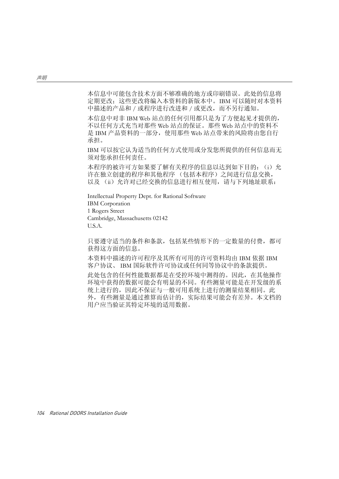本信息中可能包含技术方面不够准确的地方或印刷错误。此处的信息将 定期更改;这些更改将编入本资料的新版本中。IBM 可以随时对本资料 中描述的产品和 / 或程序进行改进和 / 或更改,而不另行通知。

本信息中对非 IBM Web 站点的任何引用都只是为了方便起见才提供的, 不以任何方式充当对那些 Web 站点的保证。那些 Web 站点中的资料不 是 IBM 产品资料的一部分, 使用那些 Web 站点带来的风险将由您自行 承担。

IBM 可以按它认为适当的任何方式使用或分发您所提供的任何信息而无 须对您承担任何责任。

本程序的被许可方如果要了解有关程序的信息以达到如下目的: (i) 允 许在独立创建的程序和其他程序 (包括本程序)之间进行信息交换, 以及 (ii) 允许对已经交换的信息进行相互使用, 请与下列地址联系:

Intellectual Property Dept. for Rational Software

IBM Corporation

1 Rogers Street

Cambridge, Massachusetts 02142

U.S.A.

只要遵守适当的条件和条款,包括某些情形下的一定数量的付费,都可 获得这方面的信息。

本资料中描述的许可程序及其所有可用的许可资料均由 IBM 依据 IBM 客户协议、 IBM 国际软件许可协议或任何同等协议中的条款提供。

此处包含的任何性能数据都是在受控环境中测得的。因此,在其他操作 环境中获得的数据可能会有明显的不同。有些测量可能是在开发级的系 统上进行的,因此不保证与一般可用系统上进行的测量结果相同。此 外,有些测量是通过推算而估计的,实际结果可能会有差异。本文档的 用户应当验证其特定环境的适用数据。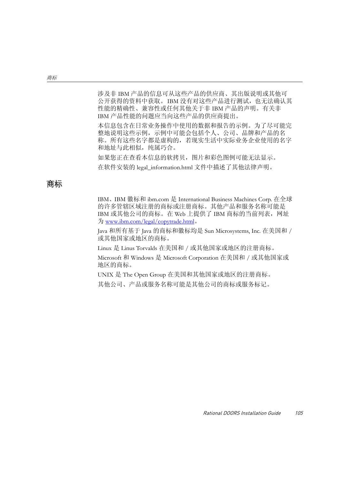涉及非 IBM 产品的信息可从这些产品的供应商、其出版说明或其他可 公开获得的资料中获取。IBM 没有对这些产品进行测试,也无法确认其 性能的精确性、兼容性或任何其他关于非 IBM 产品的声明。有关非 IBM 产品性能的问题应当向这些产品的供应商提出。

本信息包含在日常业务操作中使用的数据和报告的示例。为了尽可能完 整地说明这些示例,示例中可能会包括个人、公司、品牌和产品的名 称。所有这些名字都是虚构的,若现实生活中实际业务企业使用的名字 和地址与此相似, 纯属巧合。

如果您正在查看本信息的软拷贝,图片和彩色图例可能无法显示。 在软件安装的 legal\_information.html 文件中描述了其他法律声明。

#### 商标

IBM、IBM 徽标和 ibm.com 是 International Business Machines Corp. 在全球 的许多管辖区域注册的商标或注册商标。其他产品和服务名称可能是 IBM 或其他公司的商标。在 Web 上提供了 IBM 商标的当前列表,网址 为 www.ibm.com/legal/copytrade.html。

Java 和所有基于 Java 的商标和徽标均是 Sun Microsystems, Inc. 在美国和 / 或其他国家或地区的商标。

Linux 是 Linus Torvalds 在美国和 / 或其他国家或地区的注册商标。

Microsoft 和 Windows 是 Microsoft Corporation 在美国和 / 或其他国家或 地区的商标。

UNIX 是 The Open Group 在美国和其他国家或地区的注册商标。

其他公司、产品或服务名称可能是其他公司的商标或服务标记。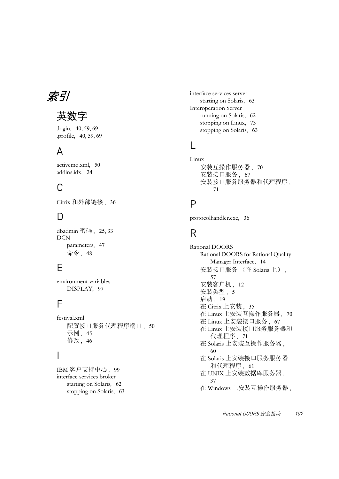索引

## 英数字

.login, [40](#page-49-0), [59](#page-68-0), [69](#page-78-0) .profile, [40](#page-49-1), [59](#page-68-1), [69](#page-78-1)

## A

activemq.xml, [50](#page-59-0) addins.idx, [24](#page-33-0)

### $\bigcap$

Citrix 和外部链接 , [36](#page-45-0)

### D

dbadmin 密码 , [25](#page-34-0), [33](#page-42-0) DCN parameters, [47](#page-56-0) 命令 , [48](#page-57-0)

### E

environment variables DISPLAY, [97](#page-106-0)

### F

festival.xml 配置接口服务代理程序端口, [50](#page-59-0) 示例, [45](#page-54-0) 修改 , [46](#page-55-0)

#### I

IBM 客户支持中心 , [99](#page-108-2) interface services broker starting on Solaris, [62](#page-71-0) stopping on Solaris, [63](#page-72-0) interface services server starting on Solaris, [63](#page-72-1) Interoperation Server running on Solaris, [62](#page-71-1) stopping on Linux, [73](#page-82-0) stopping on Solaris, [63](#page-72-2)

### L

Linux 安装互操作服务器 , [70](#page-79-0) 安装接口服务 , [67](#page-76-0) 安装接口服务服务器和代理程序 , [71](#page-80-0)

#### P

protocolhandler.exe, [36](#page-45-0)

### R

Rational DOORS Rational DOORS for Rational Quality Manager Interface, [14](#page-23-0) 安装接口服务 (在 Solaris 上) , [57](#page-66-0) 安装客户机, [12](#page-21-0) 安装类型, [5](#page-14-0) 启动, [19](#page-28-0) 在 Citrix 上安装 , [35](#page-44-0) 在 Linux 上安装互操作服务器 , [70](#page-79-0) 在 Linux 上安装接口服务 , [67](#page-76-0) 在 Linux 上安装接口服务服务器和 代理程序 , [71](#page-80-0) 在 Solaris 上安装互操作服务器 , [60](#page-69-0) 在 Solaris 上安装接口服务服务器 和代理程序 , [61](#page-70-0) 在 UNIX 上安装数据库服务器 , [37](#page-46-0) 在 Windows 上安装互操作服务器 ,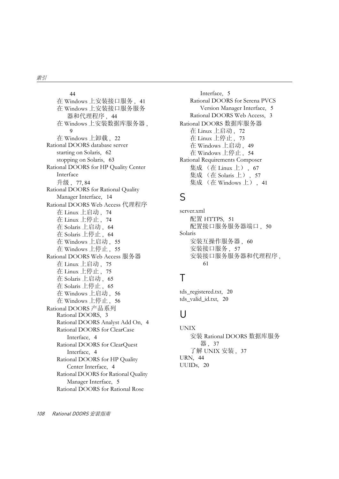[44](#page-53-0) 在 Windows 上安装接口服务 , [41](#page-50-0) 在 Windows 上安装接口服务服务 器和代理程序 , [44](#page-53-1) 在 Windows 上安装数据库服务器 , [9](#page-18-0) 在 Windows 上卸载 , [22](#page-31-0) Rational DOORS database server starting on Solaris, [62](#page-71-2) stopping on Solaris, [63](#page-72-3) Rational DOORS for HP Quality Center Interface 升级 , [77](#page-86-0), [84](#page-93-0) Rational DOORS for Rational Quality Manager Interface, [14](#page-23-0) Rational DOORS Web Access 代理程序 在 Linux 上启动 , [74](#page-83-0) 在 Linux 上停止 , [74](#page-83-1) 在 Solaris 上启动 , [64](#page-73-0) 在 Solaris 上停止 , [64](#page-73-1) 在 Windows 上启动 , [55](#page-64-0) 在 Windows 上停止 , [55](#page-64-1) Rational DOORS Web Access 服务器 在 Linux 上启动 , [75](#page-84-0) 在 Linux 上停止 , [75](#page-84-1) 在 Solaris 上启动 , [65](#page-74-0) 在 Solaris 上停止 , [65](#page-74-1) 在 Windows 上启动 , [56](#page-65-0) 在 Windows 上停止 , [56](#page-65-1) Rational DOORS 产品系列 Rational DOORS, [3](#page-12-0) Rational DOORS Analyst Add On, [4](#page-13-0) Rational DOORS for ClearCase Interface, [4](#page-13-1) Rational DOORS for ClearQuest Interface, [4](#page-13-2) Rational DOORS for HP Quality Center Interface, [4](#page-13-3) Rational DOORS for Rational Quality Manager Interface, [5](#page-14-1) Rational DOORS for Rational Rose

Interface, [5](#page-14-2) Rational DOORS for Serena PVCS Version Manager Interface, [5](#page-14-3) Rational DOORS Web Access, [3](#page-12-1) Rational DOORS 数据库服务器 在 Linux 上启动 , [72](#page-81-0) 在 Linux 上停止 , [73](#page-82-1) 在 Windows 上启动 , [49](#page-58-0) 在 Windows 上停止 , [54](#page-63-0) Rational Requirements Composer 集成 (在 Linux 上) , [67](#page-76-0) 集成 (在 Solaris 上) , [57](#page-66-0) 集成 (在 Windows 上) , [41](#page-50-0)

### S

server.xml 配置 HTTPS, [51](#page-60-0) 配置接口服务服务器端口, [50](#page-59-1) Solaris 安装互操作服务器 , [60](#page-69-0) 安装接口服务 , [57](#page-66-0) 安装接口服务服务器和代理程序 , [61](#page-70-0)

## T

tds\_registered.txt, [20](#page-29-0) tds\_valid\_id.txt, [20](#page-29-0)

### $\cup$

UNIX 安装 Rational DOORS 数据库服务 器 , [37](#page-46-0) 了解 UNIX 安装 , [37](#page-46-1) URN, [44](#page-53-2) UUIDs, [20](#page-29-0)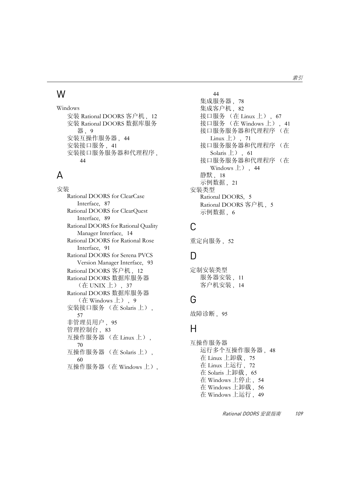## W

Windows 安装 Rational DOORS 客户机 , [12](#page-21-0) 安装 Rational DOORS 数据库服务 器 , [9](#page-18-0) 安装互操作服务器 , [44](#page-53-0) 安装接口服务 , [41](#page-50-0) 安装接口服务服务器和代理程序 , [44](#page-53-1)

### A

安装 Rational DOORS for ClearCase Interface, [87](#page-96-0) Rational DOORS for ClearQuest Interface, [89](#page-98-0) Rational DOORS for Rational Quality Manager Interface, [14](#page-23-0) Rational DOORS for Rational Rose Interface, [91](#page-100-0) Rational DOORS for Serena PVCS Version Manager Interface, [93](#page-102-0) Rational DOORS 客户机 , [12](#page-21-0) Rational DOORS 数据库服务器 (在 UNIX 上) , [37](#page-46-0) Rational DOORS 数据库服务器 (在 Windows 上) , [9](#page-18-0) 安装接口服务 (在 Solaris 上) , [57](#page-66-0) 非管理员用户, [95](#page-104-0) 管理控制台, [83](#page-92-0) 互操作服务器 (在 Linux 上) , [70](#page-79-0) 互操作服务器 (在 Solaris 上) , [60](#page-69-0) 互操作服务器(在 Windows 上),

[44](#page-53-0) 集成服务器, [78](#page-87-0) 集成客户机. [82](#page-91-0) 接口服务 (在 Linux 上) , [67](#page-76-0) 接口服务 (在 Windows 上) , [41](#page-50-0) 接口服务服务器和代理程序 (在 Linux  $\pm$ ), [71](#page-80-0) 接口服务服务器和代理程序 (在 Solaris  $\pm$ ), [61](#page-70-0) 接口服务服务器和代理程序 (在 Windows  $\pm$ ), [44](#page-53-1) 静默 , [18](#page-27-0) 示例数据 , [21](#page-30-0) 安装类型 Rational DOORS, [5](#page-14-0) Rational DOORS 客户机 , [5](#page-14-4) 示例数据 , [6](#page-15-0)

## C

重定向服务 , [52](#page-61-0)

### D

定制安装类型 服务器安装, [11](#page-20-0) 客户机安装, [14](#page-23-0)

### G

故障诊断, [95](#page-104-1)

### H

互操作服务器 运行多个互操作服务器 , [48](#page-57-1) 在 Linux 上卸载 , [75](#page-84-2) 在 Linux 上运行 , [72](#page-81-1) 在 Solaris 上卸载 , [65](#page-74-2) 在 Windows 上停止 , [54](#page-63-1) 在 Windows 上卸载 , [56](#page-65-2) 在 Windows 上运行 , [49](#page-58-1)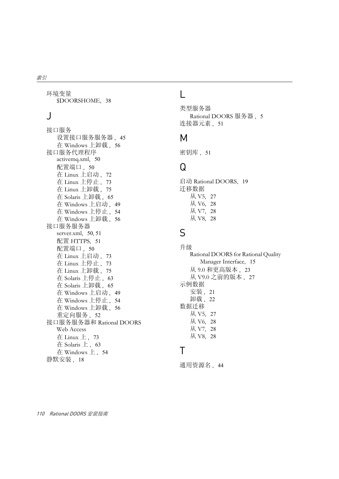环境变量 \$DOORSHOME, [38](#page-47-0)

## J

接口服务 设置接口服务服务器, [45](#page-54-1) 在 Windows 上卸载 , [56](#page-65-3) 接口服务代理程序 activemq.xml, [50](#page-59-0) 配置端口, [50](#page-59-0) 在 Linux 上启动 , [72](#page-81-2) 在 Linux 上停止 , [73](#page-82-2) 在 Linux 上卸载 , [75](#page-84-3) 在 Solaris 上卸载 , [65](#page-74-3) 在 Windows 上启动 , [49](#page-58-2) 在 Windows 上停止 , [54](#page-63-2) 在 Windows 上卸载 , [56](#page-65-4) 接口服务服务器 server.xml, [50](#page-59-1), [51](#page-60-0) 配置 HTTPS, [51](#page-60-0) 配置端口, [50](#page-59-1) 在 Linux 上启动 , [73](#page-82-3) 在 Linux 上停止 , [73](#page-82-4) 在 Linux 上卸载 , [75](#page-84-3) 在 Solaris 上停止 , [63](#page-72-4) 在 Solaris 上卸载 , [65](#page-74-3) 在 Windows 上启动 , [49](#page-58-3) 在 Windows 上停止 , [54](#page-63-3) 在 Windows 上卸载 , [56](#page-65-5) 重定向服务 , [52](#page-61-0) 接口服务服务器和 Rational DOORS Web Access 在 Linux  $\pm$ , [73](#page-82-5) 在 Solaris 上 , [63](#page-72-5) 在 Windows 上 , [54](#page-63-4) 静默安装, [18](#page-27-0)

### $\mathbf{L}$

类型服务器 Rational DOORS 服务器 , [5](#page-14-5) 连接器元素, [51](#page-60-0)

### M

密钥库 , [51](#page-60-0)

## $\Omega$

启动 Rational DOORS, [19](#page-28-0) 迁移数据 从 V5, [27](#page-36-0) 从 V6, [28](#page-37-0) 从 V7, [28](#page-37-0) 从 V8, [28](#page-37-0)

### S

升级 Rational DOORS for Rational Quality Manager Interface, [15](#page-24-0) 从 9.0 和更高版本 , [23](#page-32-0) 从 V9.0 之前的版本 , [27](#page-36-1) 示例数据 安装 , [21](#page-30-0) 卸载, [22](#page-31-0) 数据迁移 从 V5, [27](#page-36-0) 从 V6, [28](#page-37-0) 从 V7, [28](#page-37-0) 从 V8, [28](#page-37-0)

### T

通用资源名, [44](#page-53-2)